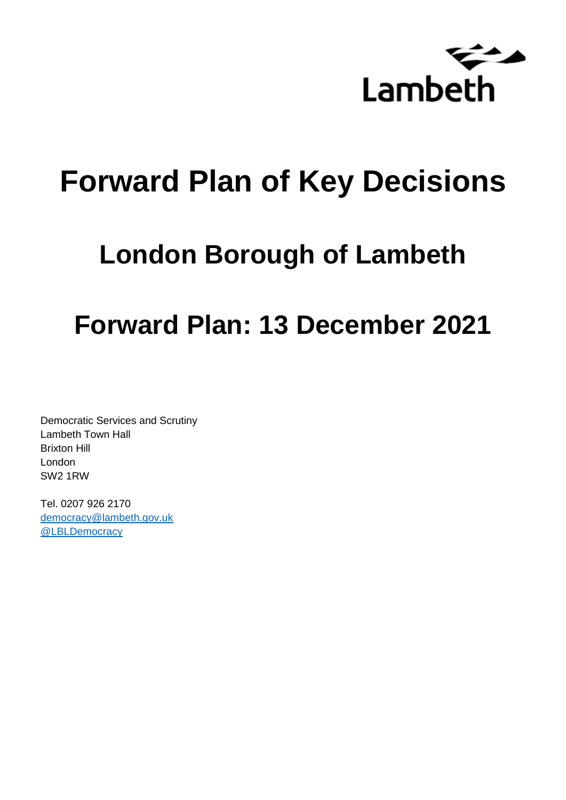

# **Forward Plan of Key Decisions**

## **London Borough of Lambeth**

## **Forward Plan: 13 December 2021**

Democratic Services and Scrutiny Lambeth Town Hall Brixton Hill London SW2 1RW

Tel. 0207 926 2170 [democracy@lambeth.gov.uk](mailto:democracy@lambeth.gov.uk) [@LBLDemocracy](https://twitter.com/LBLDemocracy?lang=en)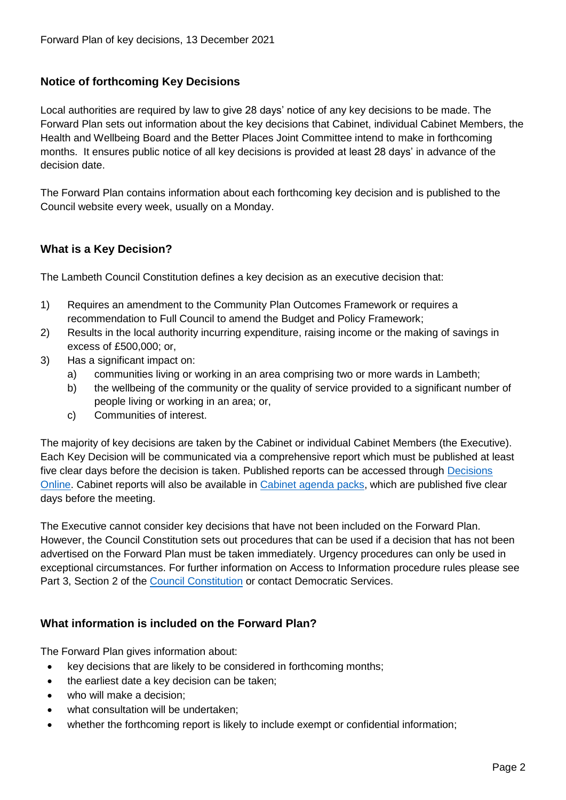## **Notice of forthcoming Key Decisions**

Local authorities are required by law to give 28 days' notice of any key decisions to be made. The Forward Plan sets out information about the key decisions that Cabinet, individual Cabinet Members, the Health and Wellbeing Board and the Better Places Joint Committee intend to make in forthcoming months. It ensures public notice of all key decisions is provided at least 28 days' in advance of the decision date.

The Forward Plan contains information about each forthcoming key decision and is published to the Council website every week, usually on a Monday.

## **What is a Key Decision?**

The Lambeth Council Constitution defines a key decision as an executive decision that:

- 1) Requires an amendment to the Community Plan Outcomes Framework or requires a recommendation to Full Council to amend the Budget and Policy Framework;
- 2) Results in the local authority incurring expenditure, raising income or the making of savings in excess of £500,000; or,
- 3) Has a significant impact on:
	- a) communities living or working in an area comprising two or more wards in Lambeth;
	- b) the wellbeing of the community or the quality of service provided to a significant number of people living or working in an area; or,
	- c) Communities of interest.

The majority of key decisions are taken by the Cabinet or individual Cabinet Members (the Executive). Each Key Decision will be communicated via a comprehensive report which must be published at least five clear days before the decision is taken. Published reports can be accessed through Decisions [Online.](http://moderngov.lambeth.gov.uk/mgDelegatedDecisions.aspx?bcr=1&DM=0&DS=2&K=0&DR=&V=0) Cabinet reports will also be available in [Cabinet agenda packs,](https://moderngov.lambeth.gov.uk/ieListMeetings.aspx?CommitteeId=225) which are published five clear days before the meeting.

The Executive cannot consider key decisions that have not been included on the Forward Plan. However, the Council Constitution sets out procedures that can be used if a decision that has not been advertised on the Forward Plan must be taken immediately. Urgency procedures can only be used in exceptional circumstances. For further information on Access to Information procedure rules please see Part 3, Section 2 of the [Council Constitution](http://moderngov.lambeth.gov.uk/ieListMeetings.aspx?CId=738&info=1&MD=Constitution) or contact Democratic Services.

## **What information is included on the Forward Plan?**

The Forward Plan gives information about:

- key decisions that are likely to be considered in forthcoming months;
- the earliest date a key decision can be taken;
- who will make a decision;
- what consultation will be undertaken;
- whether the forthcoming report is likely to include exempt or confidential information;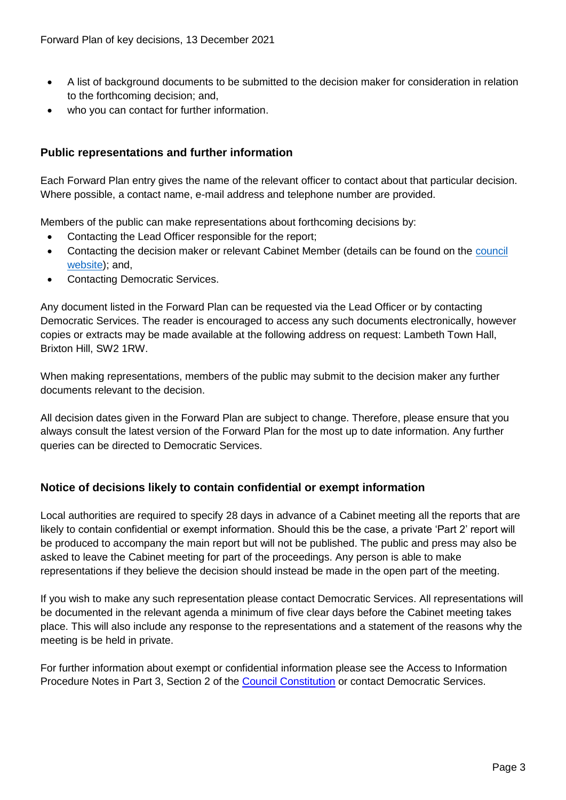- A list of background documents to be submitted to the decision maker for consideration in relation to the forthcoming decision; and,
- who you can contact for further information.

## **Public representations and further information**

Each Forward Plan entry gives the name of the relevant officer to contact about that particular decision. Where possible, a contact name, e-mail address and telephone number are provided.

Members of the public can make representations about forthcoming decisions by:

- Contacting the Lead Officer responsible for the report;
- Contacting the decision maker or relevant Cabinet Member (details can be found on the council [website\)](http://moderngov.lambeth.gov.uk/mgMemberIndex.aspx?bcr=1); and,
- Contacting Democratic Services.

Any document listed in the Forward Plan can be requested via the Lead Officer or by contacting Democratic Services. The reader is encouraged to access any such documents electronically, however copies or extracts may be made available at the following address on request: Lambeth Town Hall, Brixton Hill, SW2 1RW.

When making representations, members of the public may submit to the decision maker any further documents relevant to the decision.

All decision dates given in the Forward Plan are subject to change. Therefore, please ensure that you always consult the latest version of the Forward Plan for the most up to date information. Any further queries can be directed to Democratic Services.

## **Notice of decisions likely to contain confidential or exempt information**

Local authorities are required to specify 28 days in advance of a Cabinet meeting all the reports that are likely to contain confidential or exempt information. Should this be the case, a private 'Part 2' report will be produced to accompany the main report but will not be published. The public and press may also be asked to leave the Cabinet meeting for part of the proceedings. Any person is able to make representations if they believe the decision should instead be made in the open part of the meeting.

If you wish to make any such representation please contact Democratic Services. All representations will be documented in the relevant agenda a minimum of five clear days before the Cabinet meeting takes place. This will also include any response to the representations and a statement of the reasons why the meeting is be held in private.

For further information about exempt or confidential information please see the Access to Information Procedure Notes in Part 3, Section 2 of the [Council Constitution](http://moderngov.lambeth.gov.uk/ieListMeetings.aspx?CId=738&info=1&MD=Constitution) or contact Democratic Services.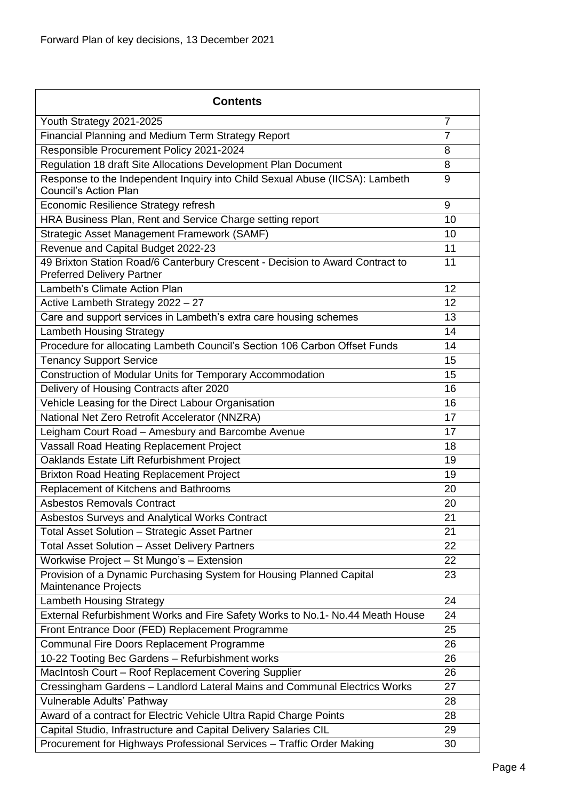| <b>Contents</b>                                                                                                    |                |
|--------------------------------------------------------------------------------------------------------------------|----------------|
| Youth Strategy 2021-2025                                                                                           | $\overline{7}$ |
| Financial Planning and Medium Term Strategy Report                                                                 | 7              |
| Responsible Procurement Policy 2021-2024                                                                           | 8              |
| Regulation 18 draft Site Allocations Development Plan Document                                                     | 8              |
| Response to the Independent Inquiry into Child Sexual Abuse (IICSA): Lambeth<br><b>Council's Action Plan</b>       | 9              |
| Economic Resilience Strategy refresh                                                                               | 9              |
| HRA Business Plan, Rent and Service Charge setting report                                                          | 10             |
| Strategic Asset Management Framework (SAMF)                                                                        | 10             |
| Revenue and Capital Budget 2022-23                                                                                 | 11             |
| 49 Brixton Station Road/6 Canterbury Crescent - Decision to Award Contract to<br><b>Preferred Delivery Partner</b> | 11             |
| Lambeth's Climate Action Plan                                                                                      | 12             |
| Active Lambeth Strategy 2022 - 27                                                                                  | 12             |
| Care and support services in Lambeth's extra care housing schemes                                                  | 13             |
| <b>Lambeth Housing Strategy</b>                                                                                    | 14             |
| Procedure for allocating Lambeth Council's Section 106 Carbon Offset Funds                                         | 14             |
| <b>Tenancy Support Service</b>                                                                                     | 15             |
| Construction of Modular Units for Temporary Accommodation                                                          | 15             |
| Delivery of Housing Contracts after 2020                                                                           | 16             |
| Vehicle Leasing for the Direct Labour Organisation                                                                 | 16             |
| National Net Zero Retrofit Accelerator (NNZRA)                                                                     | 17             |
| Leigham Court Road - Amesbury and Barcombe Avenue                                                                  | 17             |
| Vassall Road Heating Replacement Project                                                                           | 18             |
| Oaklands Estate Lift Refurbishment Project                                                                         | 19             |
| <b>Brixton Road Heating Replacement Project</b>                                                                    | 19             |
| Replacement of Kitchens and Bathrooms                                                                              | 20             |
| <b>Asbestos Removals Contract</b>                                                                                  | 20             |
| Asbestos Surveys and Analytical Works Contract                                                                     | 21             |
| Total Asset Solution - Strategic Asset Partner                                                                     | 21             |
| <b>Total Asset Solution - Asset Delivery Partners</b>                                                              | 22             |
| Workwise Project - St Mungo's - Extension                                                                          | 22             |
| Provision of a Dynamic Purchasing System for Housing Planned Capital<br>Maintenance Projects                       | 23             |
| <b>Lambeth Housing Strategy</b>                                                                                    | 24             |
| External Refurbishment Works and Fire Safety Works to No.1- No.44 Meath House                                      | 24             |
| Front Entrance Door (FED) Replacement Programme                                                                    | 25             |
| Communal Fire Doors Replacement Programme                                                                          | 26             |
| 10-22 Tooting Bec Gardens - Refurbishment works                                                                    | 26             |
| MacIntosh Court - Roof Replacement Covering Supplier                                                               | 26             |
| Cressingham Gardens - Landlord Lateral Mains and Communal Electrics Works                                          | 27             |
| Vulnerable Adults' Pathway                                                                                         | 28             |
| Award of a contract for Electric Vehicle Ultra Rapid Charge Points                                                 | 28             |
| Capital Studio, Infrastructure and Capital Delivery Salaries CIL                                                   | 29             |
| Procurement for Highways Professional Services - Traffic Order Making                                              | 30             |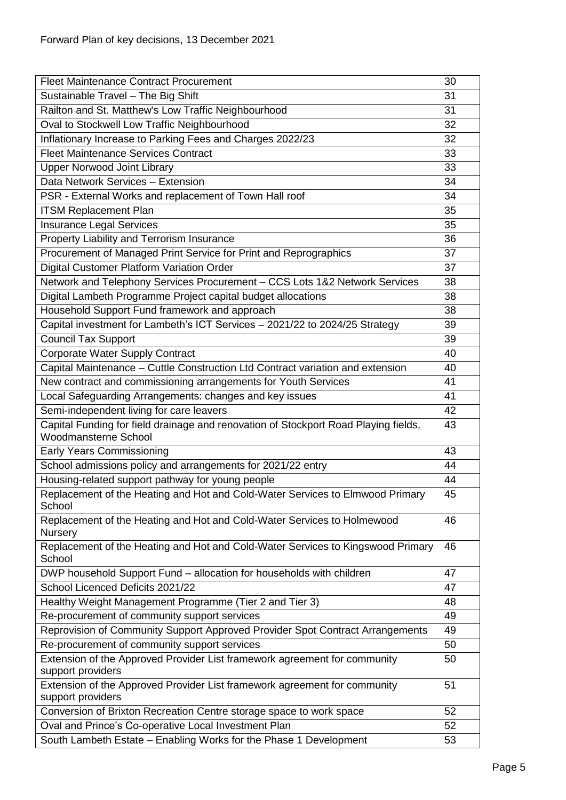| <b>Fleet Maintenance Contract Procurement</b>                                                               | 30 |
|-------------------------------------------------------------------------------------------------------------|----|
| Sustainable Travel - The Big Shift                                                                          | 31 |
| Railton and St. Matthew's Low Traffic Neighbourhood                                                         | 31 |
| Oval to Stockwell Low Traffic Neighbourhood                                                                 | 32 |
| Inflationary Increase to Parking Fees and Charges 2022/23                                                   | 32 |
| <b>Fleet Maintenance Services Contract</b>                                                                  | 33 |
| <b>Upper Norwood Joint Library</b>                                                                          | 33 |
| Data Network Services - Extension                                                                           | 34 |
| PSR - External Works and replacement of Town Hall roof                                                      | 34 |
| <b>ITSM Replacement Plan</b>                                                                                | 35 |
| <b>Insurance Legal Services</b>                                                                             | 35 |
| Property Liability and Terrorism Insurance                                                                  | 36 |
| Procurement of Managed Print Service for Print and Reprographics                                            | 37 |
| Digital Customer Platform Variation Order                                                                   | 37 |
| Network and Telephony Services Procurement - CCS Lots 1&2 Network Services                                  | 38 |
| Digital Lambeth Programme Project capital budget allocations                                                | 38 |
| Household Support Fund framework and approach                                                               | 38 |
| Capital investment for Lambeth's ICT Services - 2021/22 to 2024/25 Strategy                                 | 39 |
| <b>Council Tax Support</b>                                                                                  | 39 |
| <b>Corporate Water Supply Contract</b>                                                                      | 40 |
| Capital Maintenance - Cuttle Construction Ltd Contract variation and extension                              | 40 |
| New contract and commissioning arrangements for Youth Services                                              | 41 |
| Local Safeguarding Arrangements: changes and key issues                                                     | 41 |
| Semi-independent living for care leavers                                                                    | 42 |
| Capital Funding for field drainage and renovation of Stockport Road Playing fields,<br>Woodmansterne School | 43 |
| <b>Early Years Commissioning</b>                                                                            | 43 |
| School admissions policy and arrangements for 2021/22 entry                                                 | 44 |
| Housing-related support pathway for young people                                                            | 44 |
| Replacement of the Heating and Hot and Cold-Water Services to Elmwood Primary<br>School                     | 45 |
| Replacement of the Heating and Hot and Cold-Water Services to Holmewood<br>Nursery                          | 46 |
| Replacement of the Heating and Hot and Cold-Water Services to Kingswood Primary<br>School                   | 46 |
| DWP household Support Fund - allocation for households with children                                        | 47 |
| School Licenced Deficits 2021/22                                                                            | 47 |
| Healthy Weight Management Programme (Tier 2 and Tier 3)                                                     | 48 |
| Re-procurement of community support services                                                                | 49 |
| Reprovision of Community Support Approved Provider Spot Contract Arrangements                               | 49 |
| Re-procurement of community support services                                                                | 50 |
| Extension of the Approved Provider List framework agreement for community                                   | 50 |
| support providers                                                                                           |    |
| Extension of the Approved Provider List framework agreement for community<br>support providers              | 51 |
| Conversion of Brixton Recreation Centre storage space to work space                                         | 52 |
| Oval and Prince's Co-operative Local Investment Plan                                                        | 52 |
| South Lambeth Estate - Enabling Works for the Phase 1 Development                                           | 53 |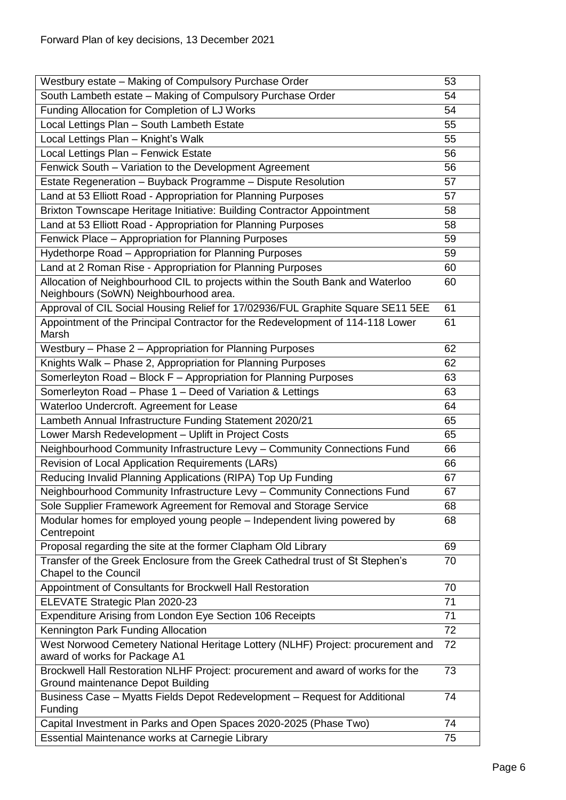| Westbury estate - Making of Compulsory Purchase Order                                                                   | 53 |
|-------------------------------------------------------------------------------------------------------------------------|----|
| South Lambeth estate - Making of Compulsory Purchase Order                                                              | 54 |
| Funding Allocation for Completion of LJ Works                                                                           | 54 |
| Local Lettings Plan - South Lambeth Estate                                                                              | 55 |
| Local Lettings Plan - Knight's Walk                                                                                     | 55 |
| Local Lettings Plan - Fenwick Estate                                                                                    | 56 |
| Fenwick South - Variation to the Development Agreement                                                                  | 56 |
| Estate Regeneration - Buyback Programme - Dispute Resolution                                                            | 57 |
| Land at 53 Elliott Road - Appropriation for Planning Purposes                                                           | 57 |
| Brixton Townscape Heritage Initiative: Building Contractor Appointment                                                  | 58 |
| Land at 53 Elliott Road - Appropriation for Planning Purposes                                                           | 58 |
| Fenwick Place - Appropriation for Planning Purposes                                                                     | 59 |
| Hydethorpe Road - Appropriation for Planning Purposes                                                                   | 59 |
| Land at 2 Roman Rise - Appropriation for Planning Purposes                                                              | 60 |
| Allocation of Neighbourhood CIL to projects within the South Bank and Waterloo<br>Neighbours (SoWN) Neighbourhood area. | 60 |
| Approval of CIL Social Housing Relief for 17/02936/FUL Graphite Square SE11 5EE                                         | 61 |
| Appointment of the Principal Contractor for the Redevelopment of 114-118 Lower<br>Marsh                                 | 61 |
| Westbury - Phase 2 - Appropriation for Planning Purposes                                                                | 62 |
| Knights Walk - Phase 2, Appropriation for Planning Purposes                                                             | 62 |
| Somerleyton Road - Block F - Appropriation for Planning Purposes                                                        | 63 |
| Somerleyton Road - Phase 1 - Deed of Variation & Lettings                                                               | 63 |
| Waterloo Undercroft. Agreement for Lease                                                                                | 64 |
| Lambeth Annual Infrastructure Funding Statement 2020/21                                                                 | 65 |
| Lower Marsh Redevelopment - Uplift in Project Costs                                                                     | 65 |
| Neighbourhood Community Infrastructure Levy - Community Connections Fund                                                | 66 |
| Revision of Local Application Requirements (LARs)                                                                       | 66 |
| Reducing Invalid Planning Applications (RIPA) Top Up Funding                                                            | 67 |
| Neighbourhood Community Infrastructure Levy - Community Connections Fund                                                | 67 |
| Sole Supplier Framework Agreement for Removal and Storage Service                                                       | 68 |
| Modular homes for employed young people – Independent living powered by<br>Centrepoint                                  | 68 |
| Proposal regarding the site at the former Clapham Old Library                                                           | 69 |
| Transfer of the Greek Enclosure from the Greek Cathedral trust of St Stephen's<br>Chapel to the Council                 | 70 |
| Appointment of Consultants for Brockwell Hall Restoration                                                               | 70 |
| ELEVATE Strategic Plan 2020-23                                                                                          | 71 |
| Expenditure Arising from London Eye Section 106 Receipts                                                                | 71 |
| Kennington Park Funding Allocation                                                                                      | 72 |
| West Norwood Cemetery National Heritage Lottery (NLHF) Project: procurement and<br>award of works for Package A1        | 72 |
| Brockwell Hall Restoration NLHF Project: procurement and award of works for the<br>Ground maintenance Depot Building    | 73 |
| Business Case - Myatts Fields Depot Redevelopment - Request for Additional<br>Funding                                   | 74 |
| Capital Investment in Parks and Open Spaces 2020-2025 (Phase Two)                                                       | 74 |
| Essential Maintenance works at Carnegie Library                                                                         | 75 |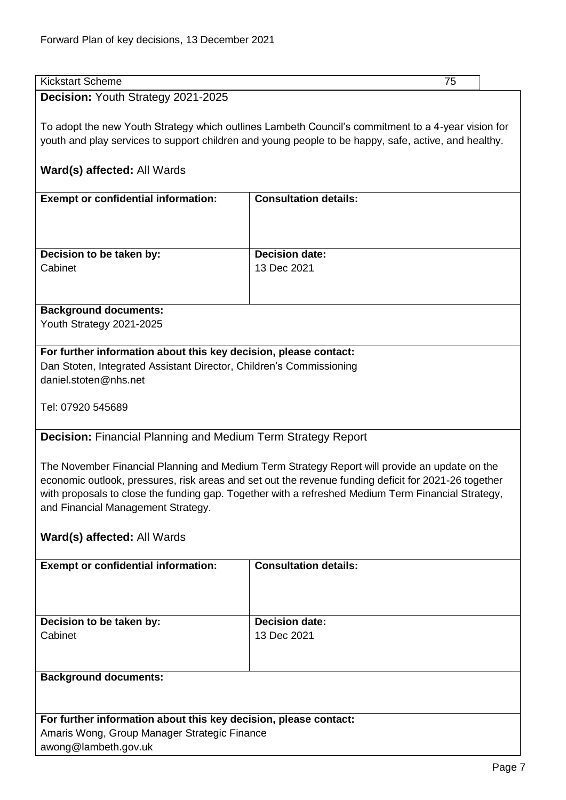<span id="page-6-0"></span>

| Kickstart Scheme                   |  |
|------------------------------------|--|
| Decision: Youth Strategy 2021-2025 |  |

To adopt the new Youth Strategy which outlines Lambeth Council's commitment to a 4-year vision for youth and play services to support children and young people to be happy, safe, active, and healthy.

## **Ward(s) affected:** All Wards

| <b>Exempt or confidential information:</b> | <b>Consultation details:</b> |
|--------------------------------------------|------------------------------|
| Decision to be taken by:                   | <b>Decision date:</b>        |
| Cabinet                                    | 13 Dec 2021                  |

## **Background documents:**

Youth Strategy 2021-2025

## **For further information about this key decision, please contact:** Dan Stoten, Integrated Assistant Director, Children's Commissioning daniel.stoten@nhs.net

Tel: 07920 545689

## <span id="page-6-1"></span>**Decision:** Financial Planning and Medium Term Strategy Report

The November Financial Planning and Medium Term Strategy Report will provide an update on the economic outlook, pressures, risk areas and set out the revenue funding deficit for 2021-26 together with proposals to close the funding gap. Together with a refreshed Medium Term Financial Strategy, and Financial Management Strategy.

## **Ward(s) affected:** All Wards

awong@lambeth.gov.uk

| <b>Exempt or confidential information:</b>                       | <b>Consultation details:</b> |
|------------------------------------------------------------------|------------------------------|
|                                                                  |                              |
|                                                                  |                              |
|                                                                  |                              |
| Decision to be taken by:                                         | <b>Decision date:</b>        |
|                                                                  |                              |
| Cabinet                                                          | 13 Dec 2021                  |
|                                                                  |                              |
|                                                                  |                              |
|                                                                  |                              |
| <b>Background documents:</b>                                     |                              |
|                                                                  |                              |
|                                                                  |                              |
|                                                                  |                              |
| For further information about this key decision, please contact: |                              |
| Amaris Wong, Group Manager Strategic Finance                     |                              |
|                                                                  |                              |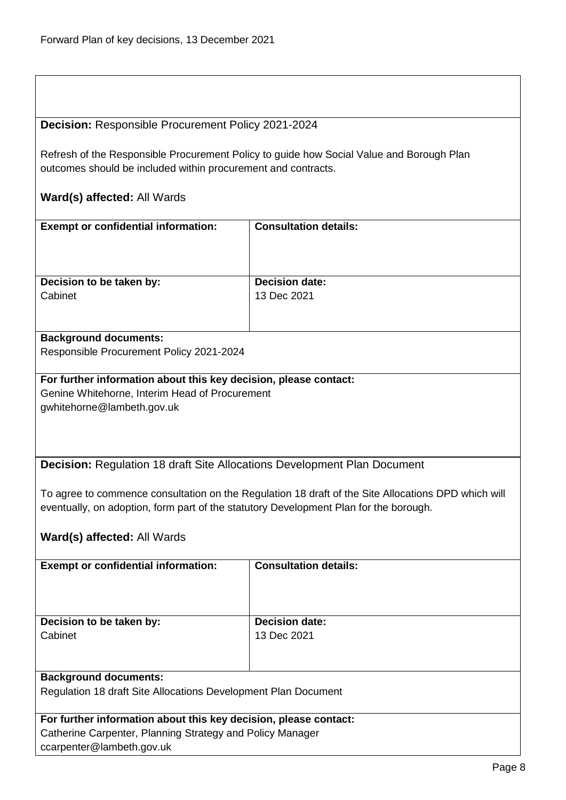## <span id="page-7-0"></span>**Decision:** Responsible Procurement Policy 2021-2024

Refresh of the Responsible Procurement Policy to guide how Social Value and Borough Plan outcomes should be included within procurement and contracts.

## **Ward(s) affected:** All Wards

| <b>Exempt or confidential information:</b>                                                      | <b>Consultation details:</b>         |
|-------------------------------------------------------------------------------------------------|--------------------------------------|
| Decision to be taken by:<br>Cabinet                                                             | <b>Decision date:</b><br>13 Dec 2021 |
| <b>Background documents:</b><br>$D_{2}$ and the $D_{3}$ constraint $D_{3}$ is a $0.004$ $0.004$ |                                      |

## Responsible Procurement Policy 2021-2024

## **For further information about this key decision, please contact:** Genine Whitehorne, Interim Head of Procurement

gwhitehorne@lambeth.gov.uk

<span id="page-7-1"></span>**Decision:** Regulation 18 draft Site Allocations Development Plan Document

To agree to commence consultation on the Regulation 18 draft of the Site Allocations DPD which will eventually, on adoption, form part of the statutory Development Plan for the borough.

| <b>Exempt or confidential information:</b>                       | <b>Consultation details:</b> |
|------------------------------------------------------------------|------------------------------|
|                                                                  |                              |
|                                                                  |                              |
|                                                                  |                              |
|                                                                  |                              |
| Decision to be taken by:                                         | <b>Decision date:</b>        |
| Cabinet                                                          | 13 Dec 2021                  |
|                                                                  |                              |
|                                                                  |                              |
|                                                                  |                              |
| <b>Background documents:</b>                                     |                              |
| Regulation 18 draft Site Allocations Development Plan Document   |                              |
|                                                                  |                              |
| For further information about this key decision, please contact: |                              |
|                                                                  |                              |
| Catherine Carpenter, Planning Strategy and Policy Manager        |                              |
| ccarpenter@lambeth.gov.uk                                        |                              |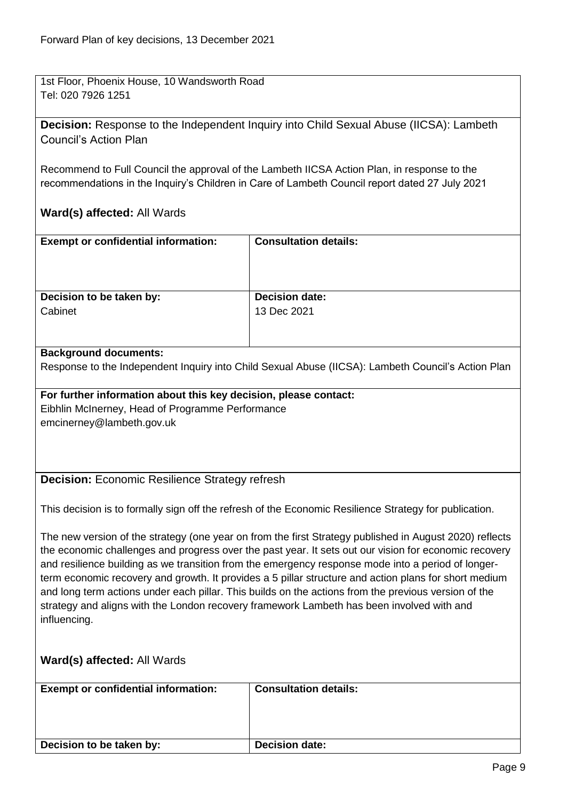1st Floor, Phoenix House, 10 Wandsworth Road Tel: 020 7926 1251

<span id="page-8-0"></span>**Decision:** Response to the Independent Inquiry into Child Sexual Abuse (IICSA): Lambeth Council's Action Plan

Recommend to Full Council the approval of the Lambeth IICSA Action Plan, in response to the recommendations in the Inquiry's Children in Care of Lambeth Council report dated 27 July 2021

## **Ward(s) affected:** All Wards

| <b>Exempt or confidential information:</b> | <b>Consultation details:</b> |
|--------------------------------------------|------------------------------|
| Decision to be taken by:                   | <b>Decision date:</b>        |
| Cabinet                                    | 13 Dec 2021                  |
|                                            |                              |

## **Background documents:**

Response to the Independent Inquiry into Child Sexual Abuse (IICSA): Lambeth Council's Action Plan

**For further information about this key decision, please contact:** Eibhlin McInerney, Head of Programme Performance emcinerney@lambeth.gov.uk

## <span id="page-8-1"></span>**Decision:** Economic Resilience Strategy refresh

This decision is to formally sign off the refresh of the Economic Resilience Strategy for publication.

The new version of the strategy (one year on from the first Strategy published in August 2020) reflects the economic challenges and progress over the past year. It sets out our vision for economic recovery and resilience building as we transition from the emergency response mode into a period of longerterm economic recovery and growth. It provides a 5 pillar structure and action plans for short medium and long term actions under each pillar. This builds on the actions from the previous version of the strategy and aligns with the London recovery framework Lambeth has been involved with and influencing.

| <b>Exempt or confidential information:</b> | <b>Consultation details:</b> |
|--------------------------------------------|------------------------------|
| Decision to be taken by:                   | <b>Decision date:</b>        |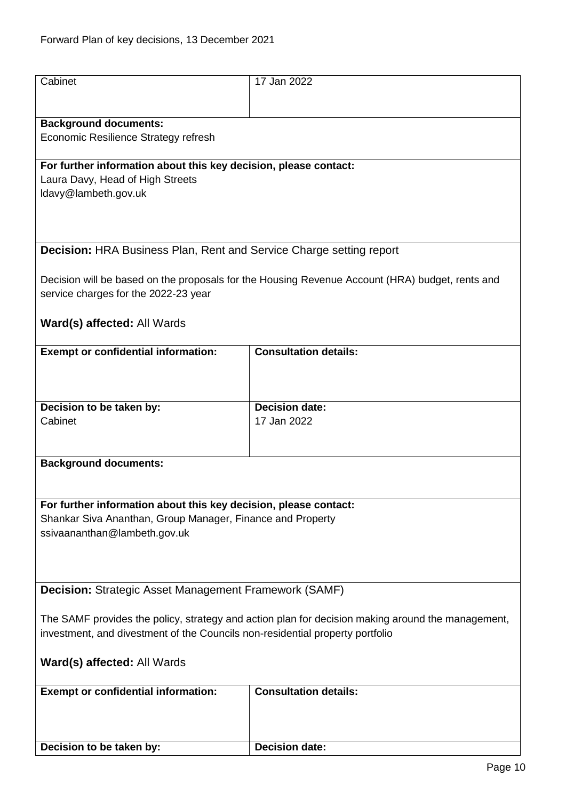<span id="page-9-1"></span><span id="page-9-0"></span>

| Cabinet                                                                                           | 17 Jan 2022                                                                                     |
|---------------------------------------------------------------------------------------------------|-------------------------------------------------------------------------------------------------|
|                                                                                                   |                                                                                                 |
| <b>Background documents:</b>                                                                      |                                                                                                 |
| Economic Resilience Strategy refresh                                                              |                                                                                                 |
| For further information about this key decision, please contact:                                  |                                                                                                 |
| Laura Davy, Head of High Streets                                                                  |                                                                                                 |
| Idavy@lambeth.gov.uk                                                                              |                                                                                                 |
|                                                                                                   |                                                                                                 |
| <b>Decision: HRA Business Plan, Rent and Service Charge setting report</b>                        |                                                                                                 |
|                                                                                                   |                                                                                                 |
| service charges for the 2022-23 year                                                              | Decision will be based on the proposals for the Housing Revenue Account (HRA) budget, rents and |
|                                                                                                   |                                                                                                 |
| Ward(s) affected: All Wards                                                                       |                                                                                                 |
| <b>Exempt or confidential information:</b>                                                        | <b>Consultation details:</b>                                                                    |
|                                                                                                   |                                                                                                 |
|                                                                                                   |                                                                                                 |
| Decision to be taken by:                                                                          | <b>Decision date:</b>                                                                           |
| Cabinet                                                                                           | 17 Jan 2022                                                                                     |
|                                                                                                   |                                                                                                 |
| <b>Background documents:</b>                                                                      |                                                                                                 |
|                                                                                                   |                                                                                                 |
| For further information about this key decision, please contact:                                  |                                                                                                 |
| Shankar Siva Ananthan, Group Manager, Finance and Property                                        |                                                                                                 |
| ssivaananthan@lambeth.gov.uk                                                                      |                                                                                                 |
|                                                                                                   |                                                                                                 |
|                                                                                                   |                                                                                                 |
| <b>Decision: Strategic Asset Management Framework (SAMF)</b>                                      |                                                                                                 |
| The SAMF provides the policy, strategy and action plan for decision making around the management, |                                                                                                 |
| investment, and divestment of the Councils non-residential property portfolio                     |                                                                                                 |
| Ward(s) affected: All Wards                                                                       |                                                                                                 |
|                                                                                                   |                                                                                                 |
| <b>Exempt or confidential information:</b>                                                        | <b>Consultation details:</b>                                                                    |
|                                                                                                   |                                                                                                 |
|                                                                                                   |                                                                                                 |
| Decision to be taken by:                                                                          | <b>Decision date:</b>                                                                           |
|                                                                                                   |                                                                                                 |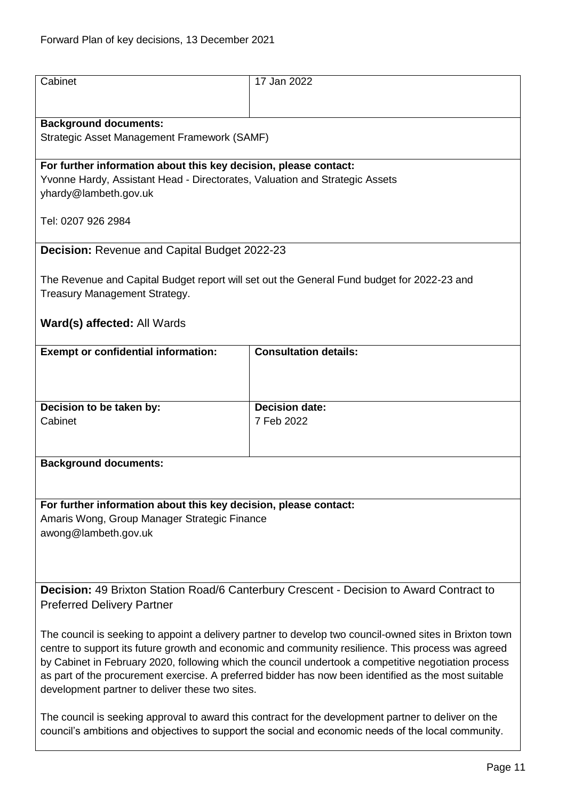<span id="page-10-1"></span><span id="page-10-0"></span>

| Cabinet                                                                                                                                                                                                     | 17 Jan 2022                                                                                        |
|-------------------------------------------------------------------------------------------------------------------------------------------------------------------------------------------------------------|----------------------------------------------------------------------------------------------------|
|                                                                                                                                                                                                             |                                                                                                    |
| <b>Background documents:</b>                                                                                                                                                                                |                                                                                                    |
| Strategic Asset Management Framework (SAMF)                                                                                                                                                                 |                                                                                                    |
| For further information about this key decision, please contact:                                                                                                                                            |                                                                                                    |
| Yvonne Hardy, Assistant Head - Directorates, Valuation and Strategic Assets                                                                                                                                 |                                                                                                    |
| yhardy@lambeth.gov.uk                                                                                                                                                                                       |                                                                                                    |
| Tel: 0207 926 2984                                                                                                                                                                                          |                                                                                                    |
| <b>Decision: Revenue and Capital Budget 2022-23</b>                                                                                                                                                         |                                                                                                    |
| Treasury Management Strategy.                                                                                                                                                                               | The Revenue and Capital Budget report will set out the General Fund budget for 2022-23 and         |
|                                                                                                                                                                                                             |                                                                                                    |
| Ward(s) affected: All Wards                                                                                                                                                                                 |                                                                                                    |
| <b>Exempt or confidential information:</b>                                                                                                                                                                  | <b>Consultation details:</b>                                                                       |
|                                                                                                                                                                                                             |                                                                                                    |
|                                                                                                                                                                                                             |                                                                                                    |
| Decision to be taken by:                                                                                                                                                                                    | <b>Decision date:</b>                                                                              |
| Cabinet                                                                                                                                                                                                     | 7 Feb 2022                                                                                         |
|                                                                                                                                                                                                             |                                                                                                    |
| <b>Background documents:</b>                                                                                                                                                                                |                                                                                                    |
|                                                                                                                                                                                                             |                                                                                                    |
| For further information about this key decision, please contact:                                                                                                                                            |                                                                                                    |
| Amaris Wong, Group Manager Strategic Finance                                                                                                                                                                |                                                                                                    |
| awong@lambeth.gov.uk                                                                                                                                                                                        |                                                                                                    |
|                                                                                                                                                                                                             |                                                                                                    |
|                                                                                                                                                                                                             |                                                                                                    |
|                                                                                                                                                                                                             |                                                                                                    |
|                                                                                                                                                                                                             | Decision: 49 Brixton Station Road/6 Canterbury Crescent - Decision to Award Contract to            |
| <b>Preferred Delivery Partner</b>                                                                                                                                                                           |                                                                                                    |
| The council is seeking to appoint a delivery partner to develop two council-owned sites in Brixton town                                                                                                     |                                                                                                    |
|                                                                                                                                                                                                             | centre to support its future growth and economic and community resilience. This process was agreed |
| by Cabinet in February 2020, following which the council undertook a competitive negotiation process                                                                                                        |                                                                                                    |
| as part of the procurement exercise. A preferred bidder has now been identified as the most suitable<br>development partner to deliver these two sites.                                                     |                                                                                                    |
|                                                                                                                                                                                                             |                                                                                                    |
| The council is seeking approval to award this contract for the development partner to deliver on the<br>council's ambitions and objectives to support the social and economic needs of the local community. |                                                                                                    |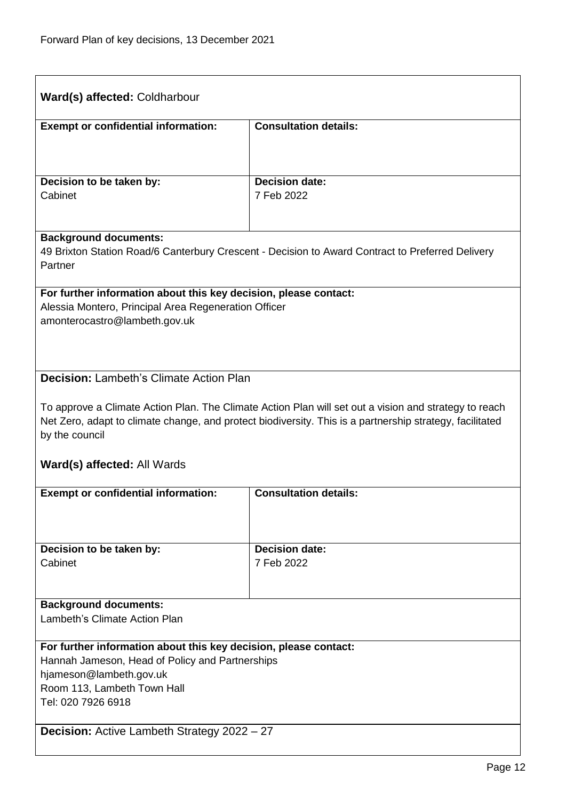<span id="page-11-1"></span><span id="page-11-0"></span>

| Ward(s) affected: Coldharbour                                                                                                                                                                                                       |                                     |  |
|-------------------------------------------------------------------------------------------------------------------------------------------------------------------------------------------------------------------------------------|-------------------------------------|--|
| <b>Exempt or confidential information:</b>                                                                                                                                                                                          | <b>Consultation details:</b>        |  |
|                                                                                                                                                                                                                                     |                                     |  |
| Decision to be taken by:                                                                                                                                                                                                            | <b>Decision date:</b>               |  |
| Cabinet                                                                                                                                                                                                                             | 7 Feb 2022                          |  |
| <b>Background documents:</b><br>49 Brixton Station Road/6 Canterbury Crescent - Decision to Award Contract to Preferred Delivery<br>Partner                                                                                         |                                     |  |
| For further information about this key decision, please contact:<br>Alessia Montero, Principal Area Regeneration Officer<br>amonterocastro@lambeth.gov.uk                                                                           |                                     |  |
| <b>Decision: Lambeth's Climate Action Plan</b>                                                                                                                                                                                      |                                     |  |
| To approve a Climate Action Plan. The Climate Action Plan will set out a vision and strategy to reach<br>Net Zero, adapt to climate change, and protect biodiversity. This is a partnership strategy, facilitated<br>by the council |                                     |  |
| <b>Ward(s) affected: All Wards</b>                                                                                                                                                                                                  |                                     |  |
| <b>Exempt or confidential information:</b>                                                                                                                                                                                          | <b>Consultation details:</b>        |  |
|                                                                                                                                                                                                                                     |                                     |  |
| Decision to be taken by:<br>Cabinet                                                                                                                                                                                                 | <b>Decision date:</b><br>7 Feb 2022 |  |
|                                                                                                                                                                                                                                     |                                     |  |
| <b>Background documents:</b><br>Lambeth's Climate Action Plan                                                                                                                                                                       |                                     |  |
| For further information about this key decision, please contact:<br>Hannah Jameson, Head of Policy and Partnerships<br>hjameson@lambeth.gov.uk<br>Room 113, Lambeth Town Hall<br>Tel: 020 7926 6918                                 |                                     |  |
| <b>Decision:</b> Active Lambeth Strategy 2022 - 27                                                                                                                                                                                  |                                     |  |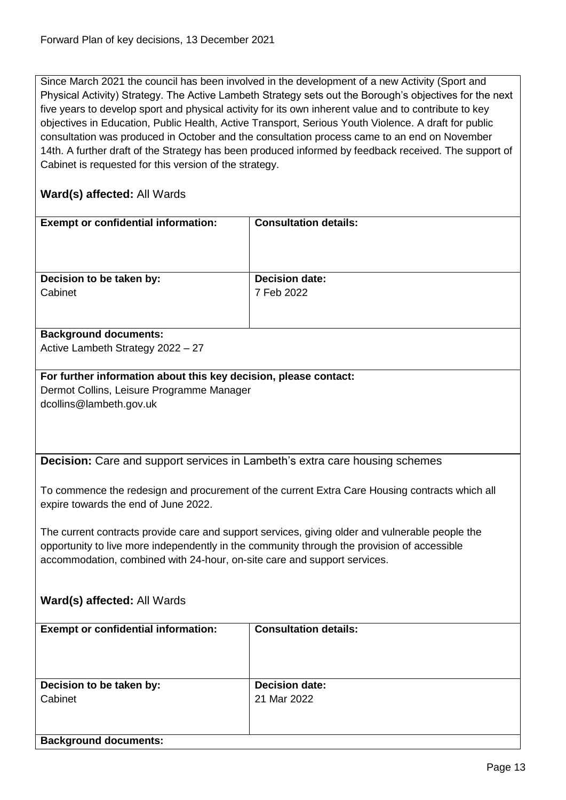Since March 2021 the council has been involved in the development of a new Activity (Sport and Physical Activity) Strategy. The Active Lambeth Strategy sets out the Borough's objectives for the next five years to develop sport and physical activity for its own inherent value and to contribute to key objectives in Education, Public Health, Active Transport, Serious Youth Violence. A draft for public consultation was produced in October and the consultation process came to an end on November 14th. A further draft of the Strategy has been produced informed by feedback received. The support of Cabinet is requested for this version of the strategy.

<span id="page-12-0"></span>

| <b>Exempt or confidential information:</b>                                                     | <b>Consultation details:</b>                                                                    |
|------------------------------------------------------------------------------------------------|-------------------------------------------------------------------------------------------------|
|                                                                                                |                                                                                                 |
|                                                                                                |                                                                                                 |
| Decision to be taken by:                                                                       | <b>Decision date:</b>                                                                           |
| Cabinet                                                                                        | 7 Feb 2022                                                                                      |
|                                                                                                |                                                                                                 |
| <b>Background documents:</b>                                                                   |                                                                                                 |
| Active Lambeth Strategy 2022 - 27                                                              |                                                                                                 |
| For further information about this key decision, please contact:                               |                                                                                                 |
| Dermot Collins, Leisure Programme Manager                                                      |                                                                                                 |
| dcollins@lambeth.gov.uk                                                                        |                                                                                                 |
|                                                                                                |                                                                                                 |
|                                                                                                |                                                                                                 |
|                                                                                                |                                                                                                 |
| <b>Decision:</b> Care and support services in Lambeth's extra care housing schemes             |                                                                                                 |
|                                                                                                |                                                                                                 |
| To commence the redesign and procurement of the current Extra Care Housing contracts which all |                                                                                                 |
| expire towards the end of June 2022.                                                           |                                                                                                 |
|                                                                                                |                                                                                                 |
|                                                                                                | The current contracts provide care and support services, giving older and vulnerable people the |
| opportunity to live more independently in the community through the provision of accessible    |                                                                                                 |
| accommodation, combined with 24-hour, on-site care and support services.                       |                                                                                                 |
|                                                                                                |                                                                                                 |
| Ward(s) affected: All Wards                                                                    |                                                                                                 |
|                                                                                                |                                                                                                 |
| <b>Exempt or confidential information:</b>                                                     | <b>Consultation details:</b>                                                                    |
|                                                                                                |                                                                                                 |
|                                                                                                |                                                                                                 |
|                                                                                                |                                                                                                 |
| Decision to be taken by:                                                                       | <b>Decision date:</b>                                                                           |
| Cabinet                                                                                        | 21 Mar 2022                                                                                     |
|                                                                                                |                                                                                                 |
| <b>Background documents:</b>                                                                   |                                                                                                 |
|                                                                                                |                                                                                                 |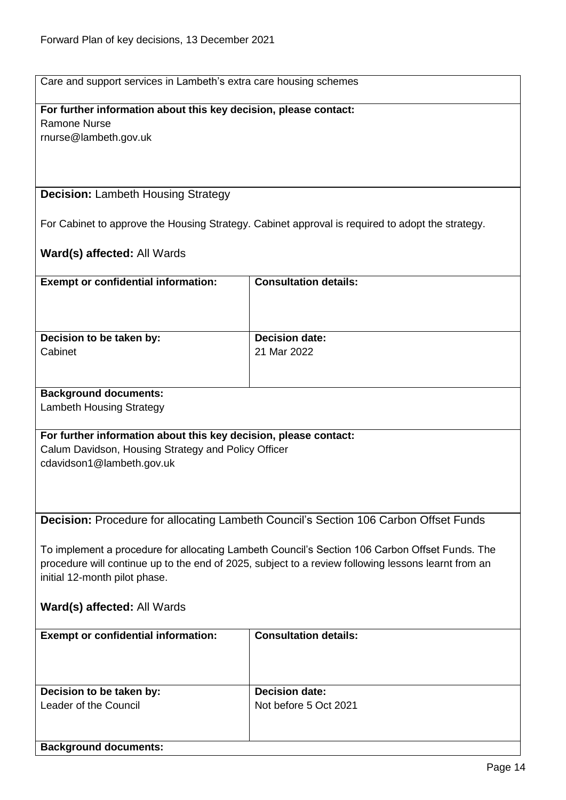## **For further information about this key decision, please contact:** Ramone Nurse

rnurse@lambeth.gov.uk

## <span id="page-13-0"></span>**Decision:** Lambeth Housing Strategy

For Cabinet to approve the Housing Strategy. Cabinet approval is required to adopt the strategy.

<span id="page-13-1"></span>

| <b>Exempt or confidential information:</b>                                                                                           | <b>Consultation details:</b>                                                                   |
|--------------------------------------------------------------------------------------------------------------------------------------|------------------------------------------------------------------------------------------------|
|                                                                                                                                      |                                                                                                |
|                                                                                                                                      | <b>Decision date:</b>                                                                          |
| Decision to be taken by:<br>Cabinet                                                                                                  | 21 Mar 2022                                                                                    |
|                                                                                                                                      |                                                                                                |
| <b>Background documents:</b>                                                                                                         |                                                                                                |
| <b>Lambeth Housing Strategy</b>                                                                                                      |                                                                                                |
| For further information about this key decision, please contact:                                                                     |                                                                                                |
| Calum Davidson, Housing Strategy and Policy Officer                                                                                  |                                                                                                |
| cdavidson1@lambeth.gov.uk                                                                                                            |                                                                                                |
|                                                                                                                                      |                                                                                                |
|                                                                                                                                      |                                                                                                |
|                                                                                                                                      | Decision: Procedure for allocating Lambeth Council's Section 106 Carbon Offset Funds           |
|                                                                                                                                      |                                                                                                |
|                                                                                                                                      | To implement a procedure for allocating Lambeth Council's Section 106 Carbon Offset Funds. The |
| procedure will continue up to the end of 2025, subject to a review following lessons learnt from an<br>initial 12-month pilot phase. |                                                                                                |
|                                                                                                                                      |                                                                                                |
| Ward(s) affected: All Wards                                                                                                          |                                                                                                |
| <b>Exempt or confidential information:</b>                                                                                           | <b>Consultation details:</b>                                                                   |
|                                                                                                                                      |                                                                                                |
|                                                                                                                                      |                                                                                                |
| Decision to be taken by:                                                                                                             | <b>Decision date:</b>                                                                          |
| Leader of the Council                                                                                                                | Not before 5 Oct 2021                                                                          |
|                                                                                                                                      |                                                                                                |
| <b>Background documents:</b>                                                                                                         |                                                                                                |
|                                                                                                                                      |                                                                                                |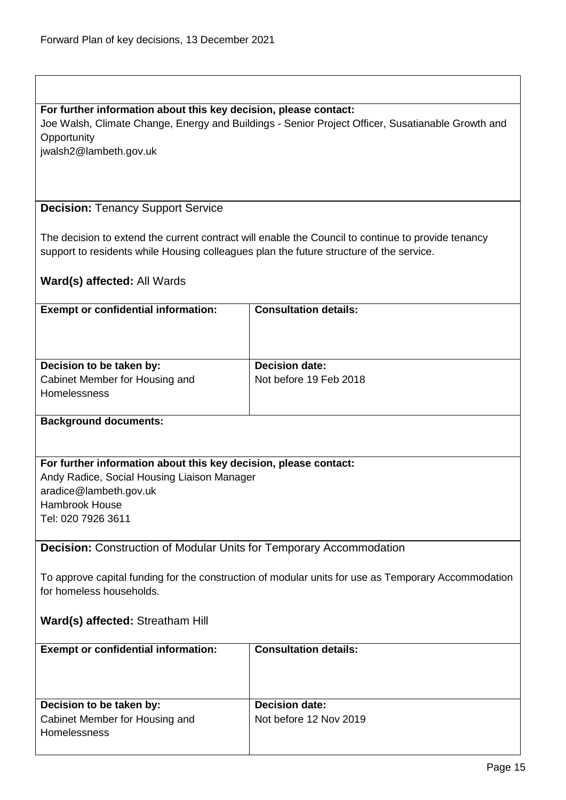## **For further information about this key decision, please contact:**

Joe Walsh, Climate Change, Energy and Buildings - Senior Project Officer, Susatianable Growth and **Opportunity** 

jwalsh2@lambeth.gov.uk

## <span id="page-14-0"></span>**Decision:** Tenancy Support Service

The decision to extend the current contract will enable the Council to continue to provide tenancy support to residents while Housing colleagues plan the future structure of the service.

## **Ward(s) affected:** All Wards

| <b>Exempt or confidential information:</b>     | <b>Consultation details:</b> |
|------------------------------------------------|------------------------------|
| Decision to be taken by:                       | <b>Decision date:</b>        |
| Cabinet Member for Housing and<br>Homelessness | Not before 19 Feb 2018       |

## **Background documents:**

## **For further information about this key decision, please contact:**

Andy Radice, Social Housing Liaison Manager aradice@lambeth.gov.uk Hambrook House Tel: 020 7926 3611

## <span id="page-14-1"></span>**Decision:** Construction of Modular Units for Temporary Accommodation

To approve capital funding for the construction of modular units for use as Temporary Accommodation for homeless households.

## **Ward(s) affected:** Streatham Hill

| <b>Exempt or confidential information:</b> | <b>Consultation details:</b> |
|--------------------------------------------|------------------------------|
| Decision to be taken by:                   | <b>Decision date:</b>        |
| Cabinet Member for Housing and             | Not before 12 Nov 2019       |
| <b>Homelessness</b>                        |                              |
|                                            |                              |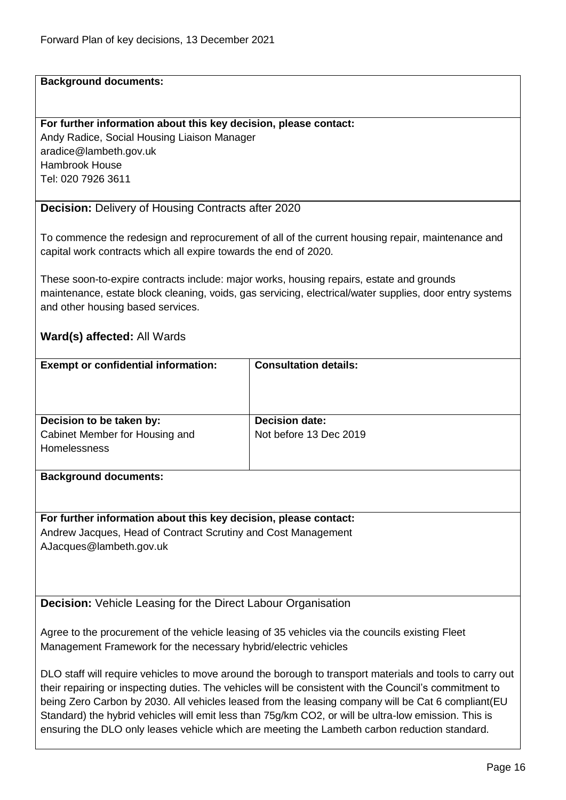#### **Background documents:**

#### **For further information about this key decision, please contact:**

Andy Radice, Social Housing Liaison Manager aradice@lambeth.gov.uk Hambrook House Tel: 020 7926 3611

## <span id="page-15-0"></span>**Decision:** Delivery of Housing Contracts after 2020

To commence the redesign and reprocurement of all of the current housing repair, maintenance and capital work contracts which all expire towards the end of 2020.

These soon-to-expire contracts include: major works, housing repairs, estate and grounds maintenance, estate block cleaning, voids, gas servicing, electrical/water supplies, door entry systems and other housing based services.

## **Ward(s) affected:** All Wards

| <b>Exempt or confidential information:</b>            | <b>Consultation details:</b> |
|-------------------------------------------------------|------------------------------|
| Decision to be taken by:                              | <b>Decision date:</b>        |
| Cabinet Member for Housing and<br><b>Homelessness</b> | Not before 13 Dec 2019       |

#### **Background documents:**

**For further information about this key decision, please contact:** Andrew Jacques, Head of Contract Scrutiny and Cost Management AJacques@lambeth.gov.uk

<span id="page-15-1"></span>**Decision:** Vehicle Leasing for the Direct Labour Organisation

Agree to the procurement of the vehicle leasing of 35 vehicles via the councils existing Fleet Management Framework for the necessary hybrid/electric vehicles

DLO staff will require vehicles to move around the borough to transport materials and tools to carry out their repairing or inspecting duties. The vehicles will be consistent with the Council's commitment to being Zero Carbon by 2030. All vehicles leased from the leasing company will be Cat 6 compliant(EU Standard) the hybrid vehicles will emit less than 75g/km CO2, or will be ultra-low emission. This is ensuring the DLO only leases vehicle which are meeting the Lambeth carbon reduction standard.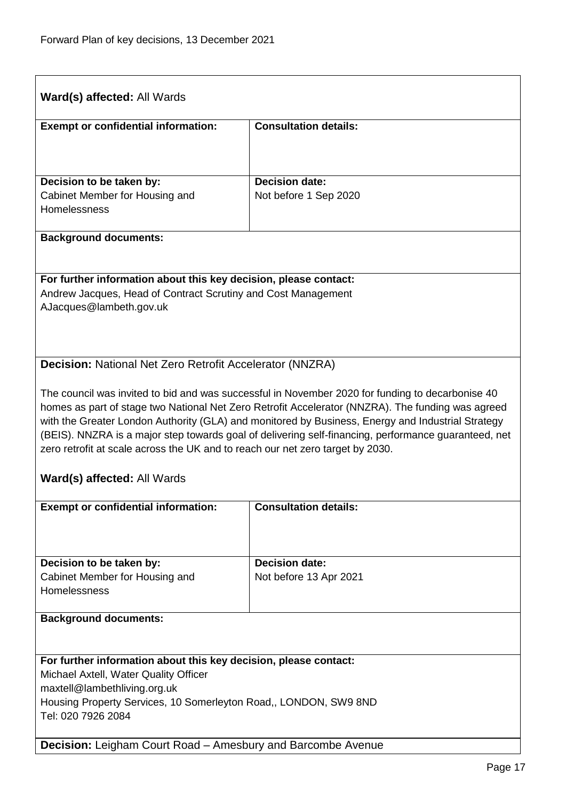<span id="page-16-1"></span><span id="page-16-0"></span>

| <b>Ward(s) affected: All Wards</b>                                                                                                                                                     |                                                                                                   |
|----------------------------------------------------------------------------------------------------------------------------------------------------------------------------------------|---------------------------------------------------------------------------------------------------|
| <b>Exempt or confidential information:</b>                                                                                                                                             | <b>Consultation details:</b>                                                                      |
|                                                                                                                                                                                        |                                                                                                   |
| Decision to be taken by:                                                                                                                                                               | <b>Decision date:</b>                                                                             |
| Cabinet Member for Housing and                                                                                                                                                         | Not before 1 Sep 2020                                                                             |
| Homelessness                                                                                                                                                                           |                                                                                                   |
| <b>Background documents:</b>                                                                                                                                                           |                                                                                                   |
|                                                                                                                                                                                        |                                                                                                   |
| For further information about this key decision, please contact:                                                                                                                       |                                                                                                   |
| Andrew Jacques, Head of Contract Scrutiny and Cost Management<br>AJacques@lambeth.gov.uk                                                                                               |                                                                                                   |
|                                                                                                                                                                                        |                                                                                                   |
|                                                                                                                                                                                        |                                                                                                   |
| <b>Decision: National Net Zero Retrofit Accelerator (NNZRA)</b>                                                                                                                        |                                                                                                   |
|                                                                                                                                                                                        |                                                                                                   |
|                                                                                                                                                                                        | The council was invited to bid and was successful in November 2020 for funding to decarbonise 40  |
|                                                                                                                                                                                        | homes as part of stage two National Net Zero Retrofit Accelerator (NNZRA). The funding was agreed |
|                                                                                                                                                                                        | with the Greater London Authority (GLA) and monitored by Business, Energy and Industrial Strategy |
| (BEIS). NNZRA is a major step towards goal of delivering self-financing, performance guaranteed, net<br>zero retrofit at scale across the UK and to reach our net zero target by 2030. |                                                                                                   |
|                                                                                                                                                                                        |                                                                                                   |
| <b>Ward(s) affected: All Wards</b>                                                                                                                                                     |                                                                                                   |
| <b>Exempt or confidential information:</b>                                                                                                                                             | <b>Consultation details:</b>                                                                      |
|                                                                                                                                                                                        |                                                                                                   |
|                                                                                                                                                                                        |                                                                                                   |
|                                                                                                                                                                                        | <b>Decision date:</b>                                                                             |
| Decision to be taken by:<br>Cabinet Member for Housing and                                                                                                                             | Not before 13 Apr 2021                                                                            |
| Homelessness                                                                                                                                                                           |                                                                                                   |
|                                                                                                                                                                                        |                                                                                                   |
| <b>Background documents:</b>                                                                                                                                                           |                                                                                                   |
|                                                                                                                                                                                        |                                                                                                   |
| For further information about this key decision, please contact:                                                                                                                       |                                                                                                   |
| Michael Axtell, Water Quality Officer                                                                                                                                                  |                                                                                                   |
| maxtell@lambethliving.org.uk                                                                                                                                                           |                                                                                                   |
| Housing Property Services, 10 Somerleyton Road,, LONDON, SW9 8ND<br>Tel: 020 7926 2084                                                                                                 |                                                                                                   |
|                                                                                                                                                                                        |                                                                                                   |
| <b>Decision:</b> Leigham Court Road - Amesbury and Barcombe Avenue                                                                                                                     |                                                                                                   |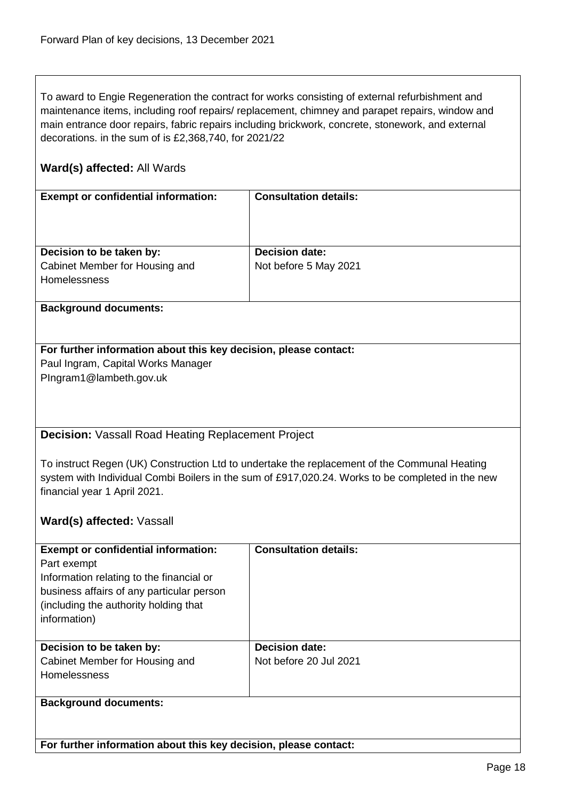To award to Engie Regeneration the contract for works consisting of external refurbishment and maintenance items, including roof repairs/ replacement, chimney and parapet repairs, window and main entrance door repairs, fabric repairs including brickwork, concrete, stonework, and external decorations. in the sum of is £2,368,740, for 2021/22

## **Ward(s) affected:** All Wards

| <b>Exempt or confidential information:</b> | <b>Consultation details:</b> |
|--------------------------------------------|------------------------------|
|                                            |                              |
| Decision to be taken by:                   | <b>Decision date:</b>        |
| Cabinet Member for Housing and             | Not before 5 May 2021        |
| <b>Homelessness</b>                        |                              |
|                                            |                              |

## **Background documents:**

## **For further information about this key decision, please contact:** Paul Ingram, Capital Works Manager PIngram1@lambeth.gov.uk

## <span id="page-17-0"></span>**Decision:** Vassall Road Heating Replacement Project

To instruct Regen (UK) Construction Ltd to undertake the replacement of the Communal Heating system with Individual Combi Boilers in the sum of £917,020.24. Works to be completed in the new financial year 1 April 2021.

## **Ward(s) affected:** Vassall

| <b>Exempt or confidential information:</b><br>Part exempt<br>Information relating to the financial or<br>business affairs of any particular person<br>(including the authority holding that)<br>information) | <b>Consultation details:</b>                    |
|--------------------------------------------------------------------------------------------------------------------------------------------------------------------------------------------------------------|-------------------------------------------------|
| Decision to be taken by:<br>Cabinet Member for Housing and<br><b>Homelessness</b>                                                                                                                            | <b>Decision date:</b><br>Not before 20 Jul 2021 |
| <b>Background documents:</b>                                                                                                                                                                                 |                                                 |

**For further information about this key decision, please contact:**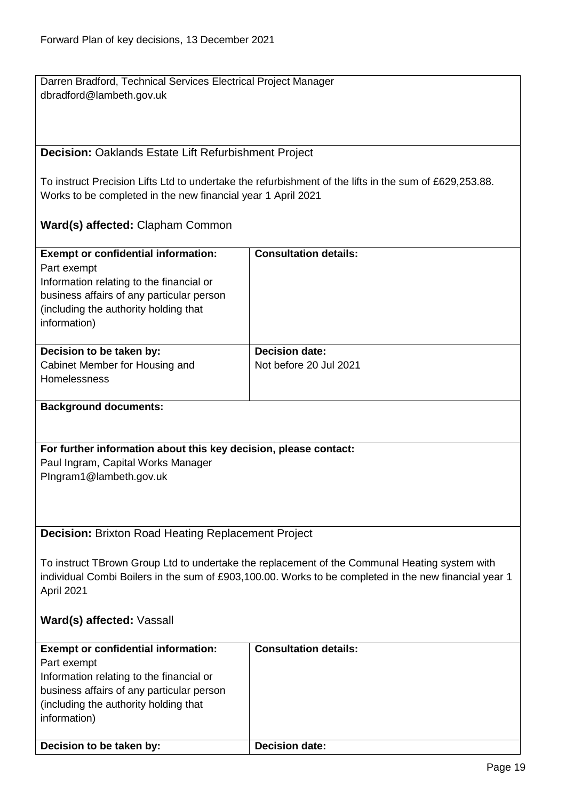Darren Bradford, Technical Services Electrical Project Manager dbradford@lambeth.gov.uk

## <span id="page-18-0"></span>**Decision:** Oaklands Estate Lift Refurbishment Project

To instruct Precision Lifts Ltd to undertake the refurbishment of the lifts in the sum of £629,253.88. Works to be completed in the new financial year 1 April 2021

## **Ward(s) affected:** Clapham Common

| <b>Exempt or confidential information:</b><br>Part exempt<br>Information relating to the financial or<br>business affairs of any particular person<br>(including the authority holding that)<br>information) | <b>Consultation details:</b>                    |
|--------------------------------------------------------------------------------------------------------------------------------------------------------------------------------------------------------------|-------------------------------------------------|
| Decision to be taken by:<br>Cabinet Member for Housing and<br><b>Homelessness</b>                                                                                                                            | <b>Decision date:</b><br>Not before 20 Jul 2021 |

## **Background documents:**

## **For further information about this key decision, please contact:** Paul Ingram, Capital Works Manager PIngram1@lambeth.gov.uk

## <span id="page-18-1"></span>**Decision:** Brixton Road Heating Replacement Project

To instruct TBrown Group Ltd to undertake the replacement of the Communal Heating system with individual Combi Boilers in the sum of £903,100.00. Works to be completed in the new financial year 1 April 2021

## **Ward(s) affected:** Vassall

| <b>Exempt or confidential information:</b> | <b>Consultation details:</b> |
|--------------------------------------------|------------------------------|
| Part exempt                                |                              |
| Information relating to the financial or   |                              |
| business affairs of any particular person  |                              |
| (including the authority holding that)     |                              |
| information)                               |                              |
|                                            |                              |
| Decision to be taken by:                   | Decision date:               |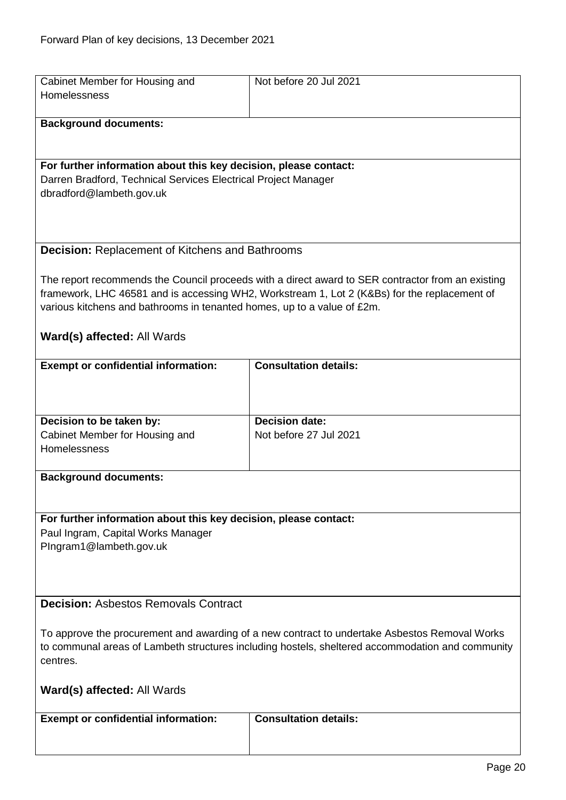<span id="page-19-1"></span><span id="page-19-0"></span>

| Cabinet Member for Housing and                                                                   | Not before 20 Jul 2021                                                                            |
|--------------------------------------------------------------------------------------------------|---------------------------------------------------------------------------------------------------|
| Homelessness                                                                                     |                                                                                                   |
|                                                                                                  |                                                                                                   |
| <b>Background documents:</b>                                                                     |                                                                                                   |
|                                                                                                  |                                                                                                   |
|                                                                                                  |                                                                                                   |
| For further information about this key decision, please contact:                                 |                                                                                                   |
| Darren Bradford, Technical Services Electrical Project Manager                                   |                                                                                                   |
| dbradford@lambeth.gov.uk                                                                         |                                                                                                   |
|                                                                                                  |                                                                                                   |
|                                                                                                  |                                                                                                   |
|                                                                                                  |                                                                                                   |
| <b>Decision: Replacement of Kitchens and Bathrooms</b>                                           |                                                                                                   |
|                                                                                                  |                                                                                                   |
|                                                                                                  | The report recommends the Council proceeds with a direct award to SER contractor from an existing |
|                                                                                                  | framework, LHC 46581 and is accessing WH2, Workstream 1, Lot 2 (K&Bs) for the replacement of      |
| various kitchens and bathrooms in tenanted homes, up to a value of £2m.                          |                                                                                                   |
|                                                                                                  |                                                                                                   |
| Ward(s) affected: All Wards                                                                      |                                                                                                   |
|                                                                                                  |                                                                                                   |
| <b>Exempt or confidential information:</b>                                                       | <b>Consultation details:</b>                                                                      |
|                                                                                                  |                                                                                                   |
|                                                                                                  |                                                                                                   |
|                                                                                                  |                                                                                                   |
| Decision to be taken by:                                                                         | <b>Decision date:</b>                                                                             |
| Cabinet Member for Housing and                                                                   | Not before 27 Jul 2021                                                                            |
| Homelessness                                                                                     |                                                                                                   |
|                                                                                                  |                                                                                                   |
| <b>Background documents:</b>                                                                     |                                                                                                   |
|                                                                                                  |                                                                                                   |
|                                                                                                  |                                                                                                   |
| For further information about this key decision, please contact:                                 |                                                                                                   |
| Paul Ingram, Capital Works Manager                                                               |                                                                                                   |
| PIngram1@lambeth.gov.uk                                                                          |                                                                                                   |
|                                                                                                  |                                                                                                   |
|                                                                                                  |                                                                                                   |
|                                                                                                  |                                                                                                   |
| <b>Decision: Asbestos Removals Contract</b>                                                      |                                                                                                   |
|                                                                                                  |                                                                                                   |
| To approve the procurement and awarding of a new contract to undertake Asbestos Removal Works    |                                                                                                   |
| to communal areas of Lambeth structures including hostels, sheltered accommodation and community |                                                                                                   |
| centres.                                                                                         |                                                                                                   |
|                                                                                                  |                                                                                                   |
| <b>Ward(s) affected: All Wards</b>                                                               |                                                                                                   |
|                                                                                                  |                                                                                                   |
| <b>Exempt or confidential information:</b>                                                       | <b>Consultation details:</b>                                                                      |
|                                                                                                  |                                                                                                   |
|                                                                                                  |                                                                                                   |
|                                                                                                  |                                                                                                   |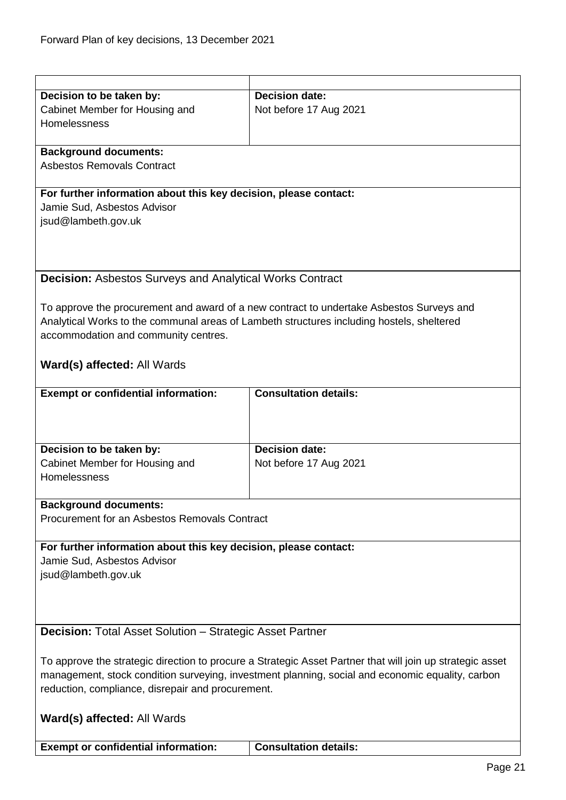<span id="page-20-1"></span><span id="page-20-0"></span>

| Decision to be taken by:                                                                                  | <b>Decision date:</b>                                                                     |
|-----------------------------------------------------------------------------------------------------------|-------------------------------------------------------------------------------------------|
| Cabinet Member for Housing and                                                                            | Not before 17 Aug 2021                                                                    |
| Homelessness                                                                                              |                                                                                           |
|                                                                                                           |                                                                                           |
| <b>Background documents:</b>                                                                              |                                                                                           |
| <b>Asbestos Removals Contract</b>                                                                         |                                                                                           |
|                                                                                                           |                                                                                           |
| For further information about this key decision, please contact:                                          |                                                                                           |
| Jamie Sud, Asbestos Advisor                                                                               |                                                                                           |
| jsud@lambeth.gov.uk                                                                                       |                                                                                           |
|                                                                                                           |                                                                                           |
|                                                                                                           |                                                                                           |
|                                                                                                           |                                                                                           |
| <b>Decision: Asbestos Surveys and Analytical Works Contract</b>                                           |                                                                                           |
|                                                                                                           |                                                                                           |
|                                                                                                           | To approve the procurement and award of a new contract to undertake Asbestos Surveys and  |
|                                                                                                           | Analytical Works to the communal areas of Lambeth structures including hostels, sheltered |
|                                                                                                           |                                                                                           |
| accommodation and community centres.                                                                      |                                                                                           |
|                                                                                                           |                                                                                           |
| Ward(s) affected: All Wards                                                                               |                                                                                           |
|                                                                                                           |                                                                                           |
| <b>Exempt or confidential information:</b>                                                                | <b>Consultation details:</b>                                                              |
|                                                                                                           |                                                                                           |
|                                                                                                           |                                                                                           |
|                                                                                                           |                                                                                           |
| Decision to be taken by:                                                                                  | <b>Decision date:</b>                                                                     |
| Cabinet Member for Housing and                                                                            | Not before 17 Aug 2021                                                                    |
| Homelessness                                                                                              |                                                                                           |
|                                                                                                           |                                                                                           |
| <b>Background documents:</b>                                                                              |                                                                                           |
| Procurement for an Asbestos Removals Contract                                                             |                                                                                           |
|                                                                                                           |                                                                                           |
| For further information about this key decision, please contact:                                          |                                                                                           |
| Jamie Sud, Asbestos Advisor                                                                               |                                                                                           |
| jsud@lambeth.gov.uk                                                                                       |                                                                                           |
|                                                                                                           |                                                                                           |
|                                                                                                           |                                                                                           |
|                                                                                                           |                                                                                           |
| <b>Decision:</b> Total Asset Solution – Strategic Asset Partner                                           |                                                                                           |
|                                                                                                           |                                                                                           |
| To approve the strategic direction to procure a Strategic Asset Partner that will join up strategic asset |                                                                                           |
| management, stock condition surveying, investment planning, social and economic equality, carbon          |                                                                                           |
| reduction, compliance, disrepair and procurement.                                                         |                                                                                           |
|                                                                                                           |                                                                                           |
|                                                                                                           |                                                                                           |
| Ward(s) affected: All Wards                                                                               |                                                                                           |
|                                                                                                           |                                                                                           |
| <b>Exempt or confidential information:</b>                                                                | <b>Consultation details:</b>                                                              |
|                                                                                                           | Page 21                                                                                   |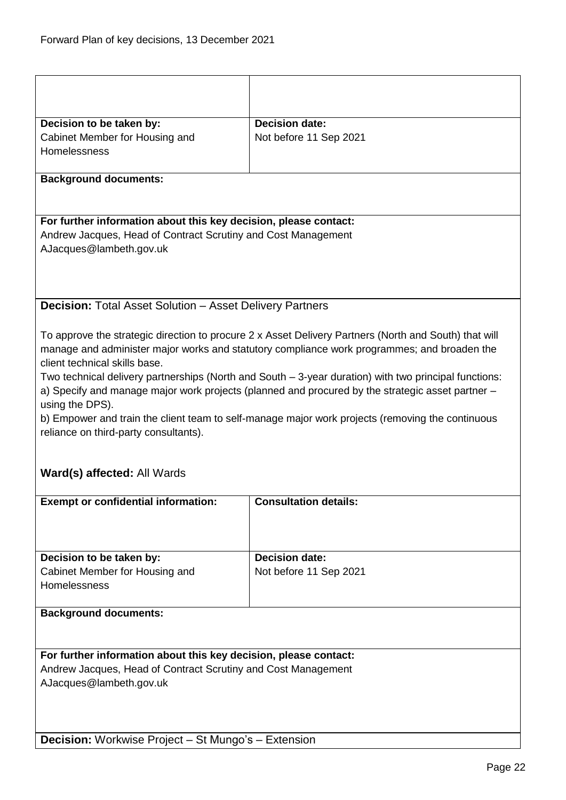<span id="page-21-1"></span><span id="page-21-0"></span>

| Decision to be taken by:<br>Cabinet Member for Housing and<br>Homelessness                                                                                                                                                                                                                                                                                                                                                                                                                                                                                                                                                                        | <b>Decision date:</b><br>Not before 11 Sep 2021 |  |
|---------------------------------------------------------------------------------------------------------------------------------------------------------------------------------------------------------------------------------------------------------------------------------------------------------------------------------------------------------------------------------------------------------------------------------------------------------------------------------------------------------------------------------------------------------------------------------------------------------------------------------------------------|-------------------------------------------------|--|
| <b>Background documents:</b>                                                                                                                                                                                                                                                                                                                                                                                                                                                                                                                                                                                                                      |                                                 |  |
| For further information about this key decision, please contact:<br>Andrew Jacques, Head of Contract Scrutiny and Cost Management<br>AJacques@lambeth.gov.uk                                                                                                                                                                                                                                                                                                                                                                                                                                                                                      |                                                 |  |
| <b>Decision: Total Asset Solution - Asset Delivery Partners</b>                                                                                                                                                                                                                                                                                                                                                                                                                                                                                                                                                                                   |                                                 |  |
| To approve the strategic direction to procure 2 x Asset Delivery Partners (North and South) that will<br>manage and administer major works and statutory compliance work programmes; and broaden the<br>client technical skills base.<br>Two technical delivery partnerships (North and South - 3-year duration) with two principal functions:<br>a) Specify and manage major work projects (planned and procured by the strategic asset partner -<br>using the DPS).<br>b) Empower and train the client team to self-manage major work projects (removing the continuous<br>reliance on third-party consultants).<br>Ward(s) affected: All Wards |                                                 |  |
| <b>Exempt or confidential information:</b>                                                                                                                                                                                                                                                                                                                                                                                                                                                                                                                                                                                                        | <b>Consultation details:</b>                    |  |
|                                                                                                                                                                                                                                                                                                                                                                                                                                                                                                                                                                                                                                                   |                                                 |  |
| Decision to be taken by:                                                                                                                                                                                                                                                                                                                                                                                                                                                                                                                                                                                                                          | <b>Decision date:</b>                           |  |
| Cabinet Member for Housing and<br>Homelessness                                                                                                                                                                                                                                                                                                                                                                                                                                                                                                                                                                                                    | Not before 11 Sep 2021                          |  |
| <b>Background documents:</b>                                                                                                                                                                                                                                                                                                                                                                                                                                                                                                                                                                                                                      |                                                 |  |
|                                                                                                                                                                                                                                                                                                                                                                                                                                                                                                                                                                                                                                                   |                                                 |  |
| For further information about this key decision, please contact:<br>Andrew Jacques, Head of Contract Scrutiny and Cost Management<br>AJacques@lambeth.gov.uk                                                                                                                                                                                                                                                                                                                                                                                                                                                                                      |                                                 |  |
| <b>Decision:</b> Workwise Project – St Mungo's – Extension                                                                                                                                                                                                                                                                                                                                                                                                                                                                                                                                                                                        |                                                 |  |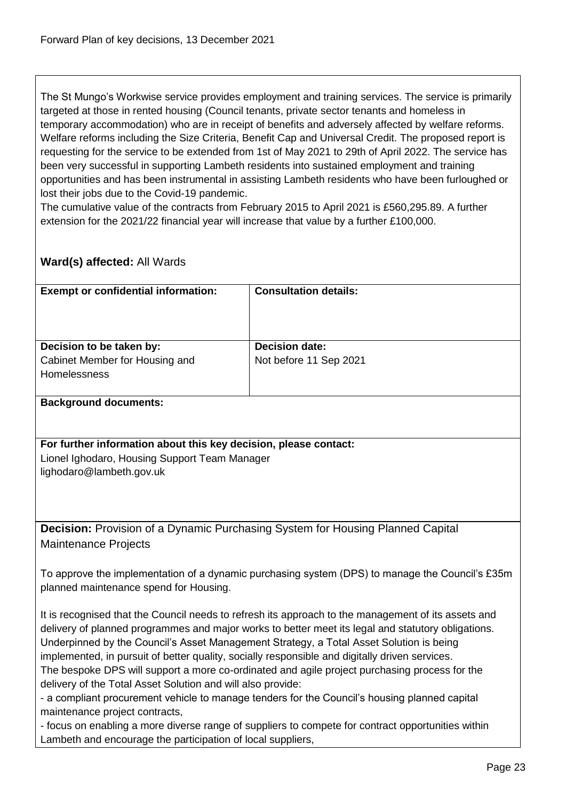The St Mungo's Workwise service provides employment and training services. The service is primarily targeted at those in rented housing (Council tenants, private sector tenants and homeless in temporary accommodation) who are in receipt of benefits and adversely affected by welfare reforms. Welfare reforms including the Size Criteria, Benefit Cap and Universal Credit. The proposed report is requesting for the service to be extended from 1st of May 2021 to 29th of April 2022. The service has been very successful in supporting Lambeth residents into sustained employment and training opportunities and has been instrumental in assisting Lambeth residents who have been furloughed or lost their jobs due to the Covid-19 pandemic.

The cumulative value of the contracts from February 2015 to April 2021 is £560,295.89. A further extension for the 2021/22 financial year will increase that value by a further £100,000.

## **Ward(s) affected:** All Wards

| <b>Exempt or confidential information:</b>                                        | <b>Consultation details:</b>                    |
|-----------------------------------------------------------------------------------|-------------------------------------------------|
| Decision to be taken by:<br>Cabinet Member for Housing and<br><b>Homelessness</b> | <b>Decision date:</b><br>Not before 11 Sep 2021 |

## **Background documents:**

**For further information about this key decision, please contact:** Lionel Ighodaro, Housing Support Team Manager lighodaro@lambeth.gov.uk

<span id="page-22-0"></span>**Decision:** Provision of a Dynamic Purchasing System for Housing Planned Capital Maintenance Projects

To approve the implementation of a dynamic purchasing system (DPS) to manage the Council's £35m planned maintenance spend for Housing.

It is recognised that the Council needs to refresh its approach to the management of its assets and delivery of planned programmes and major works to better meet its legal and statutory obligations. Underpinned by the Council's Asset Management Strategy, a Total Asset Solution is being implemented, in pursuit of better quality, socially responsible and digitally driven services. The bespoke DPS will support a more co-ordinated and agile project purchasing process for the delivery of the Total Asset Solution and will also provide:

- a compliant procurement vehicle to manage tenders for the Council's housing planned capital maintenance project contracts,

- focus on enabling a more diverse range of suppliers to compete for contract opportunities within Lambeth and encourage the participation of local suppliers,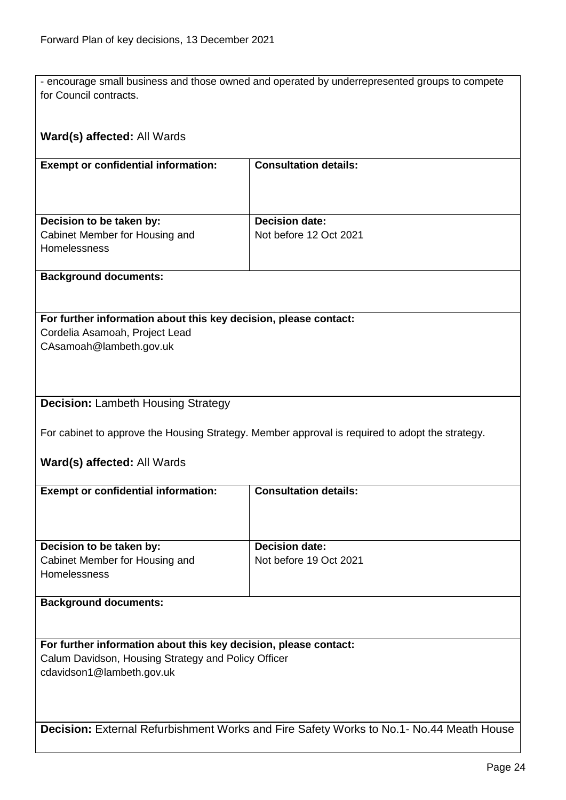- encourage small business and those owned and operated by underrepresented groups to compete for Council contracts.

<span id="page-23-1"></span><span id="page-23-0"></span>

| Ward(s) affected: All Wards                                                             |                                                                                                 |  |
|-----------------------------------------------------------------------------------------|-------------------------------------------------------------------------------------------------|--|
| <b>Exempt or confidential information:</b>                                              | <b>Consultation details:</b>                                                                    |  |
|                                                                                         |                                                                                                 |  |
|                                                                                         |                                                                                                 |  |
| Decision to be taken by:                                                                | <b>Decision date:</b>                                                                           |  |
| Cabinet Member for Housing and<br>Homelessness                                          | Not before 12 Oct 2021                                                                          |  |
|                                                                                         |                                                                                                 |  |
| <b>Background documents:</b>                                                            |                                                                                                 |  |
|                                                                                         |                                                                                                 |  |
| For further information about this key decision, please contact:                        |                                                                                                 |  |
| Cordelia Asamoah, Project Lead                                                          |                                                                                                 |  |
| CAsamoah@lambeth.gov.uk                                                                 |                                                                                                 |  |
|                                                                                         |                                                                                                 |  |
|                                                                                         |                                                                                                 |  |
| <b>Decision: Lambeth Housing Strategy</b>                                               |                                                                                                 |  |
|                                                                                         | For cabinet to approve the Housing Strategy. Member approval is required to adopt the strategy. |  |
|                                                                                         |                                                                                                 |  |
| Ward(s) affected: All Wards                                                             |                                                                                                 |  |
| <b>Exempt or confidential information:</b>                                              | <b>Consultation details:</b>                                                                    |  |
|                                                                                         |                                                                                                 |  |
|                                                                                         |                                                                                                 |  |
| Decision to be taken by:                                                                | <b>Decision date:</b>                                                                           |  |
| Cabinet Member for Housing and<br>Homelessness                                          | Not before 19 Oct 2021                                                                          |  |
|                                                                                         |                                                                                                 |  |
| <b>Background documents:</b>                                                            |                                                                                                 |  |
|                                                                                         |                                                                                                 |  |
| For further information about this key decision, please contact:                        |                                                                                                 |  |
| Calum Davidson, Housing Strategy and Policy Officer<br>cdavidson1@lambeth.gov.uk        |                                                                                                 |  |
|                                                                                         |                                                                                                 |  |
|                                                                                         |                                                                                                 |  |
|                                                                                         |                                                                                                 |  |
| Decision: External Refurbishment Works and Fire Safety Works to No.1- No.44 Meath House |                                                                                                 |  |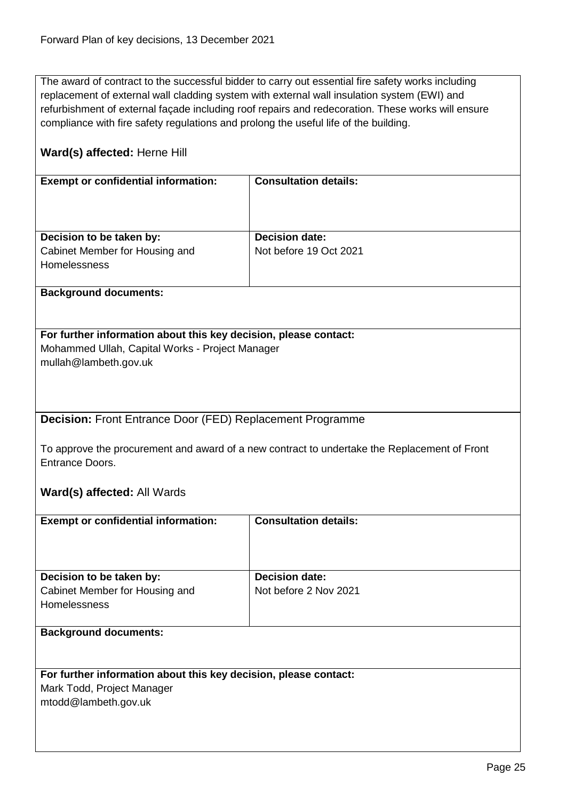The award of contract to the successful bidder to carry out essential fire safety works including replacement of external wall cladding system with external wall insulation system (EWI) and refurbishment of external façade including roof repairs and redecoration. These works will ensure compliance with fire safety regulations and prolong the useful life of the building.

## **Ward(s) affected:** Herne Hill

| <b>Exempt or confidential information:</b>            | <b>Consultation details:</b> |
|-------------------------------------------------------|------------------------------|
| Decision to be taken by:                              | <b>Decision date:</b>        |
| Cabinet Member for Housing and<br><b>Homelessness</b> | Not before 19 Oct 2021       |

#### **Background documents:**

## **For further information about this key decision, please contact:** Mohammed Ullah, Capital Works - Project Manager

mullah@lambeth.gov.uk

<span id="page-24-0"></span>**Decision:** Front Entrance Door (FED) Replacement Programme

To approve the procurement and award of a new contract to undertake the Replacement of Front Entrance Doors.

## **Ward(s) affected:** All Wards

| <b>Exempt or confidential information:</b>                                        | <b>Consultation details:</b>                   |
|-----------------------------------------------------------------------------------|------------------------------------------------|
|                                                                                   |                                                |
| Decision to be taken by:<br>Cabinet Member for Housing and<br><b>Homelessness</b> | <b>Decision date:</b><br>Not before 2 Nov 2021 |
| <b>Background documents:</b>                                                      |                                                |

## **For further information about this key decision, please contact:**

Mark Todd, Project Manager

mtodd@lambeth.gov.uk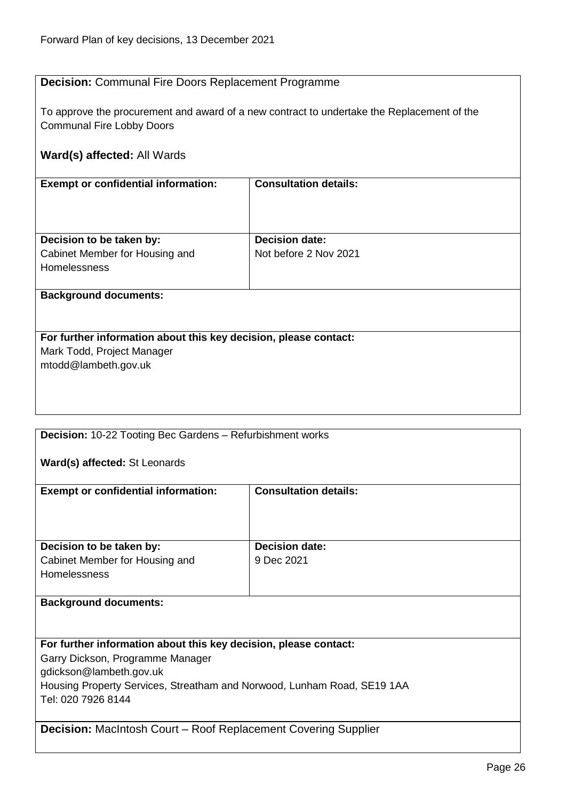## <span id="page-25-0"></span>**Decision:** Communal Fire Doors Replacement Programme

To approve the procurement and award of a new contract to undertake the Replacement of the Communal Fire Lobby Doors

## **Ward(s) affected:** All Wards

| <b>Exempt or confidential information:</b>                      | <b>Consultation details:</b> |
|-----------------------------------------------------------------|------------------------------|
|                                                                 |                              |
|                                                                 |                              |
|                                                                 |                              |
|                                                                 |                              |
| Decision to be taken by:                                        | <b>Decision date:</b>        |
| Cabinet Member for Housing and                                  | Not before 2 Nov 2021        |
| Homelessness                                                    |                              |
|                                                                 |                              |
|                                                                 |                              |
| <b>Background documents:</b>                                    |                              |
|                                                                 |                              |
|                                                                 |                              |
| For further information about this key decision please contact. |                              |

#### ation about this key decision, please contact: Mark Todd, Project Manager

mtodd@lambeth.gov.uk

<span id="page-25-1"></span>**Decision:** 10-22 Tooting Bec Gardens – Refurbishment works

**Ward(s) affected:** St Leonards

| <b>Exempt or confidential information:</b> | <b>Consultation details:</b> |
|--------------------------------------------|------------------------------|
| Decision to be taken by:                   | <b>Decision date:</b>        |
| Cabinet Member for Housing and             | 9 Dec 2021                   |
| <b>Homelessness</b>                        |                              |
| <b>Background documents:</b>               |                              |

**For further information about this key decision, please contact:** Garry Dickson, Programme Manager gdickson@lambeth.gov.uk Housing Property Services, Streatham and Norwood, Lunham Road, SE19 1AA Tel: 020 7926 8144

<span id="page-25-2"></span>**Decision:** MacIntosh Court – Roof Replacement Covering Supplier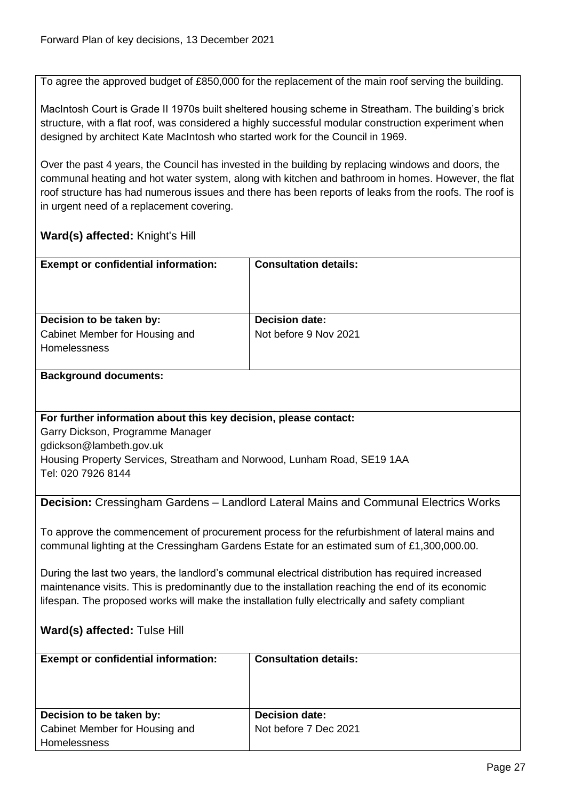To agree the approved budget of £850,000 for the replacement of the main roof serving the building.

MacIntosh Court is Grade II 1970s built sheltered housing scheme in Streatham. The building's brick structure, with a flat roof, was considered a highly successful modular construction experiment when designed by architect Kate MacIntosh who started work for the Council in 1969.

Over the past 4 years, the Council has invested in the building by replacing windows and doors, the communal heating and hot water system, along with kitchen and bathroom in homes. However, the flat roof structure has had numerous issues and there has been reports of leaks from the roofs. The roof is in urgent need of a replacement covering.

## **Ward(s) affected:** Knight's Hill

| <b>Exempt or confidential information:</b>                                        | <b>Consultation details:</b>                   |
|-----------------------------------------------------------------------------------|------------------------------------------------|
| Decision to be taken by:<br>Cabinet Member for Housing and<br><b>Homelessness</b> | <b>Decision date:</b><br>Not before 9 Nov 2021 |

#### **Background documents:**

## **For further information about this key decision, please contact:**

Garry Dickson, Programme Manager gdickson@lambeth.gov.uk Housing Property Services, Streatham and Norwood, Lunham Road, SE19 1AA Tel: 020 7926 8144

<span id="page-26-0"></span>**Decision:** Cressingham Gardens – Landlord Lateral Mains and Communal Electrics Works

To approve the commencement of procurement process for the refurbishment of lateral mains and communal lighting at the Cressingham Gardens Estate for an estimated sum of £1,300,000.00.

During the last two years, the landlord's communal electrical distribution has required increased maintenance visits. This is predominantly due to the installation reaching the end of its economic lifespan. The proposed works will make the installation fully electrically and safety compliant

## **Ward(s) affected:** Tulse Hill

| <b>Exempt or confidential information:</b> | <b>Consultation details:</b> |
|--------------------------------------------|------------------------------|
| Decision to be taken by:                   | <b>Decision date:</b>        |
| Cabinet Member for Housing and             | Not before 7 Dec 2021        |
| <b>Homelessness</b>                        |                              |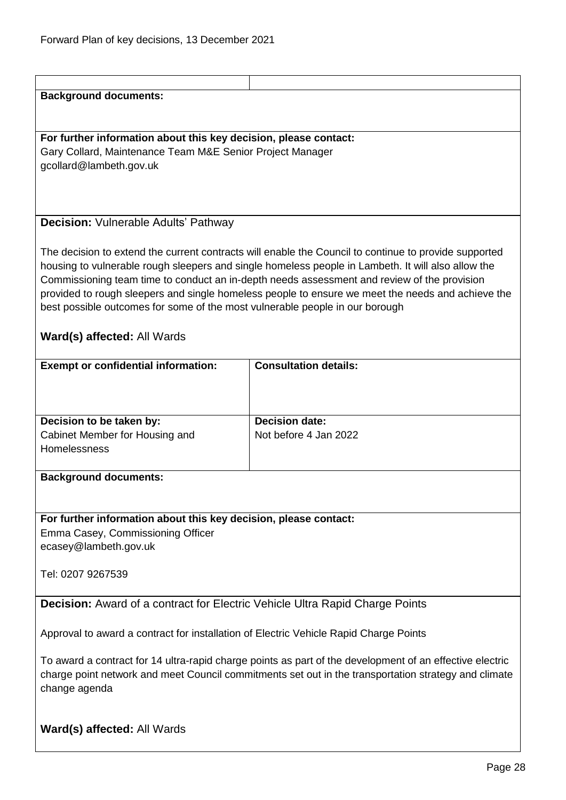## <span id="page-27-1"></span><span id="page-27-0"></span>**Background documents: For further information about this key decision, please contact:** Gary Collard, Maintenance Team M&E Senior Project Manager gcollard@lambeth.gov.uk **Decision:** Vulnerable Adults' Pathway The decision to extend the current contracts will enable the Council to continue to provide supported housing to vulnerable rough sleepers and single homeless people in Lambeth. It will also allow the Commissioning team time to conduct an in-depth needs assessment and review of the provision provided to rough sleepers and single homeless people to ensure we meet the needs and achieve the best possible outcomes for some of the most vulnerable people in our borough **Ward(s) affected:** All Wards **Exempt or confidential information: Consultation details: Decision to be taken by:** Cabinet Member for Housing and Homelessness **Decision date:** Not before 4 Jan 2022 **Background documents: For further information about this key decision, please contact:** Emma Casey, Commissioning Officer ecasey@lambeth.gov.uk Tel: 0207 9267539 **Decision:** Award of a contract for Electric Vehicle Ultra Rapid Charge Points Approval to award a contract for installation of Electric Vehicle Rapid Charge Points To award a contract for 14 ultra-rapid charge points as part of the development of an effective electric charge point network and meet Council commitments set out in the transportation strategy and climate change agenda **Ward(s) affected:** All Wards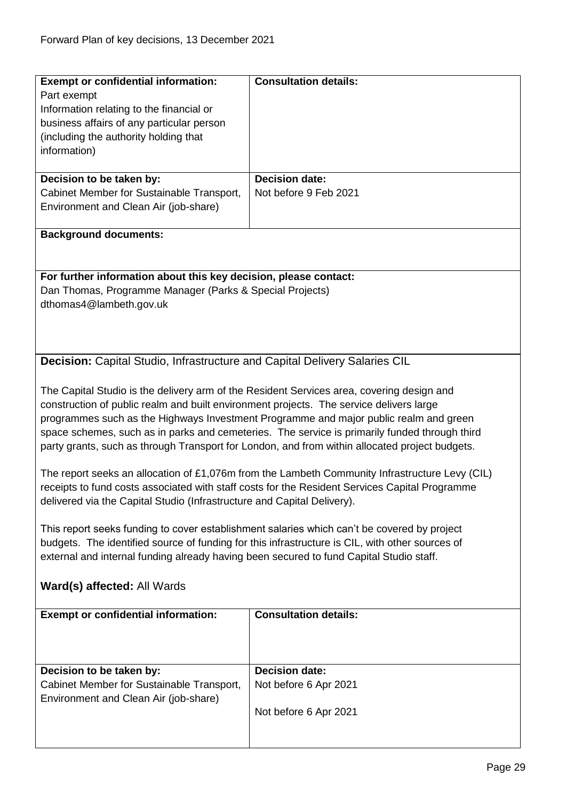<span id="page-28-0"></span>

| <b>Exempt or confidential information:</b>                                                      | <b>Consultation details:</b>                                                                   |  |
|-------------------------------------------------------------------------------------------------|------------------------------------------------------------------------------------------------|--|
|                                                                                                 |                                                                                                |  |
| Part exempt                                                                                     |                                                                                                |  |
| Information relating to the financial or                                                        |                                                                                                |  |
| business affairs of any particular person                                                       |                                                                                                |  |
| (including the authority holding that                                                           |                                                                                                |  |
| information)                                                                                    |                                                                                                |  |
|                                                                                                 |                                                                                                |  |
| Decision to be taken by:                                                                        | <b>Decision date:</b>                                                                          |  |
| Cabinet Member for Sustainable Transport,                                                       | Not before 9 Feb 2021                                                                          |  |
| Environment and Clean Air (job-share)                                                           |                                                                                                |  |
|                                                                                                 |                                                                                                |  |
| <b>Background documents:</b>                                                                    |                                                                                                |  |
|                                                                                                 |                                                                                                |  |
|                                                                                                 |                                                                                                |  |
|                                                                                                 |                                                                                                |  |
| For further information about this key decision, please contact:                                |                                                                                                |  |
| Dan Thomas, Programme Manager (Parks & Special Projects)                                        |                                                                                                |  |
| dthomas4@lambeth.gov.uk                                                                         |                                                                                                |  |
|                                                                                                 |                                                                                                |  |
|                                                                                                 |                                                                                                |  |
|                                                                                                 |                                                                                                |  |
| <b>Decision:</b> Capital Studio, Infrastructure and Capital Delivery Salaries CIL               |                                                                                                |  |
|                                                                                                 |                                                                                                |  |
|                                                                                                 |                                                                                                |  |
| The Capital Studio is the delivery arm of the Resident Services area, covering design and       |                                                                                                |  |
| construction of public realm and built environment projects. The service delivers large         |                                                                                                |  |
|                                                                                                 | programmes such as the Highways Investment Programme and major public realm and green          |  |
|                                                                                                 | space schemes, such as in parks and cemeteries. The service is primarily funded through third  |  |
| party grants, such as through Transport for London, and from within allocated project budgets.  |                                                                                                |  |
|                                                                                                 |                                                                                                |  |
|                                                                                                 | The report seeks an allocation of £1,076m from the Lambeth Community Infrastructure Levy (CIL) |  |
|                                                                                                 | receipts to fund costs associated with staff costs for the Resident Services Capital Programme |  |
| delivered via the Capital Studio (Infrastructure and Capital Delivery).                         |                                                                                                |  |
|                                                                                                 |                                                                                                |  |
| This report seeks funding to cover establishment salaries which can't be covered by project     |                                                                                                |  |
| budgets. The identified source of funding for this infrastructure is CIL, with other sources of |                                                                                                |  |
| external and internal funding already having been secured to fund Capital Studio staff.         |                                                                                                |  |
|                                                                                                 |                                                                                                |  |
|                                                                                                 |                                                                                                |  |
| Ward(s) affected: All Wards                                                                     |                                                                                                |  |
|                                                                                                 |                                                                                                |  |
| <b>Exempt or confidential information:</b>                                                      | <b>Consultation details:</b>                                                                   |  |
|                                                                                                 |                                                                                                |  |
|                                                                                                 |                                                                                                |  |
|                                                                                                 |                                                                                                |  |
| Decision to be taken by:                                                                        | <b>Decision date:</b>                                                                          |  |
| Cabinet Member for Sustainable Transport,                                                       | Not before 6 Apr 2021                                                                          |  |
| Environment and Clean Air (job-share)                                                           |                                                                                                |  |
|                                                                                                 | Not before 6 Apr 2021                                                                          |  |
|                                                                                                 |                                                                                                |  |
|                                                                                                 |                                                                                                |  |
|                                                                                                 |                                                                                                |  |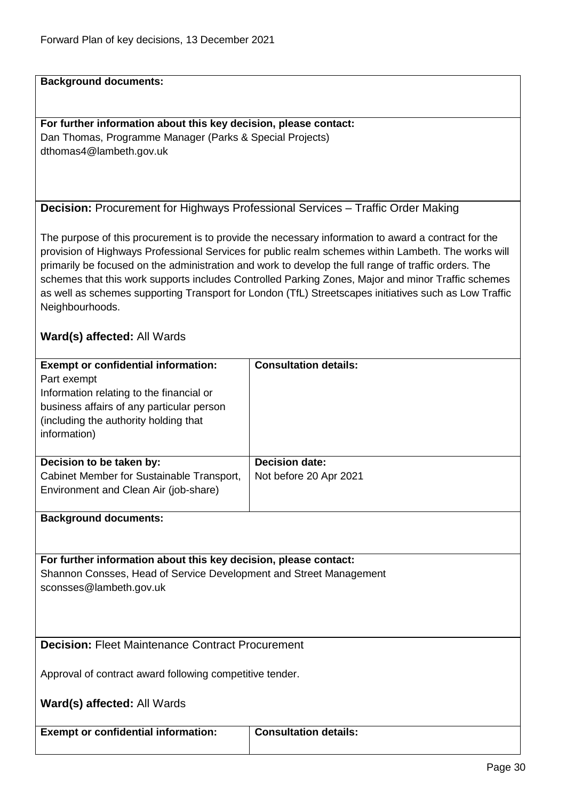**Background documents:**

**For further information about this key decision, please contact:** Dan Thomas, Programme Manager (Parks & Special Projects) dthomas4@lambeth.gov.uk

<span id="page-29-0"></span>

| Decision: Procurement for Highways Professional Services - Traffic Order Making |  |  |
|---------------------------------------------------------------------------------|--|--|
|---------------------------------------------------------------------------------|--|--|

The purpose of this procurement is to provide the necessary information to award a contract for the provision of Highways Professional Services for public realm schemes within Lambeth. The works will primarily be focused on the administration and work to develop the full range of traffic orders. The schemes that this work supports includes Controlled Parking Zones, Major and minor Traffic schemes as well as schemes supporting Transport for London (TfL) Streetscapes initiatives such as Low Traffic Neighbourhoods.

## **Ward(s) affected:** All Wards

| <b>Exempt or confidential information:</b> | <b>Consultation details:</b> |
|--------------------------------------------|------------------------------|
| Part exempt                                |                              |
| Information relating to the financial or   |                              |
| business affairs of any particular person  |                              |
| (including the authority holding that)     |                              |
| information)                               |                              |
|                                            |                              |
| Decision to be taken by:                   | <b>Decision date:</b>        |
| Cabinet Member for Sustainable Transport,  | Not before 20 Apr 2021       |
| Environment and Clean Air (job-share)      |                              |
|                                            |                              |
| <b>Background documents:</b>               |                              |
|                                            |                              |

**For further information about this key decision, please contact:** Shannon Consses, Head of Service Development and Street Management sconsses@lambeth.gov.uk

<span id="page-29-1"></span>**Decision: Fleet Maintenance Contract Procurement** 

Approval of contract award following competitive tender.

**Ward(s) affected:** All Wards

**Exempt or confidential information: Consultation details:**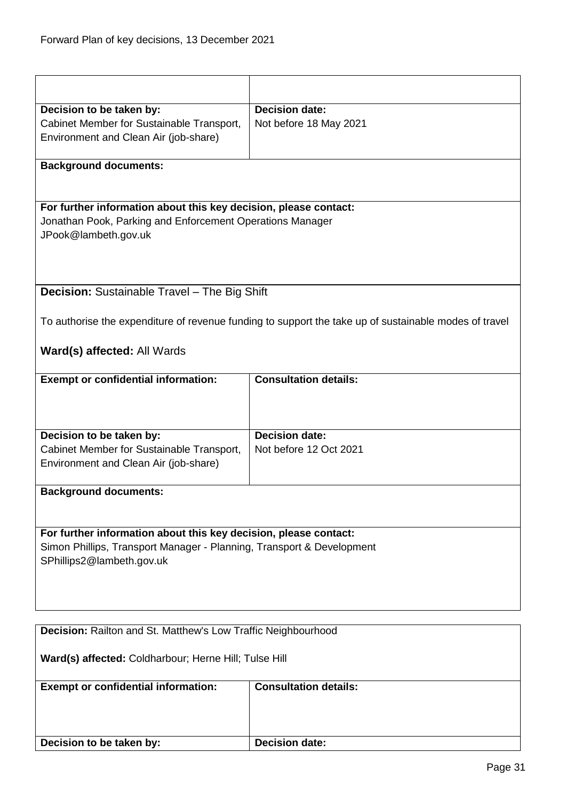<span id="page-30-1"></span><span id="page-30-0"></span>

| Decision to be taken by:                                              | <b>Decision date:</b>                                                                                 |  |
|-----------------------------------------------------------------------|-------------------------------------------------------------------------------------------------------|--|
| Cabinet Member for Sustainable Transport,                             | Not before 18 May 2021                                                                                |  |
| Environment and Clean Air (job-share)                                 |                                                                                                       |  |
|                                                                       |                                                                                                       |  |
| <b>Background documents:</b>                                          |                                                                                                       |  |
|                                                                       |                                                                                                       |  |
| For further information about this key decision, please contact:      |                                                                                                       |  |
| Jonathan Pook, Parking and Enforcement Operations Manager             |                                                                                                       |  |
| JPook@lambeth.gov.uk                                                  |                                                                                                       |  |
|                                                                       |                                                                                                       |  |
|                                                                       |                                                                                                       |  |
| <b>Decision:</b> Sustainable Travel - The Big Shift                   |                                                                                                       |  |
|                                                                       |                                                                                                       |  |
|                                                                       | To authorise the expenditure of revenue funding to support the take up of sustainable modes of travel |  |
|                                                                       |                                                                                                       |  |
| <b>Ward(s) affected: All Wards</b>                                    |                                                                                                       |  |
| <b>Exempt or confidential information:</b>                            | <b>Consultation details:</b>                                                                          |  |
|                                                                       |                                                                                                       |  |
|                                                                       |                                                                                                       |  |
|                                                                       |                                                                                                       |  |
| Decision to be taken by:                                              | <b>Decision date:</b>                                                                                 |  |
| Cabinet Member for Sustainable Transport,                             | Not before 12 Oct 2021                                                                                |  |
| Environment and Clean Air (job-share)                                 |                                                                                                       |  |
| <b>Background documents:</b>                                          |                                                                                                       |  |
|                                                                       |                                                                                                       |  |
|                                                                       |                                                                                                       |  |
| For further information about this key decision, please contact:      |                                                                                                       |  |
| Simon Phillips, Transport Manager - Planning, Transport & Development |                                                                                                       |  |
| SPhillips2@lambeth.gov.uk                                             |                                                                                                       |  |
|                                                                       |                                                                                                       |  |
|                                                                       |                                                                                                       |  |
|                                                                       |                                                                                                       |  |
| Decision: Railton and St. Matthew's Low Traffic Neighbourhood         |                                                                                                       |  |
| Ward(s) affected: Coldharbour; Herne Hill; Tulse Hill                 |                                                                                                       |  |
|                                                                       |                                                                                                       |  |
| <b>Exempt or confidential information:</b>                            | <b>Consultation details:</b>                                                                          |  |
|                                                                       |                                                                                                       |  |
|                                                                       |                                                                                                       |  |
|                                                                       | <b>Decision date:</b>                                                                                 |  |
| Decision to be taken by:                                              |                                                                                                       |  |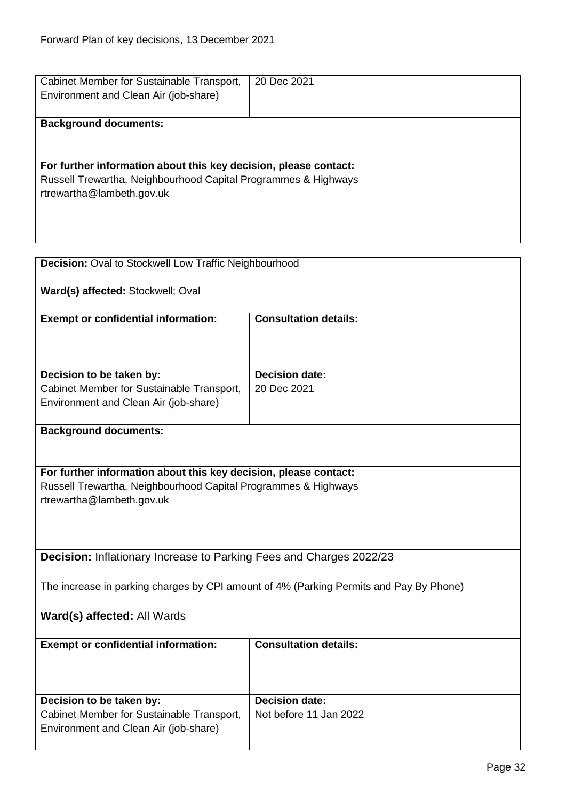<span id="page-31-1"></span><span id="page-31-0"></span>

| Cabinet Member for Sustainable Transport,<br>Environment and Clean Air (job-share)                                                                              | 20 Dec 2021                                     |  |
|-----------------------------------------------------------------------------------------------------------------------------------------------------------------|-------------------------------------------------|--|
| <b>Background documents:</b>                                                                                                                                    |                                                 |  |
| For further information about this key decision, please contact:<br>Russell Trewartha, Neighbourhood Capital Programmes & Highways<br>rtrewartha@lambeth.gov.uk |                                                 |  |
| Decision: Oval to Stockwell Low Traffic Neighbourhood                                                                                                           |                                                 |  |
| Ward(s) affected: Stockwell; Oval                                                                                                                               |                                                 |  |
| <b>Exempt or confidential information:</b>                                                                                                                      | <b>Consultation details:</b>                    |  |
|                                                                                                                                                                 |                                                 |  |
| Decision to be taken by:<br>Cabinet Member for Sustainable Transport,                                                                                           | <b>Decision date:</b><br>20 Dec 2021            |  |
| Environment and Clean Air (job-share)                                                                                                                           |                                                 |  |
| <b>Background documents:</b>                                                                                                                                    |                                                 |  |
| For further information about this key decision, please contact:<br>Russell Trewartha, Neighbourhood Capital Programmes & Highways                              |                                                 |  |
| rtrewartha@lambeth.gov.uk                                                                                                                                       |                                                 |  |
|                                                                                                                                                                 |                                                 |  |
| Decision: Inflationary Increase to Parking Fees and Charges 2022/23                                                                                             |                                                 |  |
| The increase in parking charges by CPI amount of 4% (Parking Permits and Pay By Phone)                                                                          |                                                 |  |
| Ward(s) affected: All Wards                                                                                                                                     |                                                 |  |
| <b>Exempt or confidential information:</b>                                                                                                                      | <b>Consultation details:</b>                    |  |
| Decision to be taken by:                                                                                                                                        | <b>Decision date:</b><br>Not before 11 Jan 2022 |  |
| Cabinet Member for Sustainable Transport,<br>Environment and Clean Air (job-share)                                                                              |                                                 |  |
|                                                                                                                                                                 |                                                 |  |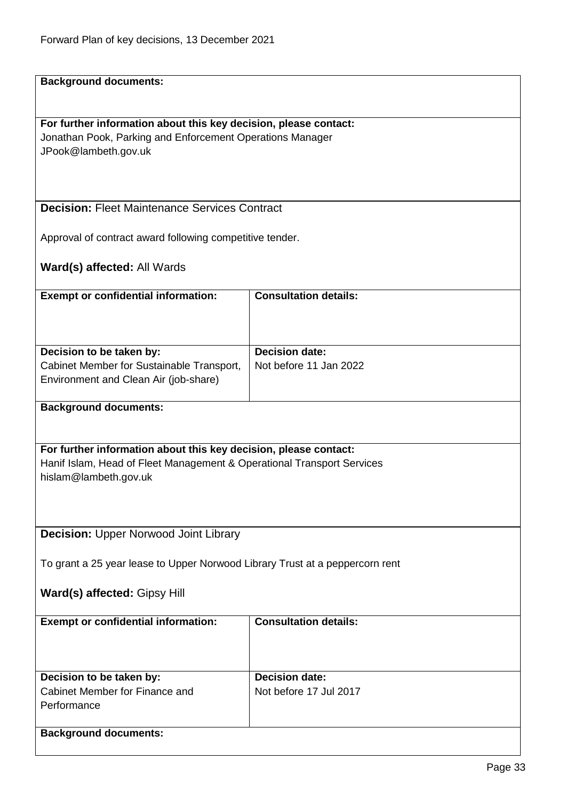<span id="page-32-1"></span><span id="page-32-0"></span>

| <b>Background documents:</b>                                                 |                              |
|------------------------------------------------------------------------------|------------------------------|
|                                                                              |                              |
|                                                                              |                              |
| For further information about this key decision, please contact:             |                              |
| Jonathan Pook, Parking and Enforcement Operations Manager                    |                              |
| JPook@lambeth.gov.uk                                                         |                              |
|                                                                              |                              |
|                                                                              |                              |
|                                                                              |                              |
| <b>Decision: Fleet Maintenance Services Contract</b>                         |                              |
|                                                                              |                              |
| Approval of contract award following competitive tender.                     |                              |
|                                                                              |                              |
| Ward(s) affected: All Wards                                                  |                              |
|                                                                              |                              |
| <b>Exempt or confidential information:</b>                                   | <b>Consultation details:</b> |
|                                                                              |                              |
|                                                                              |                              |
|                                                                              |                              |
| Decision to be taken by:                                                     | <b>Decision date:</b>        |
| Cabinet Member for Sustainable Transport,                                    | Not before 11 Jan 2022       |
| Environment and Clean Air (job-share)                                        |                              |
|                                                                              |                              |
| <b>Background documents:</b>                                                 |                              |
|                                                                              |                              |
|                                                                              |                              |
| For further information about this key decision, please contact:             |                              |
| Hanif Islam, Head of Fleet Management & Operational Transport Services       |                              |
| hislam@lambeth.gov.uk                                                        |                              |
|                                                                              |                              |
|                                                                              |                              |
|                                                                              |                              |
| <b>Decision: Upper Norwood Joint Library</b>                                 |                              |
|                                                                              |                              |
| To grant a 25 year lease to Upper Norwood Library Trust at a peppercorn rent |                              |
|                                                                              |                              |
| Ward(s) affected: Gipsy Hill                                                 |                              |
|                                                                              |                              |
| <b>Exempt or confidential information:</b>                                   | <b>Consultation details:</b> |
|                                                                              |                              |
|                                                                              |                              |
|                                                                              |                              |
| Decision to be taken by:                                                     | <b>Decision date:</b>        |
| Cabinet Member for Finance and                                               | Not before 17 Jul 2017       |
| Performance                                                                  |                              |
|                                                                              |                              |
| <b>Background documents:</b>                                                 |                              |
|                                                                              |                              |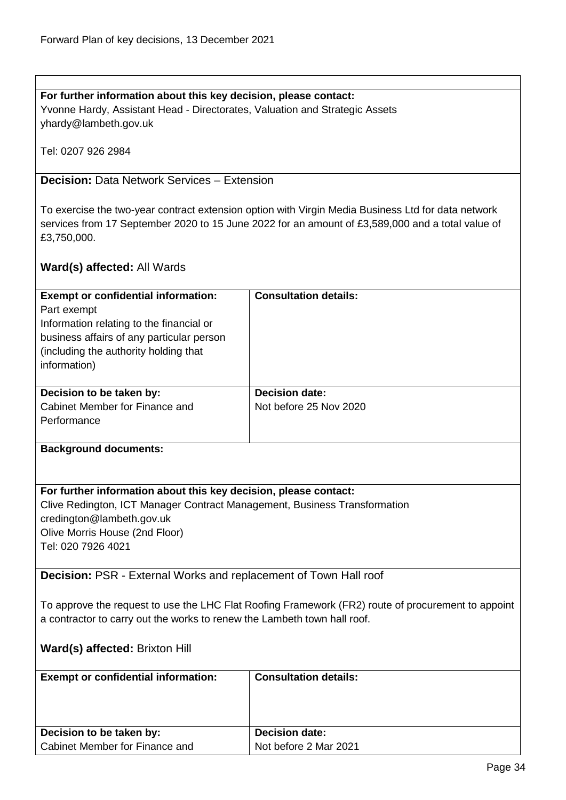## **For further information about this key decision, please contact:** Yvonne Hardy, Assistant Head - Directorates, Valuation and Strategic Assets yhardy@lambeth.gov.uk

Tel: 0207 926 2984

## <span id="page-33-0"></span>**Decision:** Data Network Services – Extension

To exercise the two-year contract extension option with Virgin Media Business Ltd for data network services from 17 September 2020 to 15 June 2022 for an amount of £3,589,000 and a total value of £3,750,000.

## **Ward(s) affected:** All Wards

| <b>Exempt or confidential information:</b><br>Part exempt<br>Information relating to the financial or<br>business affairs of any particular person<br>(including the authority holding that)<br>information) | <b>Consultation details:</b>                    |
|--------------------------------------------------------------------------------------------------------------------------------------------------------------------------------------------------------------|-------------------------------------------------|
| Decision to be taken by:<br>Cabinet Member for Finance and<br>Performance                                                                                                                                    | <b>Decision date:</b><br>Not before 25 Nov 2020 |

#### **Background documents:**

## **For further information about this key decision, please contact:**

Clive Redington, ICT Manager Contract Management, Business Transformation credington@lambeth.gov.uk Olive Morris House (2nd Floor) Tel: 020 7926 4021

<span id="page-33-1"></span>**Decision:** PSR - External Works and replacement of Town Hall roof

To approve the request to use the LHC Flat Roofing Framework (FR2) route of procurement to appoint a contractor to carry out the works to renew the Lambeth town hall roof.

## **Ward(s) affected:** Brixton Hill

| <b>Exempt or confidential information:</b> | <b>Consultation details:</b> |
|--------------------------------------------|------------------------------|
| Decision to be taken by:                   | <b>Decision date:</b>        |
| Cabinet Member for Finance and             | Not before 2 Mar 2021        |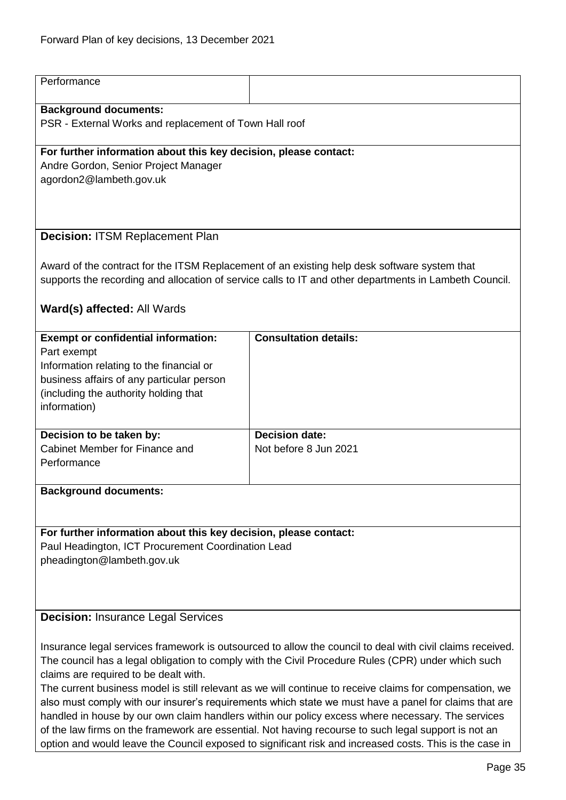<span id="page-34-1"></span><span id="page-34-0"></span>

| Performance                                                                                                                                                                                                                                                                                                                                                                                                                                                                                                                                                                                                                                                                                                                                                                                          |                                                |  |
|------------------------------------------------------------------------------------------------------------------------------------------------------------------------------------------------------------------------------------------------------------------------------------------------------------------------------------------------------------------------------------------------------------------------------------------------------------------------------------------------------------------------------------------------------------------------------------------------------------------------------------------------------------------------------------------------------------------------------------------------------------------------------------------------------|------------------------------------------------|--|
| <b>Background documents:</b><br>PSR - External Works and replacement of Town Hall roof                                                                                                                                                                                                                                                                                                                                                                                                                                                                                                                                                                                                                                                                                                               |                                                |  |
| For further information about this key decision, please contact:<br>Andre Gordon, Senior Project Manager<br>agordon2@lambeth.gov.uk                                                                                                                                                                                                                                                                                                                                                                                                                                                                                                                                                                                                                                                                  |                                                |  |
| <b>Decision: ITSM Replacement Plan</b>                                                                                                                                                                                                                                                                                                                                                                                                                                                                                                                                                                                                                                                                                                                                                               |                                                |  |
| Award of the contract for the ITSM Replacement of an existing help desk software system that<br>supports the recording and allocation of service calls to IT and other departments in Lambeth Council.                                                                                                                                                                                                                                                                                                                                                                                                                                                                                                                                                                                               |                                                |  |
| Ward(s) affected: All Wards                                                                                                                                                                                                                                                                                                                                                                                                                                                                                                                                                                                                                                                                                                                                                                          |                                                |  |
| <b>Exempt or confidential information:</b><br>Part exempt<br>Information relating to the financial or<br>business affairs of any particular person<br>(including the authority holding that<br>information)                                                                                                                                                                                                                                                                                                                                                                                                                                                                                                                                                                                          | <b>Consultation details:</b>                   |  |
| Decision to be taken by:<br>Cabinet Member for Finance and<br>Performance                                                                                                                                                                                                                                                                                                                                                                                                                                                                                                                                                                                                                                                                                                                            | <b>Decision date:</b><br>Not before 8 Jun 2021 |  |
| <b>Background documents:</b>                                                                                                                                                                                                                                                                                                                                                                                                                                                                                                                                                                                                                                                                                                                                                                         |                                                |  |
| For further information about this key decision, please contact:<br>Paul Headington, ICT Procurement Coordination Lead<br>pheadington@lambeth.gov.uk                                                                                                                                                                                                                                                                                                                                                                                                                                                                                                                                                                                                                                                 |                                                |  |
| <b>Decision: Insurance Legal Services</b>                                                                                                                                                                                                                                                                                                                                                                                                                                                                                                                                                                                                                                                                                                                                                            |                                                |  |
| Insurance legal services framework is outsourced to allow the council to deal with civil claims received.<br>The council has a legal obligation to comply with the Civil Procedure Rules (CPR) under which such<br>claims are required to be dealt with.<br>The current business model is still relevant as we will continue to receive claims for compensation, we<br>also must comply with our insurer's requirements which state we must have a panel for claims that are<br>handled in house by our own claim handlers within our policy excess where necessary. The services<br>of the law firms on the framework are essential. Not having recourse to such legal support is not an<br>option and would leave the Council exposed to significant risk and increased costs. This is the case in |                                                |  |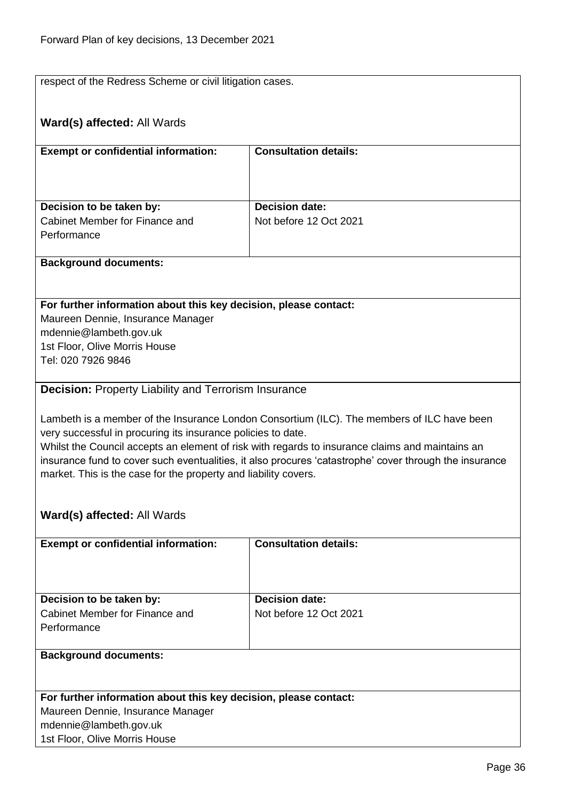<span id="page-35-0"></span>respect of the Redress Scheme or civil litigation cases. **Ward(s) affected:** All Wards **Exempt or confidential information: Consultation details: Decision to be taken by:** Cabinet Member for Finance and **Performance Decision date:** Not before 12 Oct 2021 **Background documents: For further information about this key decision, please contact:** Maureen Dennie, Insurance Manager mdennie@lambeth.gov.uk 1st Floor, Olive Morris House Tel: 020 7926 9846 **Decision:** Property Liability and Terrorism Insurance Lambeth is a member of the Insurance London Consortium (ILC). The members of ILC have been very successful in procuring its insurance policies to date. Whilst the Council accepts an element of risk with regards to insurance claims and maintains an insurance fund to cover such eventualities, it also procures 'catastrophe' cover through the insurance market. This is the case for the property and liability covers. **Ward(s) affected:** All Wards **Exempt or confidential information: Consultation details: Decision to be taken by:** Cabinet Member for Finance and **Performance Decision date:** Not before 12 Oct 2021 **Background documents: For further information about this key decision, please contact:**

Maureen Dennie, Insurance Manager mdennie@lambeth.gov.uk 1st Floor, Olive Morris House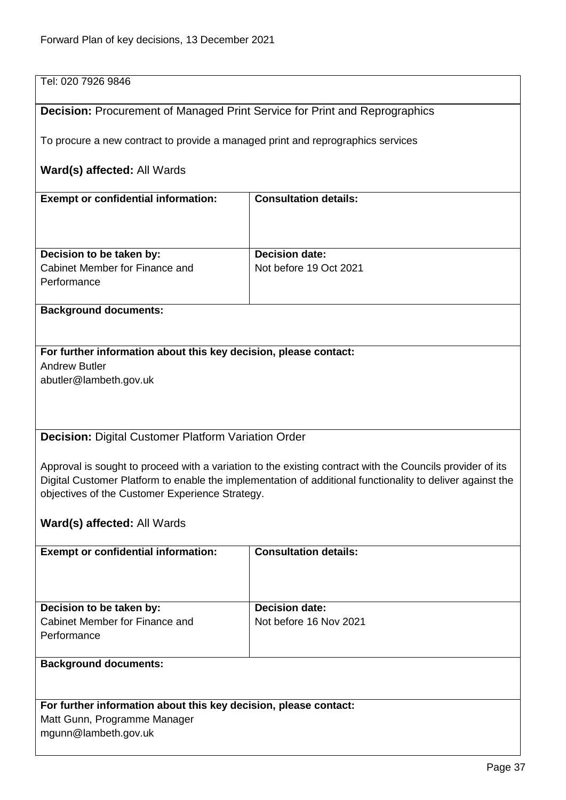| Tel: 020 7926 9846                                                                                        |                              |  |
|-----------------------------------------------------------------------------------------------------------|------------------------------|--|
| <b>Decision: Procurement of Managed Print Service for Print and Reprographics</b>                         |                              |  |
| To procure a new contract to provide a managed print and reprographics services                           |                              |  |
| Ward(s) affected: All Wards                                                                               |                              |  |
| <b>Exempt or confidential information:</b>                                                                | <b>Consultation details:</b> |  |
|                                                                                                           |                              |  |
| Decision to be taken by:                                                                                  | <b>Decision date:</b>        |  |
| Cabinet Member for Finance and                                                                            | Not before 19 Oct 2021       |  |
| Performance                                                                                               |                              |  |
| <b>Background documents:</b>                                                                              |                              |  |
|                                                                                                           |                              |  |
| For further information about this key decision, please contact:                                          |                              |  |
| <b>Andrew Butler</b>                                                                                      |                              |  |
| abutler@lambeth.gov.uk                                                                                    |                              |  |
|                                                                                                           |                              |  |
|                                                                                                           |                              |  |
|                                                                                                           |                              |  |
| Decision: Digital Customer Platform Variation Order                                                       |                              |  |
|                                                                                                           |                              |  |
| Approval is sought to proceed with a variation to the existing contract with the Councils provider of its |                              |  |
|                                                                                                           |                              |  |
| Digital Customer Platform to enable the implementation of additional functionality to deliver against the |                              |  |
| objectives of the Customer Experience Strategy.                                                           |                              |  |
| Ward(s) affected: All Wards                                                                               |                              |  |
|                                                                                                           |                              |  |
| <b>Exempt or confidential information:</b>                                                                | <b>Consultation details:</b> |  |
|                                                                                                           |                              |  |
|                                                                                                           |                              |  |
|                                                                                                           |                              |  |
| Decision to be taken by:                                                                                  | <b>Decision date:</b>        |  |
| Cabinet Member for Finance and                                                                            | Not before 16 Nov 2021       |  |
| Performance                                                                                               |                              |  |
|                                                                                                           |                              |  |
| <b>Background documents:</b>                                                                              |                              |  |
| For further information about this key decision, please contact:                                          |                              |  |
| Matt Gunn, Programme Manager                                                                              |                              |  |
| mgunn@lambeth.gov.uk                                                                                      |                              |  |
|                                                                                                           |                              |  |
|                                                                                                           |                              |  |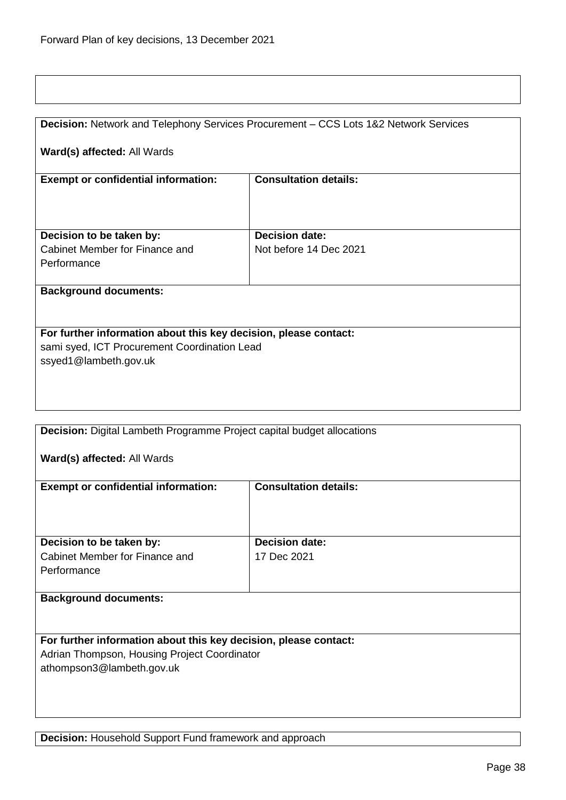|                                                                  | Decision: Network and Telephony Services Procurement - CCS Lots 1&2 Network Services |  |
|------------------------------------------------------------------|--------------------------------------------------------------------------------------|--|
|                                                                  |                                                                                      |  |
| Ward(s) affected: All Wards                                      |                                                                                      |  |
|                                                                  |                                                                                      |  |
|                                                                  |                                                                                      |  |
| <b>Exempt or confidential information:</b>                       | <b>Consultation details:</b>                                                         |  |
|                                                                  |                                                                                      |  |
|                                                                  |                                                                                      |  |
|                                                                  |                                                                                      |  |
| Decision to be taken by:                                         | <b>Decision date:</b>                                                                |  |
| Cabinet Member for Finance and                                   | Not before 14 Dec 2021                                                               |  |
| Performance                                                      |                                                                                      |  |
|                                                                  |                                                                                      |  |
|                                                                  |                                                                                      |  |
| <b>Background documents:</b>                                     |                                                                                      |  |
|                                                                  |                                                                                      |  |
|                                                                  |                                                                                      |  |
| For further information about this key decision, please contact: |                                                                                      |  |
|                                                                  |                                                                                      |  |
| sami syed, ICT Procurement Coordination Lead                     |                                                                                      |  |
| ssyed1@lambeth.gov.uk                                            |                                                                                      |  |
|                                                                  |                                                                                      |  |
|                                                                  |                                                                                      |  |
|                                                                  |                                                                                      |  |
|                                                                  |                                                                                      |  |
| <b>Professional Community Community</b><br>$\sim$ $\sim$         | - - -<br>the state of the state and the state of<br>$\sim$                           |  |

**Decision:** Digital Lambeth Programme Project capital budget allocations

# **Ward(s) affected:** All Wards

| <b>Exempt or confidential information:</b>                                | <b>Consultation details:</b>         |
|---------------------------------------------------------------------------|--------------------------------------|
| Decision to be taken by:<br>Cabinet Member for Finance and<br>Performance | <b>Decision date:</b><br>17 Dec 2021 |
| <b>Background documents:</b>                                              |                                      |

**For further information about this key decision, please contact:** Adrian Thompson, Housing Project Coordinator athompson3@lambeth.gov.uk

**Decision:** Household Support Fund framework and approach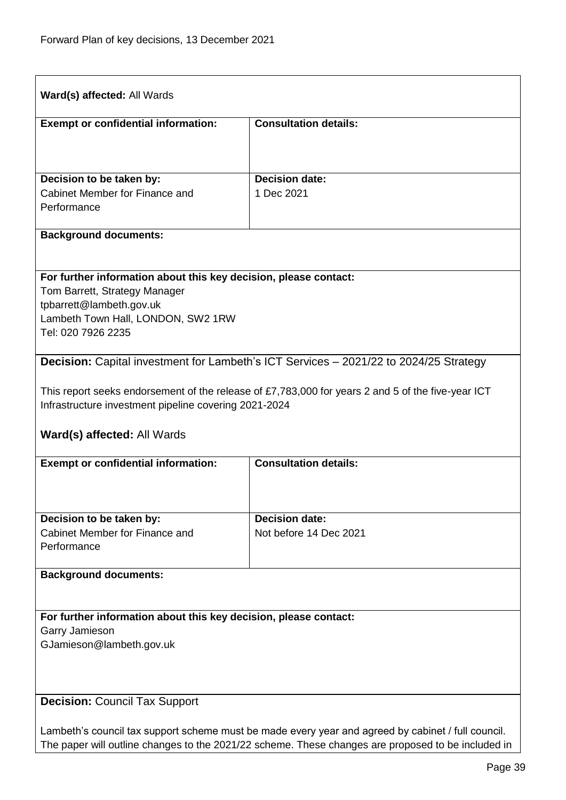| Ward(s) affected: All Wards                                                                        |                                                                                                   |
|----------------------------------------------------------------------------------------------------|---------------------------------------------------------------------------------------------------|
| <b>Exempt or confidential information:</b>                                                         | <b>Consultation details:</b>                                                                      |
|                                                                                                    |                                                                                                   |
|                                                                                                    |                                                                                                   |
| Decision to be taken by:                                                                           | <b>Decision date:</b>                                                                             |
| Cabinet Member for Finance and<br>Performance                                                      | 1 Dec 2021                                                                                        |
|                                                                                                    |                                                                                                   |
| <b>Background documents:</b>                                                                       |                                                                                                   |
| For further information about this key decision, please contact:                                   |                                                                                                   |
| Tom Barrett, Strategy Manager                                                                      |                                                                                                   |
| tpbarrett@lambeth.gov.uk                                                                           |                                                                                                   |
| Lambeth Town Hall, LONDON, SW2 1RW                                                                 |                                                                                                   |
| Tel: 020 7926 2235                                                                                 |                                                                                                   |
|                                                                                                    | Decision: Capital investment for Lambeth's ICT Services - 2021/22 to 2024/25 Strategy             |
|                                                                                                    |                                                                                                   |
| Infrastructure investment pipeline covering 2021-2024                                              | This report seeks endorsement of the release of £7,783,000 for years 2 and 5 of the five-year ICT |
| <b>Ward(s) affected: All Wards</b>                                                                 |                                                                                                   |
| <b>Exempt or confidential information:</b>                                                         | <b>Consultation details:</b>                                                                      |
|                                                                                                    |                                                                                                   |
|                                                                                                    |                                                                                                   |
| Decision to be taken by:                                                                           | <b>Decision date:</b>                                                                             |
| Cabinet Member for Finance and                                                                     | Not before 14 Dec 2021                                                                            |
| Performance                                                                                        |                                                                                                   |
| <b>Background documents:</b>                                                                       |                                                                                                   |
|                                                                                                    |                                                                                                   |
| For further information about this key decision, please contact:                                   |                                                                                                   |
| Garry Jamieson<br>GJamieson@lambeth.gov.uk                                                         |                                                                                                   |
|                                                                                                    |                                                                                                   |
|                                                                                                    |                                                                                                   |
| <b>Decision: Council Tax Support</b>                                                               |                                                                                                   |
|                                                                                                    |                                                                                                   |
| Lambeth's council tax support scheme must be made every year and agreed by cabinet / full council. |                                                                                                   |
| The paper will outline changes to the 2021/22 scheme. These changes are proposed to be included in |                                                                                                   |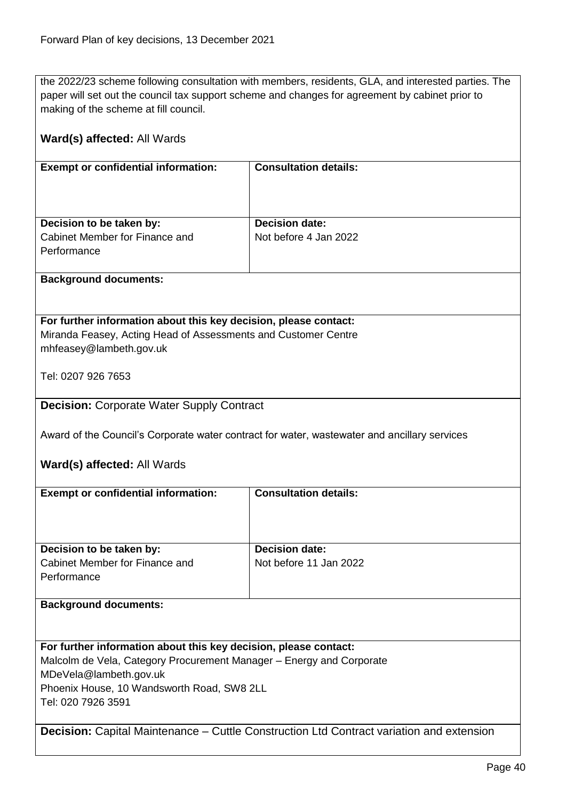the 2022/23 scheme following consultation with members, residents, GLA, and interested parties. The paper will set out the council tax support scheme and changes for agreement by cabinet prior to making of the scheme at fill council.

| Ward(s) affected: All Wards                                                               |                                                                                                 |  |
|-------------------------------------------------------------------------------------------|-------------------------------------------------------------------------------------------------|--|
| <b>Exempt or confidential information:</b>                                                | <b>Consultation details:</b>                                                                    |  |
|                                                                                           |                                                                                                 |  |
|                                                                                           |                                                                                                 |  |
| Decision to be taken by:<br>Cabinet Member for Finance and                                | <b>Decision date:</b><br>Not before 4 Jan 2022                                                  |  |
| Performance                                                                               |                                                                                                 |  |
| <b>Background documents:</b>                                                              |                                                                                                 |  |
|                                                                                           |                                                                                                 |  |
| For further information about this key decision, please contact:                          |                                                                                                 |  |
| Miranda Feasey, Acting Head of Assessments and Customer Centre<br>mhfeasey@lambeth.gov.uk |                                                                                                 |  |
| Tel: 0207 926 7653                                                                        |                                                                                                 |  |
|                                                                                           |                                                                                                 |  |
| <b>Decision: Corporate Water Supply Contract</b>                                          |                                                                                                 |  |
|                                                                                           | Award of the Council's Corporate water contract for water, wastewater and ancillary services    |  |
| Ward(s) affected: All Wards                                                               |                                                                                                 |  |
| <b>Exempt or confidential information:</b>                                                | <b>Consultation details:</b>                                                                    |  |
|                                                                                           |                                                                                                 |  |
|                                                                                           |                                                                                                 |  |
| Decision to be taken by:<br>Cabinet Member for Finance and                                | <b>Decision date:</b><br>Not before 11 Jan 2022                                                 |  |
| Performance                                                                               |                                                                                                 |  |
| <b>Background documents:</b>                                                              |                                                                                                 |  |
|                                                                                           |                                                                                                 |  |
| For further information about this key decision, please contact:                          |                                                                                                 |  |
| Malcolm de Vela, Category Procurement Manager - Energy and Corporate                      |                                                                                                 |  |
| MDeVela@lambeth.gov.uk                                                                    |                                                                                                 |  |
| Phoenix House, 10 Wandsworth Road, SW8 2LL<br>Tel: 020 7926 3591                          |                                                                                                 |  |
|                                                                                           |                                                                                                 |  |
|                                                                                           | <b>Decision:</b> Capital Maintenance – Cuttle Construction Ltd Contract variation and extension |  |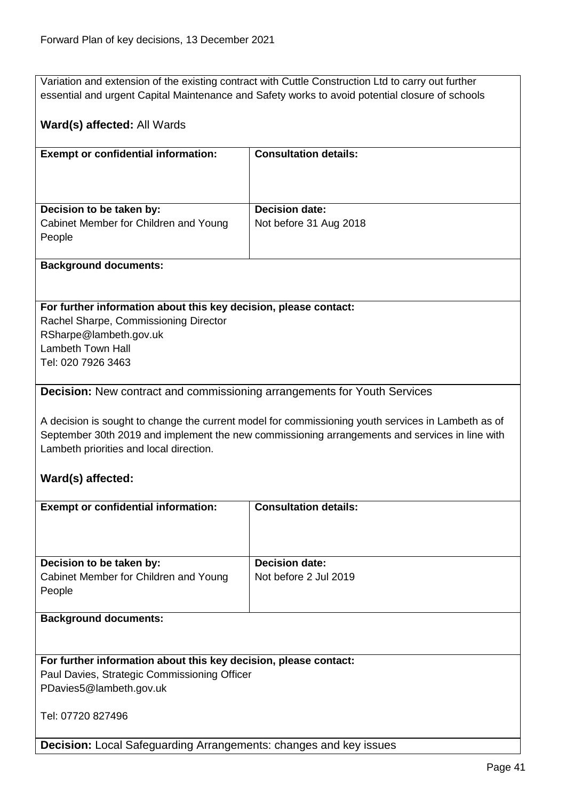Variation and extension of the existing contract with Cuttle Construction Ltd to carry out further essential and urgent Capital Maintenance and Safety works to avoid potential closure of schools

## **Ward(s) affected:** All Wards

| <b>Exempt or confidential information:</b> | <b>Consultation details:</b> |
|--------------------------------------------|------------------------------|
| Decision to be taken by:                   | <b>Decision date:</b>        |
| Cabinet Member for Children and Young      | Not before 31 Aug 2018       |
| People                                     |                              |
|                                            |                              |

## **Background documents:**

#### **For further information about this key decision, please contact:**

Rachel Sharpe, Commissioning Director RSharpe@lambeth.gov.uk Lambeth Town Hall Tel: 020 7926 3463

## **Decision:** New contract and commissioning arrangements for Youth Services

A decision is sought to change the current model for commissioning youth services in Lambeth as of September 30th 2019 and implement the new commissioning arrangements and services in line with Lambeth priorities and local direction.

## **Ward(s) affected:**

| <b>Exempt or confidential information:</b>                       | <b>Consultation details:</b> |
|------------------------------------------------------------------|------------------------------|
|                                                                  |                              |
|                                                                  |                              |
| Decision to be taken by:                                         | <b>Decision date:</b>        |
| Cabinet Member for Children and Young                            | Not before 2 Jul 2019        |
| People                                                           |                              |
|                                                                  |                              |
| <b>Background documents:</b>                                     |                              |
|                                                                  |                              |
|                                                                  |                              |
| For further information about this key decision, please contact: |                              |
| Paul Davies, Strategic Commissioning Officer                     |                              |
| PDavies5@lambeth.gov.uk                                          |                              |
|                                                                  |                              |
|                                                                  |                              |

Tel: 07720 827496

**Decision:** Local Safeguarding Arrangements: changes and key issues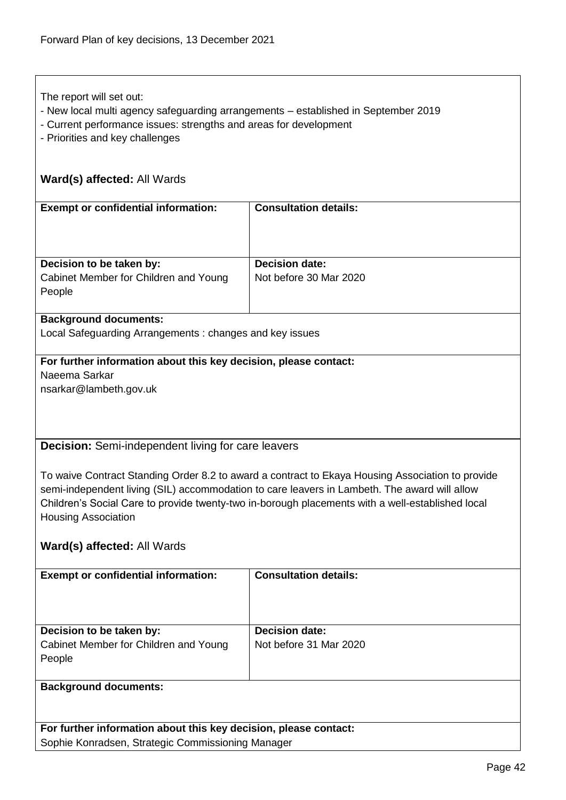The report will set out:

- New local multi agency safeguarding arrangements established in September 2019
- Current performance issues: strengths and areas for development
- Priorities and key challenges

# **Ward(s) affected:** All Wards

| <b>Exempt or confidential information:</b>      | <b>Consultation details:</b> |
|-------------------------------------------------|------------------------------|
| Decision to be taken by:                        | <b>Decision date:</b>        |
| Cabinet Member for Children and Young<br>People | Not before 30 Mar 2020       |
|                                                 |                              |

## **Background documents:**

Local Safeguarding Arrangements : changes and key issues

# **For further information about this key decision, please contact:** Naeema Sarkar

nsarkar@lambeth.gov.uk

## **Decision:** Semi-independent living for care leavers

To waive Contract Standing Order 8.2 to award a contract to Ekaya Housing Association to provide semi-independent living (SIL) accommodation to care leavers in Lambeth. The award will allow Children's Social Care to provide twenty-two in-borough placements with a well-established local Housing Association

## **Ward(s) affected:** All Wards

| <b>Exempt or confidential information:</b>                                  | <b>Consultation details:</b>                    |
|-----------------------------------------------------------------------------|-------------------------------------------------|
| Decision to be taken by:<br>Cabinet Member for Children and Young<br>People | <b>Decision date:</b><br>Not before 31 Mar 2020 |
| <b>Background documents:</b>                                                |                                                 |

**For further information about this key decision, please contact:** Sophie Konradsen, Strategic Commissioning Manager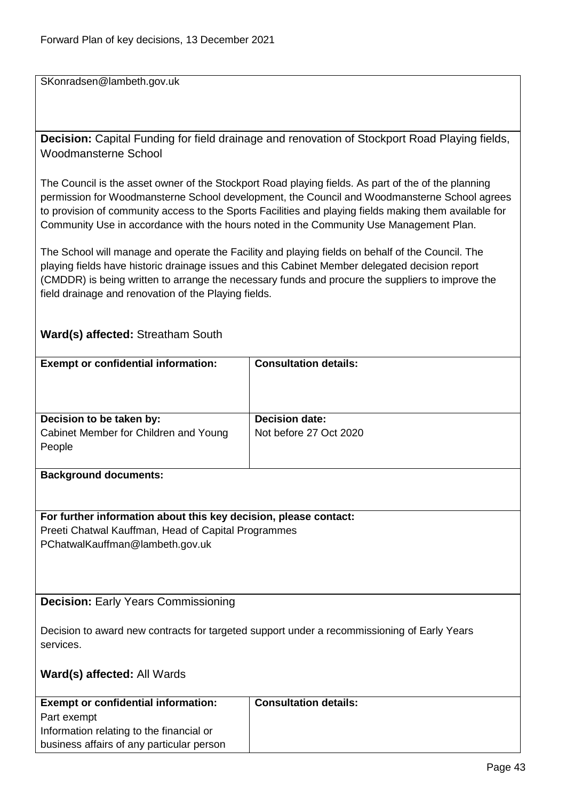SKonradsen@lambeth.gov.uk

**Decision:** Capital Funding for field drainage and renovation of Stockport Road Playing fields, Woodmansterne School

The Council is the asset owner of the Stockport Road playing fields. As part of the of the planning permission for Woodmansterne School development, the Council and Woodmansterne School agrees to provision of community access to the Sports Facilities and playing fields making them available for Community Use in accordance with the hours noted in the Community Use Management Plan.

The School will manage and operate the Facility and playing fields on behalf of the Council. The playing fields have historic drainage issues and this Cabinet Member delegated decision report (CMDDR) is being written to arrange the necessary funds and procure the suppliers to improve the field drainage and renovation of the Playing fields.

## **Ward(s) affected:** Streatham South

| <b>Exempt or confidential information:</b>                                                               | <b>Consultation details:</b> |  |
|----------------------------------------------------------------------------------------------------------|------------------------------|--|
|                                                                                                          |                              |  |
|                                                                                                          |                              |  |
|                                                                                                          |                              |  |
| Decision to be taken by:                                                                                 | <b>Decision date:</b>        |  |
| Cabinet Member for Children and Young                                                                    | Not before 27 Oct 2020       |  |
| People                                                                                                   |                              |  |
|                                                                                                          |                              |  |
| <b>Background documents:</b>                                                                             |                              |  |
|                                                                                                          |                              |  |
|                                                                                                          |                              |  |
| For further information about this key decision, please contact:                                         |                              |  |
| Preeti Chatwal Kauffman, Head of Capital Programmes<br>PChatwalKauffman@lambeth.gov.uk                   |                              |  |
|                                                                                                          |                              |  |
|                                                                                                          |                              |  |
|                                                                                                          |                              |  |
| <b>Decision: Early Years Commissioning</b>                                                               |                              |  |
|                                                                                                          |                              |  |
|                                                                                                          |                              |  |
| Decision to award new contracts for targeted support under a recommissioning of Early Years<br>services. |                              |  |
|                                                                                                          |                              |  |
| Ward(s) affected: All Wards                                                                              |                              |  |
|                                                                                                          |                              |  |
| <b>Exempt or confidential information:</b>                                                               | <b>Consultation details:</b> |  |
| Part exempt                                                                                              |                              |  |
| Information relating to the financial or                                                                 |                              |  |
| business affairs of any particular person                                                                |                              |  |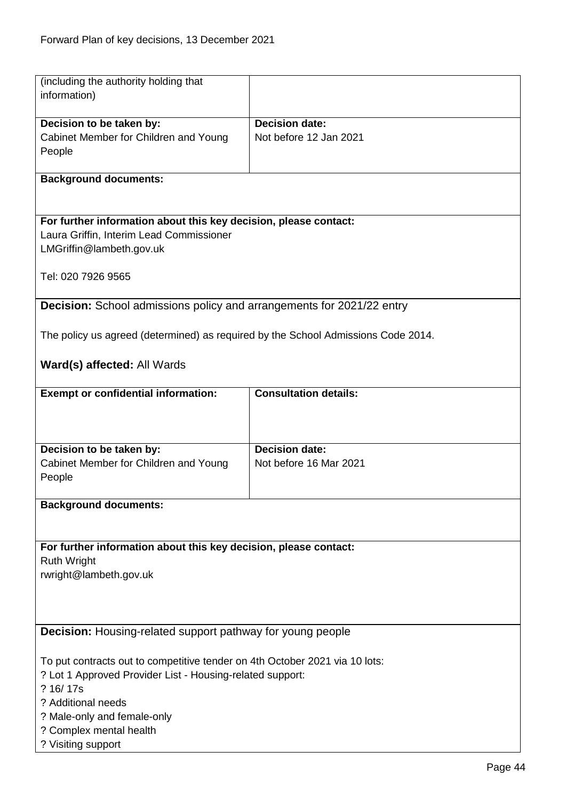| (including the authority holding that                                             |                              |
|-----------------------------------------------------------------------------------|------------------------------|
| information)                                                                      |                              |
|                                                                                   |                              |
| Decision to be taken by:                                                          | <b>Decision date:</b>        |
| Cabinet Member for Children and Young                                             | Not before 12 Jan 2021       |
| People                                                                            |                              |
|                                                                                   |                              |
| <b>Background documents:</b>                                                      |                              |
|                                                                                   |                              |
|                                                                                   |                              |
| For further information about this key decision, please contact:                  |                              |
| Laura Griffin, Interim Lead Commissioner                                          |                              |
| LMGriffin@lambeth.gov.uk                                                          |                              |
|                                                                                   |                              |
| Tel: 020 7926 9565                                                                |                              |
|                                                                                   |                              |
| <b>Decision:</b> School admissions policy and arrangements for 2021/22 entry      |                              |
|                                                                                   |                              |
| The policy us agreed (determined) as required by the School Admissions Code 2014. |                              |
|                                                                                   |                              |
| Ward(s) affected: All Wards                                                       |                              |
|                                                                                   |                              |
| <b>Exempt or confidential information:</b>                                        | <b>Consultation details:</b> |
|                                                                                   |                              |
|                                                                                   |                              |
|                                                                                   |                              |
| Decision to be taken by:                                                          | <b>Decision date:</b>        |
| Cabinet Member for Children and Young                                             | Not before 16 Mar 2021       |
| People                                                                            |                              |
|                                                                                   |                              |
| <b>Background documents:</b>                                                      |                              |
|                                                                                   |                              |
|                                                                                   |                              |
| For further information about this key decision, please contact:                  |                              |
| <b>Ruth Wright</b>                                                                |                              |
| rwright@lambeth.gov.uk                                                            |                              |
|                                                                                   |                              |
|                                                                                   |                              |
|                                                                                   |                              |
|                                                                                   |                              |
| <b>Decision:</b> Housing-related support pathway for young people                 |                              |
|                                                                                   |                              |
| To put contracts out to competitive tender on 4th October 2021 via 10 lots:       |                              |
| ? Lot 1 Approved Provider List - Housing-related support:                         |                              |
| ? 16/17s                                                                          |                              |
| ? Additional needs                                                                |                              |
| ? Male-only and female-only                                                       |                              |
| ? Complex mental health                                                           |                              |
| ? Visiting support                                                                |                              |
|                                                                                   | $D \cap \cap \cap A$         |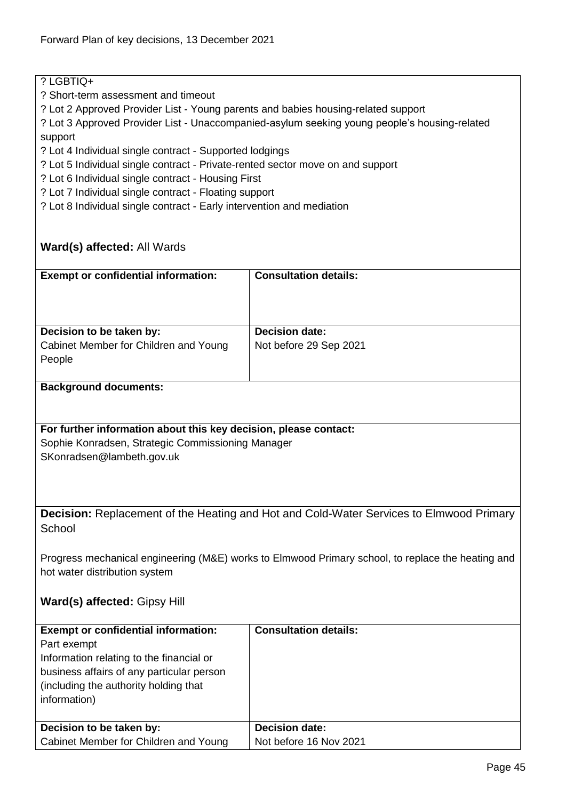# ? LGBTIQ+

- ? Short-term assessment and timeout
- ? Lot 2 Approved Provider List Young parents and babies housing-related support
- ? Lot 3 Approved Provider List Unaccompanied-asylum seeking young people's housing-related support
- ? Lot 4 Individual single contract Supported lodgings
- ? Lot 5 Individual single contract Private-rented sector move on and support
- ? Lot 6 Individual single contract Housing First
- ? Lot 7 Individual single contract Floating support
- ? Lot 8 Individual single contract Early intervention and mediation

# **Ward(s) affected:** All Wards

| <b>Exempt or confidential information:</b> | <b>Consultation details:</b> |
|--------------------------------------------|------------------------------|
| Decision to be taken by:                   | <b>Decision date:</b>        |
| Cabinet Member for Children and Young      | Not before 29 Sep 2021       |
| People                                     |                              |
|                                            |                              |

#### **Background documents:**

#### **For further information about this key decision, please contact:** Sophie Konradsen, Strategic Commissioning Manager SKonradsen@lambeth.gov.uk

**Decision:** Replacement of the Heating and Hot and Cold-Water Services to Elmwood Primary **School** 

Progress mechanical engineering (M&E) works to Elmwood Primary school, to replace the heating and hot water distribution system

## **Ward(s) affected:** Gipsy Hill

| <b>Exempt or confidential information:</b><br>Part exempt<br>Information relating to the financial or<br>business affairs of any particular person<br>(including the authority holding that)<br>information) | <b>Consultation details:</b> |
|--------------------------------------------------------------------------------------------------------------------------------------------------------------------------------------------------------------|------------------------------|
| Decision to be taken by:                                                                                                                                                                                     | <b>Decision date:</b>        |
| Cabinet Member for Children and Young                                                                                                                                                                        | Not before 16 Nov 2021       |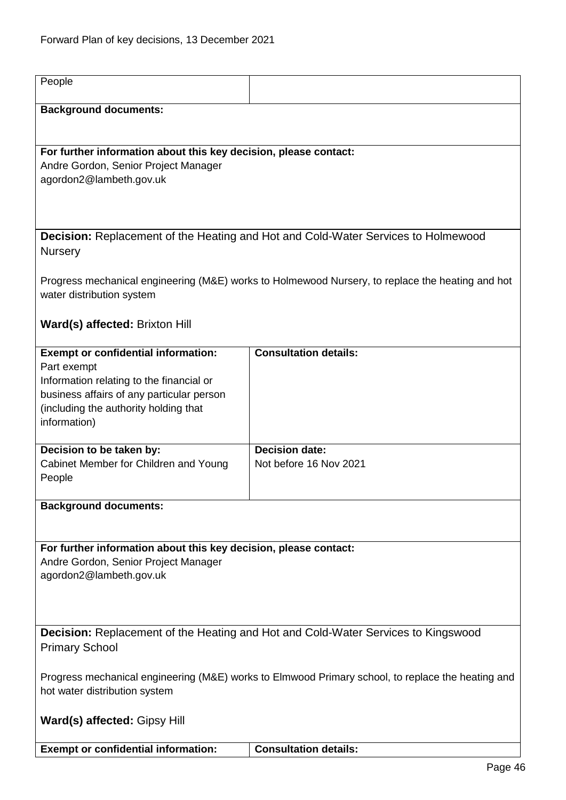| People                                                                             |                                                                                                   |
|------------------------------------------------------------------------------------|---------------------------------------------------------------------------------------------------|
| <b>Background documents:</b>                                                       |                                                                                                   |
|                                                                                    |                                                                                                   |
| For further information about this key decision, please contact:                   |                                                                                                   |
| Andre Gordon, Senior Project Manager                                               |                                                                                                   |
| agordon2@lambeth.gov.uk                                                            |                                                                                                   |
|                                                                                    |                                                                                                   |
|                                                                                    |                                                                                                   |
|                                                                                    | <b>Decision:</b> Replacement of the Heating and Hot and Cold-Water Services to Holmewood          |
| <b>Nursery</b>                                                                     |                                                                                                   |
|                                                                                    |                                                                                                   |
|                                                                                    | Progress mechanical engineering (M&E) works to Holmewood Nursery, to replace the heating and hot  |
| water distribution system                                                          |                                                                                                   |
| Ward(s) affected: Brixton Hill                                                     |                                                                                                   |
|                                                                                    |                                                                                                   |
| <b>Exempt or confidential information:</b>                                         | <b>Consultation details:</b>                                                                      |
| Part exempt                                                                        |                                                                                                   |
| Information relating to the financial or                                           |                                                                                                   |
| business affairs of any particular person<br>(including the authority holding that |                                                                                                   |
| information)                                                                       |                                                                                                   |
|                                                                                    |                                                                                                   |
| Decision to be taken by:                                                           | <b>Decision date:</b>                                                                             |
| Cabinet Member for Children and Young                                              | Not before 16 Nov 2021                                                                            |
| People                                                                             |                                                                                                   |
| <b>Background documents:</b>                                                       |                                                                                                   |
|                                                                                    |                                                                                                   |
|                                                                                    |                                                                                                   |
| For further information about this key decision, please contact:                   |                                                                                                   |
| Andre Gordon, Senior Project Manager<br>agordon2@lambeth.gov.uk                    |                                                                                                   |
|                                                                                    |                                                                                                   |
|                                                                                    |                                                                                                   |
|                                                                                    |                                                                                                   |
| Decision: Replacement of the Heating and Hot and Cold-Water Services to Kingswood  |                                                                                                   |
| <b>Primary School</b>                                                              |                                                                                                   |
|                                                                                    | Progress mechanical engineering (M&E) works to Elmwood Primary school, to replace the heating and |
| hot water distribution system                                                      |                                                                                                   |
|                                                                                    |                                                                                                   |
| Ward(s) affected: Gipsy Hill                                                       |                                                                                                   |
|                                                                                    |                                                                                                   |
| <b>Exempt or confidential information:</b>                                         | <b>Consultation details:</b>                                                                      |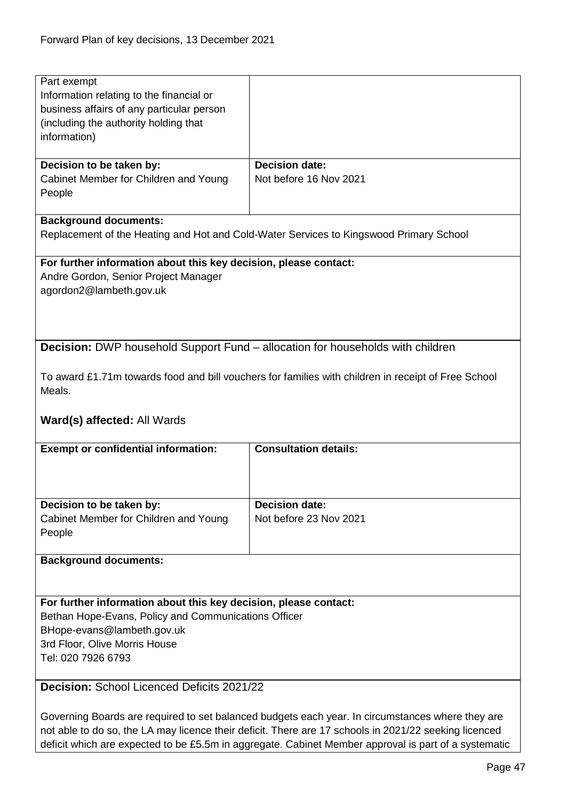| Part exempt<br>Information relating to the financial or          |                                                                                                     |
|------------------------------------------------------------------|-----------------------------------------------------------------------------------------------------|
|                                                                  |                                                                                                     |
|                                                                  |                                                                                                     |
| business affairs of any particular person                        |                                                                                                     |
|                                                                  |                                                                                                     |
| (including the authority holding that                            |                                                                                                     |
| information)                                                     |                                                                                                     |
|                                                                  |                                                                                                     |
| Decision to be taken by:                                         | <b>Decision date:</b>                                                                               |
| Cabinet Member for Children and Young                            | Not before 16 Nov 2021                                                                              |
| People                                                           |                                                                                                     |
|                                                                  |                                                                                                     |
|                                                                  |                                                                                                     |
| <b>Background documents:</b>                                     |                                                                                                     |
|                                                                  | Replacement of the Heating and Hot and Cold-Water Services to Kingswood Primary School              |
|                                                                  |                                                                                                     |
| For further information about this key decision, please contact: |                                                                                                     |
| Andre Gordon, Senior Project Manager                             |                                                                                                     |
| agordon2@lambeth.gov.uk                                          |                                                                                                     |
|                                                                  |                                                                                                     |
|                                                                  |                                                                                                     |
|                                                                  |                                                                                                     |
|                                                                  |                                                                                                     |
|                                                                  | <b>Decision:</b> DWP household Support Fund – allocation for households with children               |
|                                                                  |                                                                                                     |
|                                                                  |                                                                                                     |
|                                                                  | To award £1.71m towards food and bill vouchers for families with children in receipt of Free School |
| Meals.                                                           |                                                                                                     |
|                                                                  |                                                                                                     |
| <b>Ward(s) affected: All Wards</b>                               |                                                                                                     |
|                                                                  |                                                                                                     |
| <b>Exempt or confidential information:</b>                       | <b>Consultation details:</b>                                                                        |
|                                                                  |                                                                                                     |
|                                                                  |                                                                                                     |
|                                                                  |                                                                                                     |
|                                                                  |                                                                                                     |
|                                                                  |                                                                                                     |
|                                                                  | <b>Decision date:</b>                                                                               |
| Decision to be taken by:                                         |                                                                                                     |
| Cabinet Member for Children and Young                            | Not before 23 Nov 2021                                                                              |
| People                                                           |                                                                                                     |
|                                                                  |                                                                                                     |
| <b>Background documents:</b>                                     |                                                                                                     |
|                                                                  |                                                                                                     |
|                                                                  |                                                                                                     |
|                                                                  |                                                                                                     |
| For further information about this key decision, please contact: |                                                                                                     |
| Bethan Hope-Evans, Policy and Communications Officer             |                                                                                                     |
| BHope-evans@lambeth.gov.uk                                       |                                                                                                     |
| 3rd Floor, Olive Morris House                                    |                                                                                                     |
| Tel: 020 7926 6793                                               |                                                                                                     |
|                                                                  |                                                                                                     |
|                                                                  |                                                                                                     |
| Decision: School Licenced Deficits 2021/22                       |                                                                                                     |
|                                                                  | Governing Boards are required to set balanced budgets each year. In circumstances where they are    |

not able to do so, the LA may licence their deficit. There are 17 schools in 2021/22 seeking licenced deficit which are expected to be £5.5m in aggregate. Cabinet Member approval is part of a systematic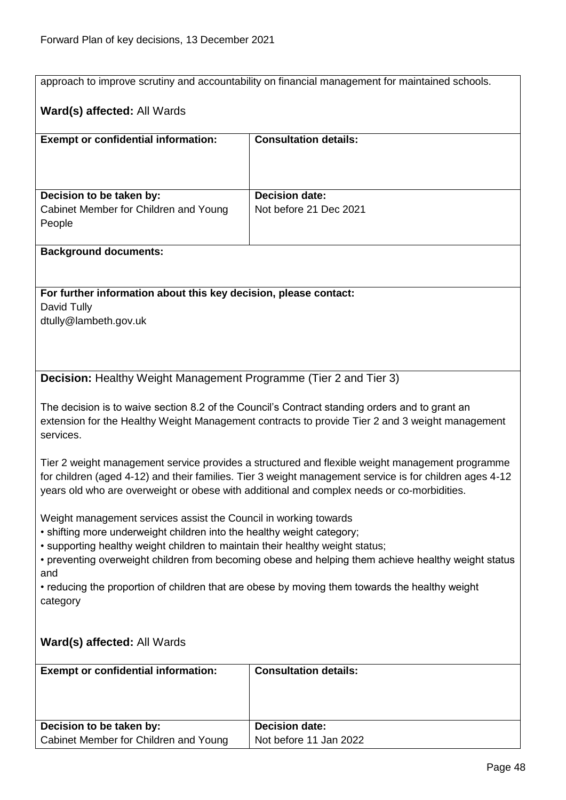|                                                                                                                                                                                                                                                                                                          | approach to improve scrutiny and accountability on financial management for maintained schools. |  |
|----------------------------------------------------------------------------------------------------------------------------------------------------------------------------------------------------------------------------------------------------------------------------------------------------------|-------------------------------------------------------------------------------------------------|--|
| Ward(s) affected: All Wards                                                                                                                                                                                                                                                                              |                                                                                                 |  |
| <b>Exempt or confidential information:</b>                                                                                                                                                                                                                                                               | <b>Consultation details:</b>                                                                    |  |
|                                                                                                                                                                                                                                                                                                          |                                                                                                 |  |
|                                                                                                                                                                                                                                                                                                          |                                                                                                 |  |
| Decision to be taken by:<br>Cabinet Member for Children and Young                                                                                                                                                                                                                                        | <b>Decision date:</b><br>Not before 21 Dec 2021                                                 |  |
| People                                                                                                                                                                                                                                                                                                   |                                                                                                 |  |
| <b>Background documents:</b>                                                                                                                                                                                                                                                                             |                                                                                                 |  |
|                                                                                                                                                                                                                                                                                                          |                                                                                                 |  |
| For further information about this key decision, please contact:                                                                                                                                                                                                                                         |                                                                                                 |  |
| David Tully                                                                                                                                                                                                                                                                                              |                                                                                                 |  |
| dtully@lambeth.gov.uk                                                                                                                                                                                                                                                                                    |                                                                                                 |  |
|                                                                                                                                                                                                                                                                                                          |                                                                                                 |  |
| Decision: Healthy Weight Management Programme (Tier 2 and Tier 3)                                                                                                                                                                                                                                        |                                                                                                 |  |
|                                                                                                                                                                                                                                                                                                          |                                                                                                 |  |
| The decision is to waive section 8.2 of the Council's Contract standing orders and to grant an<br>extension for the Healthy Weight Management contracts to provide Tier 2 and 3 weight management<br>services.                                                                                           |                                                                                                 |  |
| Tier 2 weight management service provides a structured and flexible weight management programme<br>for children (aged 4-12) and their families. Tier 3 weight management service is for children ages 4-12<br>years old who are overweight or obese with additional and complex needs or co-morbidities. |                                                                                                 |  |
| Weight management services assist the Council in working towards                                                                                                                                                                                                                                         |                                                                                                 |  |
| • shifting more underweight children into the healthy weight category;                                                                                                                                                                                                                                   |                                                                                                 |  |
| • supporting healthy weight children to maintain their healthy weight status;<br>• preventing overweight children from becoming obese and helping them achieve healthy weight status                                                                                                                     |                                                                                                 |  |
| and                                                                                                                                                                                                                                                                                                      |                                                                                                 |  |
| • reducing the proportion of children that are obese by moving them towards the healthy weight                                                                                                                                                                                                           |                                                                                                 |  |
| category                                                                                                                                                                                                                                                                                                 |                                                                                                 |  |
| <b>Ward(s) affected: All Wards</b>                                                                                                                                                                                                                                                                       |                                                                                                 |  |
| <b>Exempt or confidential information:</b>                                                                                                                                                                                                                                                               | <b>Consultation details:</b>                                                                    |  |
|                                                                                                                                                                                                                                                                                                          |                                                                                                 |  |
| Decision to be taken by:                                                                                                                                                                                                                                                                                 | <b>Decision date:</b>                                                                           |  |
| Cabinet Member for Children and Young                                                                                                                                                                                                                                                                    | Not before 11 Jan 2022                                                                          |  |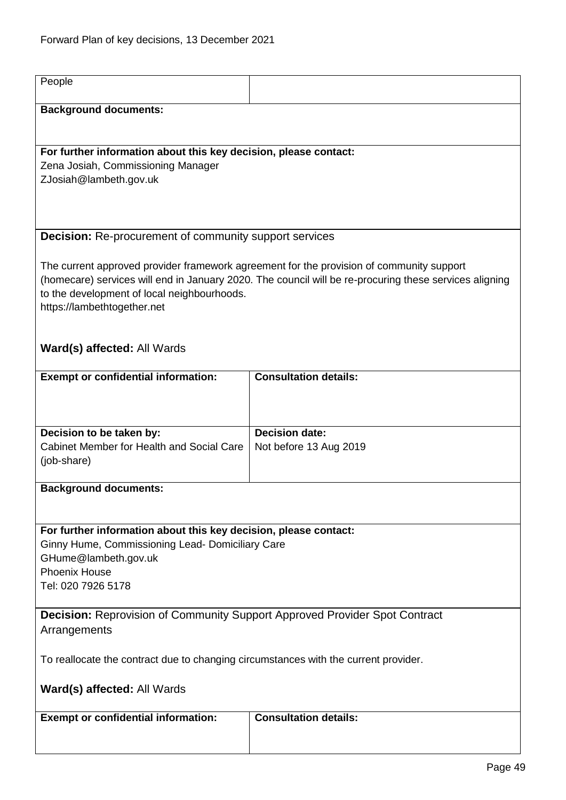| People                                                                              |                                                                                                                                                                                                    |
|-------------------------------------------------------------------------------------|----------------------------------------------------------------------------------------------------------------------------------------------------------------------------------------------------|
| <b>Background documents:</b>                                                        |                                                                                                                                                                                                    |
|                                                                                     |                                                                                                                                                                                                    |
| For further information about this key decision, please contact:                    |                                                                                                                                                                                                    |
| Zena Josiah, Commissioning Manager<br>ZJosiah@lambeth.gov.uk                        |                                                                                                                                                                                                    |
|                                                                                     |                                                                                                                                                                                                    |
|                                                                                     |                                                                                                                                                                                                    |
| <b>Decision:</b> Re-procurement of community support services                       |                                                                                                                                                                                                    |
|                                                                                     |                                                                                                                                                                                                    |
|                                                                                     | The current approved provider framework agreement for the provision of community support<br>(homecare) services will end in January 2020. The council will be re-procuring these services aligning |
| to the development of local neighbourhoods.                                         |                                                                                                                                                                                                    |
| https://lambethtogether.net                                                         |                                                                                                                                                                                                    |
|                                                                                     |                                                                                                                                                                                                    |
| <b>Ward(s) affected: All Wards</b>                                                  |                                                                                                                                                                                                    |
|                                                                                     |                                                                                                                                                                                                    |
| <b>Exempt or confidential information:</b>                                          | <b>Consultation details:</b>                                                                                                                                                                       |
|                                                                                     |                                                                                                                                                                                                    |
|                                                                                     |                                                                                                                                                                                                    |
| Decision to be taken by:                                                            | <b>Decision date:</b>                                                                                                                                                                              |
| Cabinet Member for Health and Social Care<br>(job-share)                            | Not before 13 Aug 2019                                                                                                                                                                             |
|                                                                                     |                                                                                                                                                                                                    |
| <b>Background documents:</b>                                                        |                                                                                                                                                                                                    |
|                                                                                     |                                                                                                                                                                                                    |
| For further information about this key decision, please contact:                    |                                                                                                                                                                                                    |
| Ginny Hume, Commissioning Lead- Domiciliary Care                                    |                                                                                                                                                                                                    |
| GHume@lambeth.gov.uk<br><b>Phoenix House</b>                                        |                                                                                                                                                                                                    |
| Tel: 020 7926 5178                                                                  |                                                                                                                                                                                                    |
|                                                                                     |                                                                                                                                                                                                    |
| <b>Decision:</b> Reprovision of Community Support Approved Provider Spot Contract   |                                                                                                                                                                                                    |
| Arrangements                                                                        |                                                                                                                                                                                                    |
| To reallocate the contract due to changing circumstances with the current provider. |                                                                                                                                                                                                    |
|                                                                                     |                                                                                                                                                                                                    |
| <b>Ward(s) affected: All Wards</b>                                                  |                                                                                                                                                                                                    |
| <b>Exempt or confidential information:</b>                                          | <b>Consultation details:</b>                                                                                                                                                                       |
|                                                                                     |                                                                                                                                                                                                    |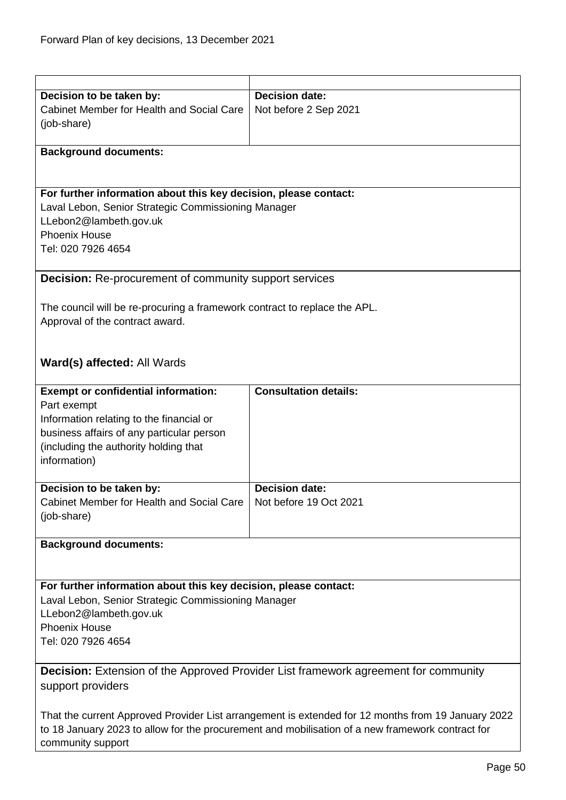| Decision to be taken by:                                                                           | <b>Decision date:</b>        |  |
|----------------------------------------------------------------------------------------------------|------------------------------|--|
| Cabinet Member for Health and Social Care<br>(job-share)                                           | Not before 2 Sep 2021        |  |
| <b>Background documents:</b>                                                                       |                              |  |
|                                                                                                    |                              |  |
| For further information about this key decision, please contact:                                   |                              |  |
| Laval Lebon, Senior Strategic Commissioning Manager                                                |                              |  |
| LLebon2@lambeth.gov.uk                                                                             |                              |  |
| <b>Phoenix House</b>                                                                               |                              |  |
| Tel: 020 7926 4654                                                                                 |                              |  |
| <b>Decision:</b> Re-procurement of community support services                                      |                              |  |
| The council will be re-procuring a framework contract to replace the APL.                          |                              |  |
| Approval of the contract award.                                                                    |                              |  |
|                                                                                                    |                              |  |
|                                                                                                    |                              |  |
| Ward(s) affected: All Wards                                                                        |                              |  |
| <b>Exempt or confidential information:</b>                                                         | <b>Consultation details:</b> |  |
| Part exempt                                                                                        |                              |  |
| Information relating to the financial or                                                           |                              |  |
| business affairs of any particular person                                                          |                              |  |
| (including the authority holding that                                                              |                              |  |
| information)                                                                                       |                              |  |
| Decision to be taken by:                                                                           | <b>Decision date:</b>        |  |
| Cabinet Member for Health and Social Care                                                          | Not before 19 Oct 2021       |  |
| (job-share)                                                                                        |                              |  |
|                                                                                                    |                              |  |
| <b>Background documents:</b>                                                                       |                              |  |
|                                                                                                    |                              |  |
| For further information about this key decision, please contact:                                   |                              |  |
| Laval Lebon, Senior Strategic Commissioning Manager                                                |                              |  |
| LLebon2@lambeth.gov.uk                                                                             |                              |  |
| <b>Phoenix House</b>                                                                               |                              |  |
| Tel: 020 7926 4654                                                                                 |                              |  |
| <b>Decision:</b> Extension of the Approved Provider List framework agreement for community         |                              |  |
| support providers                                                                                  |                              |  |
|                                                                                                    |                              |  |
| That the current Approved Provider List arrangement is extended for 12 months from 19 January 2022 |                              |  |
| to 18 January 2023 to allow for the procurement and mobilisation of a new framework contract for   |                              |  |
| community support                                                                                  |                              |  |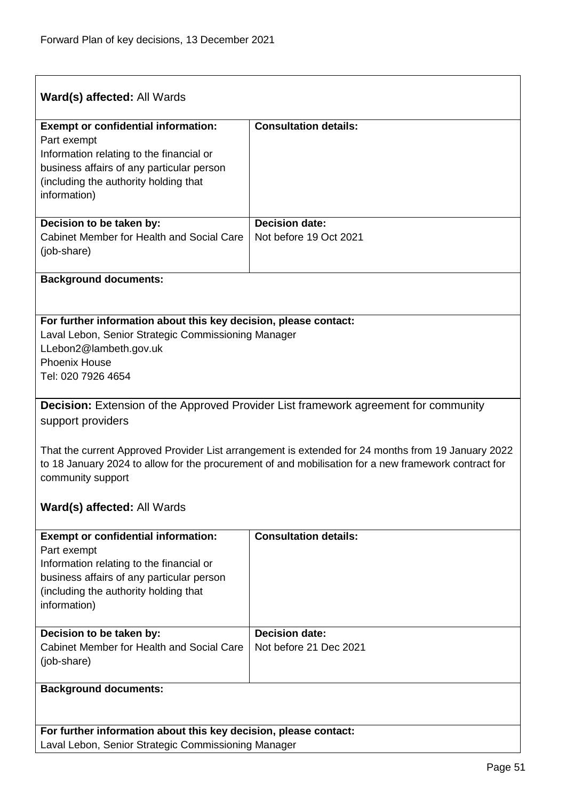| Ward(s) affected: All Wards                                                                                                                                                                                                     |                                                 |  |
|---------------------------------------------------------------------------------------------------------------------------------------------------------------------------------------------------------------------------------|-------------------------------------------------|--|
| <b>Exempt or confidential information:</b><br>Part exempt<br>Information relating to the financial or<br>business affairs of any particular person<br>(including the authority holding that<br>information)                     | <b>Consultation details:</b>                    |  |
| Decision to be taken by:<br>Cabinet Member for Health and Social Care<br>(job-share)                                                                                                                                            | <b>Decision date:</b><br>Not before 19 Oct 2021 |  |
| <b>Background documents:</b>                                                                                                                                                                                                    |                                                 |  |
| For further information about this key decision, please contact:<br>Laval Lebon, Senior Strategic Commissioning Manager<br>LLebon2@lambeth.gov.uk<br><b>Phoenix House</b><br>Tel: 020 7926 4654                                 |                                                 |  |
| <b>Decision:</b> Extension of the Approved Provider List framework agreement for community<br>support providers                                                                                                                 |                                                 |  |
| That the current Approved Provider List arrangement is extended for 24 months from 19 January 2022<br>to 18 January 2024 to allow for the procurement of and mobilisation for a new framework contract for<br>community support |                                                 |  |
| <b>Ward(s) affected: All Wards</b>                                                                                                                                                                                              |                                                 |  |
| <b>Exempt or confidential information:</b><br>Part exempt<br>Information relating to the financial or<br>business affairs of any particular person<br>(including the authority holding that<br>information)                     | <b>Consultation details:</b>                    |  |
| Decision to be taken by:<br>Cabinet Member for Health and Social Care<br>(job-share)                                                                                                                                            | <b>Decision date:</b><br>Not before 21 Dec 2021 |  |
| <b>Background documents:</b>                                                                                                                                                                                                    |                                                 |  |
| For further information about this key decision, please contact:<br>Laval Lebon, Senior Strategic Commissioning Manager                                                                                                         |                                                 |  |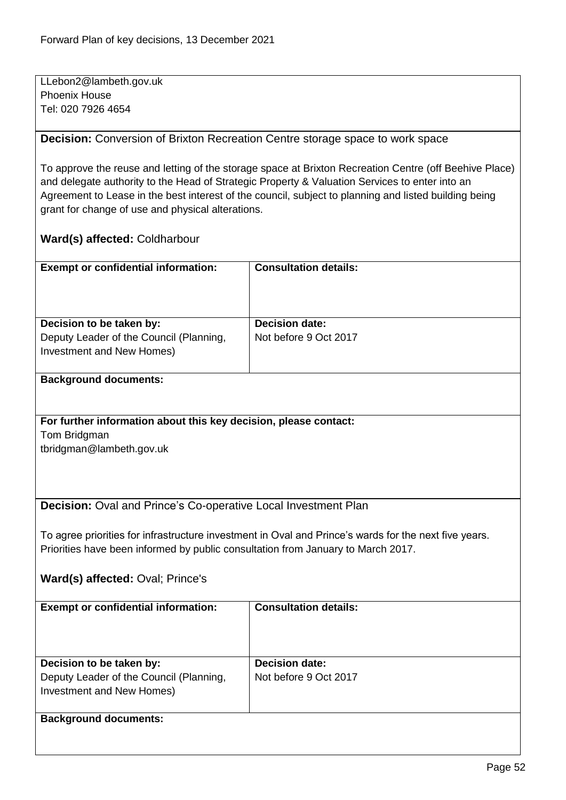LLebon2@lambeth.gov.uk Phoenix House Tel: 020 7926 4654

**Decision:** Conversion of Brixton Recreation Centre storage space to work space

To approve the reuse and letting of the storage space at Brixton Recreation Centre (off Beehive Place) and delegate authority to the Head of Strategic Property & Valuation Services to enter into an Agreement to Lease in the best interest of the council, subject to planning and listed building being grant for change of use and physical alterations.

## **Ward(s) affected:** Coldharbour

| <b>Exempt or confidential information:</b>                                                       | <b>Consultation details:</b>                   |
|--------------------------------------------------------------------------------------------------|------------------------------------------------|
| Decision to be taken by:<br>Deputy Leader of the Council (Planning,<br>Investment and New Homes) | <b>Decision date:</b><br>Not before 9 Oct 2017 |

#### **Background documents:**

**For further information about this key decision, please contact:**

Tom Bridgman

tbridgman@lambeth.gov.uk

**Decision:** Oval and Prince's Co-operative Local Investment Plan

To agree priorities for infrastructure investment in Oval and Prince's wards for the next five years. Priorities have been informed by public consultation from January to March 2017.

**Ward(s) affected:** Oval; Prince's

| <b>Exempt or confidential information:</b>                                                       | <b>Consultation details:</b>                   |
|--------------------------------------------------------------------------------------------------|------------------------------------------------|
| Decision to be taken by:<br>Deputy Leader of the Council (Planning,<br>Investment and New Homes) | <b>Decision date:</b><br>Not before 9 Oct 2017 |
| <b>Background documents:</b>                                                                     |                                                |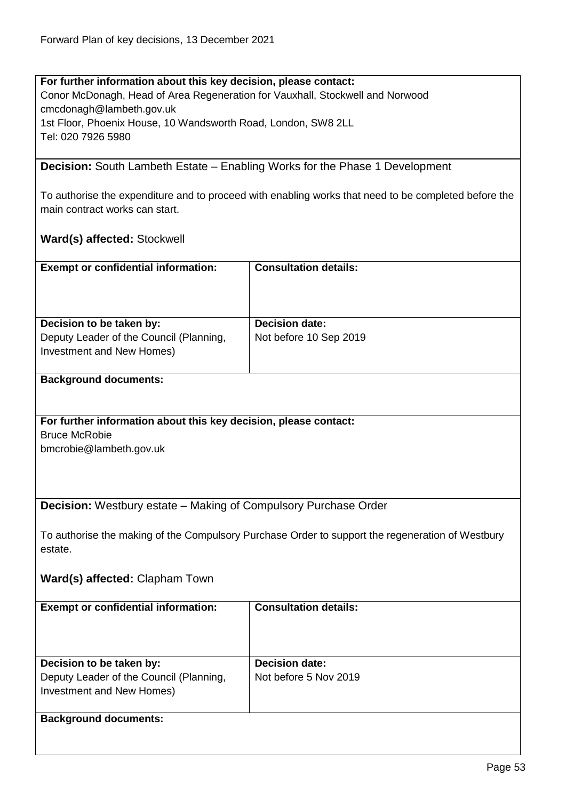**For further information about this key decision, please contact:** Conor McDonagh, Head of Area Regeneration for Vauxhall, Stockwell and Norwood cmcdonagh@lambeth.gov.uk 1st Floor, Phoenix House, 10 Wandsworth Road, London, SW8 2LL Tel: 020 7926 5980

**Decision:** South Lambeth Estate – Enabling Works for the Phase 1 Development

To authorise the expenditure and to proceed with enabling works that need to be completed before the main contract works can start.

## **Ward(s) affected:** Stockwell

| <b>Exempt or confidential information:</b>                                                       | <b>Consultation details:</b>                    |
|--------------------------------------------------------------------------------------------------|-------------------------------------------------|
| Decision to be taken by:<br>Deputy Leader of the Council (Planning,<br>Investment and New Homes) | <b>Decision date:</b><br>Not before 10 Sep 2019 |

## **Background documents:**

**For further information about this key decision, please contact:** Bruce McRobie

bmcrobie@lambeth.gov.uk

**Decision:** Westbury estate – Making of Compulsory Purchase Order

To authorise the making of the Compulsory Purchase Order to support the regeneration of Westbury estate.

**Ward(s) affected:** Clapham Town

| <b>Exempt or confidential information:</b> | <b>Consultation details:</b> |
|--------------------------------------------|------------------------------|
| Decision to be taken by:                   | <b>Decision date:</b>        |
| Deputy Leader of the Council (Planning,    | Not before 5 Nov 2019        |
| Investment and New Homes)                  |                              |
|                                            |                              |
| <b>Background documents:</b>               |                              |
|                                            |                              |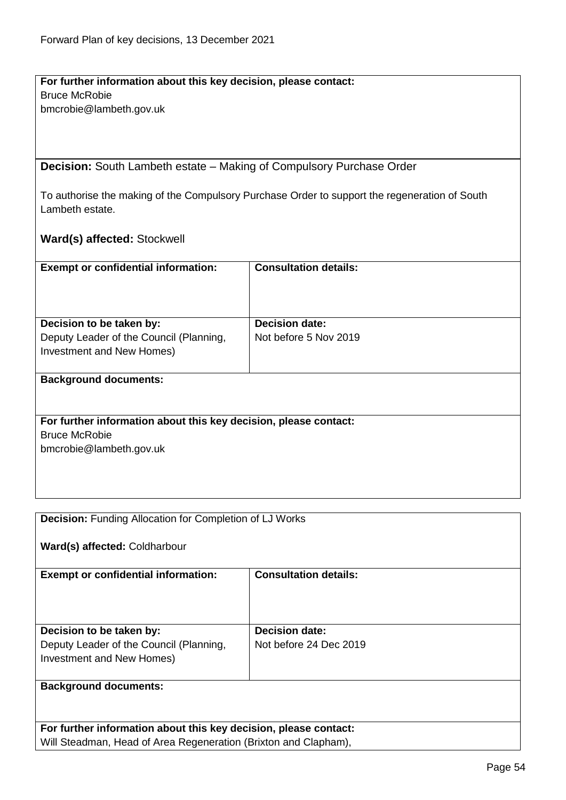#### **For further information about this key decision, please contact:** Bruce McRobie

bmcrobie@lambeth.gov.uk

**Decision:** South Lambeth estate – Making of Compulsory Purchase Order

To authorise the making of the Compulsory Purchase Order to support the regeneration of South Lambeth estate.

**Ward(s) affected:** Stockwell

| <b>Exempt or confidential information:</b>                                                                          | <b>Consultation details:</b>                   |
|---------------------------------------------------------------------------------------------------------------------|------------------------------------------------|
| Decision to be taken by:<br>Deputy Leader of the Council (Planning,<br>Investment and New Homes)                    | <b>Decision date:</b><br>Not before 5 Nov 2019 |
| <b>Background documents:</b>                                                                                        |                                                |
| For further information about this key decision, please contact:<br><b>Bruce McRobie</b><br>bmcrobie@lambeth.gov.uk |                                                |

| <b>Decision:</b> Funding Allocation for Completion of LJ Works   |                              |  |
|------------------------------------------------------------------|------------------------------|--|
| Ward(s) affected: Coldharbour                                    |                              |  |
| <b>Exempt or confidential information:</b>                       | <b>Consultation details:</b> |  |
| Decision to be taken by:                                         | <b>Decision date:</b>        |  |
|                                                                  |                              |  |
| Deputy Leader of the Council (Planning,                          | Not before 24 Dec 2019       |  |
| Investment and New Homes)                                        |                              |  |
| <b>Background documents:</b>                                     |                              |  |
|                                                                  |                              |  |
| For further information about this key decision, please contact: |                              |  |
| Will Steadman, Head of Area Regeneration (Brixton and Clapham),  |                              |  |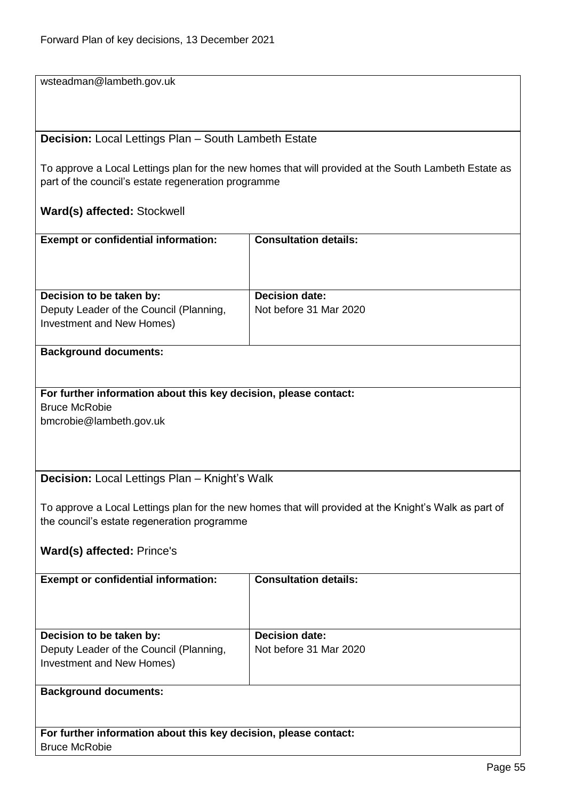wsteadman@lambeth.gov.uk

#### **Decision:** Local Lettings Plan – South Lambeth Estate

To approve a Local Lettings plan for the new homes that will provided at the South Lambeth Estate as part of the council's estate regeneration programme

## **Ward(s) affected:** Stockwell

| <b>Exempt or confidential information:</b> | <b>Consultation details:</b> |
|--------------------------------------------|------------------------------|
| Decision to be taken by:                   | <b>Decision date:</b>        |
| Deputy Leader of the Council (Planning,    | Not before 31 Mar 2020       |
| Investment and New Homes)                  |                              |
|                                            |                              |

#### **Background documents:**

# **For further information about this key decision, please contact:** Bruce McRobie

bmcrobie@lambeth.gov.uk

## **Decision:** Local Lettings Plan – Knight's Walk

To approve a Local Lettings plan for the new homes that will provided at the Knight's Walk as part of the council's estate regeneration programme

#### **Ward(s) affected:** Prince's

| <b>Exempt or confidential information:</b>                                                       | <b>Consultation details:</b>                    |
|--------------------------------------------------------------------------------------------------|-------------------------------------------------|
| Decision to be taken by:<br>Deputy Leader of the Council (Planning,<br>Investment and New Homes) | <b>Decision date:</b><br>Not before 31 Mar 2020 |
| <b>Background documents:</b>                                                                     |                                                 |

#### **For further information about this key decision, please contact:** Bruce McRobie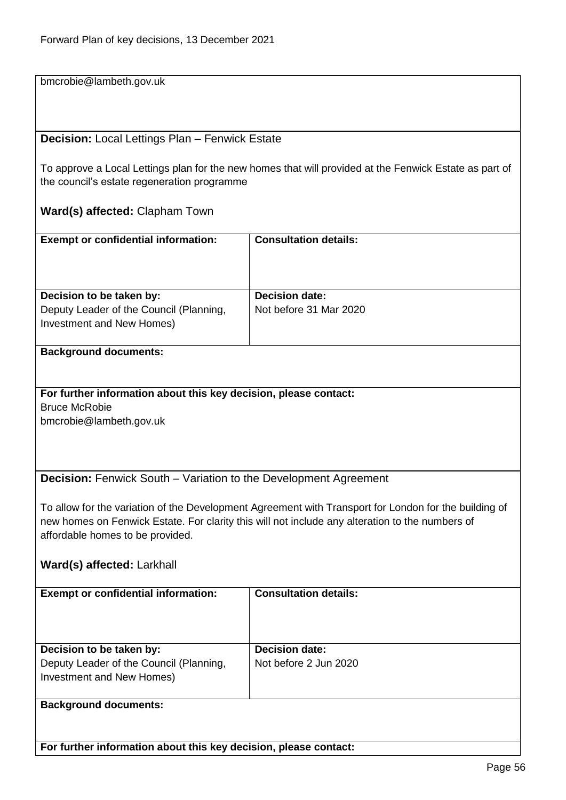bmcrobie@lambeth.gov.uk

#### **Decision:** Local Lettings Plan – Fenwick Estate

To approve a Local Lettings plan for the new homes that will provided at the Fenwick Estate as part of the council's estate regeneration programme

## **Ward(s) affected:** Clapham Town

| <b>Exempt or confidential information:</b>                           | <b>Consultation details:</b> |
|----------------------------------------------------------------------|------------------------------|
| Decision to be taken by:                                             | <b>Decision date:</b>        |
| Deputy Leader of the Council (Planning,<br>Investment and New Homes) | Not before 31 Mar 2020       |

#### **Background documents:**

# **For further information about this key decision, please contact:** Bruce McRobie

bmcrobie@lambeth.gov.uk

## **Decision:** Fenwick South – Variation to the Development Agreement

To allow for the variation of the Development Agreement with Transport for London for the building of new homes on Fenwick Estate. For clarity this will not include any alteration to the numbers of affordable homes to be provided.

#### **Ward(s) affected:** Larkhall

| <b>Exempt or confidential information:</b> | <b>Consultation details:</b> |
|--------------------------------------------|------------------------------|
| Decision to be taken by:                   | <b>Decision date:</b>        |
| Deputy Leader of the Council (Planning,    | Not before 2 Jun 2020        |
| Investment and New Homes)                  |                              |
|                                            |                              |
| <b>Background documents:</b>               |                              |

**For further information about this key decision, please contact:**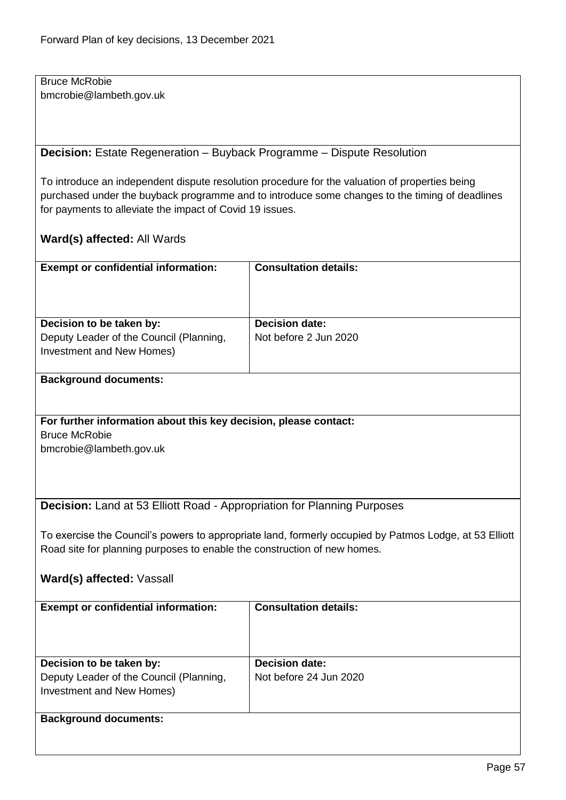Bruce McRobie bmcrobie@lambeth.gov.uk

**Decision:** Estate Regeneration – Buyback Programme – Dispute Resolution

To introduce an independent dispute resolution procedure for the valuation of properties being purchased under the buyback programme and to introduce some changes to the timing of deadlines for payments to alleviate the impact of Covid 19 issues.

## **Ward(s) affected:** All Wards

| <b>Exempt or confidential information:</b>                          | <b>Consultation details:</b>                   |
|---------------------------------------------------------------------|------------------------------------------------|
| Decision to be taken by:<br>Deputy Leader of the Council (Planning, | <b>Decision date:</b><br>Not before 2 Jun 2020 |
| Investment and New Homes)                                           |                                                |

## **Background documents:**

**For further information about this key decision, please contact:** Bruce McRobie

bmcrobie@lambeth.gov.uk

**Decision:** Land at 53 Elliott Road - Appropriation for Planning Purposes

To exercise the Council's powers to appropriate land, formerly occupied by Patmos Lodge, at 53 Elliott Road site for planning purposes to enable the construction of new homes.

**Ward(s) affected:** Vassall

| <b>Exempt or confidential information:</b>                                                       | <b>Consultation details:</b>                    |
|--------------------------------------------------------------------------------------------------|-------------------------------------------------|
| Decision to be taken by:<br>Deputy Leader of the Council (Planning,<br>Investment and New Homes) | <b>Decision date:</b><br>Not before 24 Jun 2020 |
| <b>Background documents:</b>                                                                     |                                                 |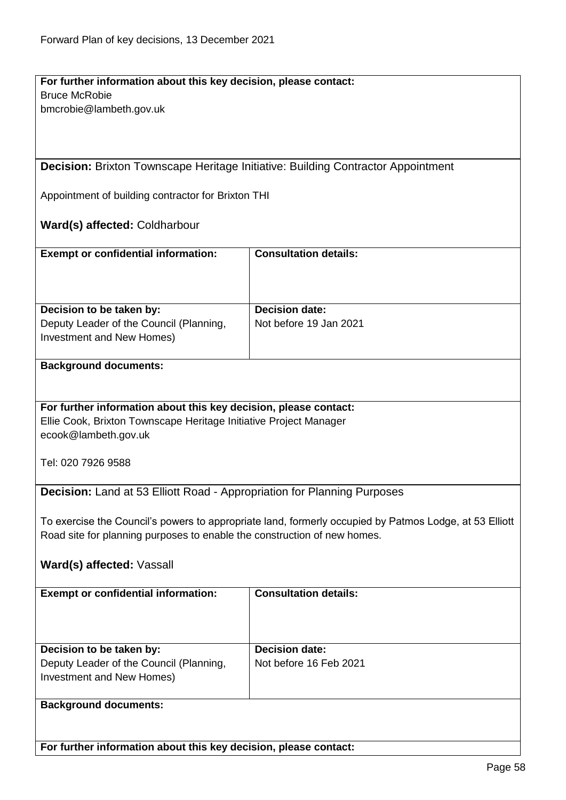# **For further information about this key decision, please contact:** Bruce McRobie

bmcrobie@lambeth.gov.uk

**Decision:** Brixton Townscape Heritage Initiative: Building Contractor Appointment

Appointment of building contractor for Brixton THI

## **Ward(s) affected:** Coldharbour

| <b>Exempt or confidential information:</b>                                                       | <b>Consultation details:</b>                    |
|--------------------------------------------------------------------------------------------------|-------------------------------------------------|
| Decision to be taken by:<br>Deputy Leader of the Council (Planning,<br>Investment and New Homes) | <b>Decision date:</b><br>Not before 19 Jan 2021 |

#### **Background documents:**

## **For further information about this key decision, please contact:**

Ellie Cook, Brixton Townscape Heritage Initiative Project Manager ecook@lambeth.gov.uk

Tel: 020 7926 9588

**Decision:** Land at 53 Elliott Road - Appropriation for Planning Purposes

To exercise the Council's powers to appropriate land, formerly occupied by Patmos Lodge, at 53 Elliott Road site for planning purposes to enable the construction of new homes.

## **Ward(s) affected:** Vassall

| <b>Exempt or confidential information:</b>                                                       | <b>Consultation details:</b>                    |
|--------------------------------------------------------------------------------------------------|-------------------------------------------------|
| Decision to be taken by:<br>Deputy Leader of the Council (Planning,<br>Investment and New Homes) | <b>Decision date:</b><br>Not before 16 Feb 2021 |
| <b>Background documents:</b>                                                                     |                                                 |

**For further information about this key decision, please contact:**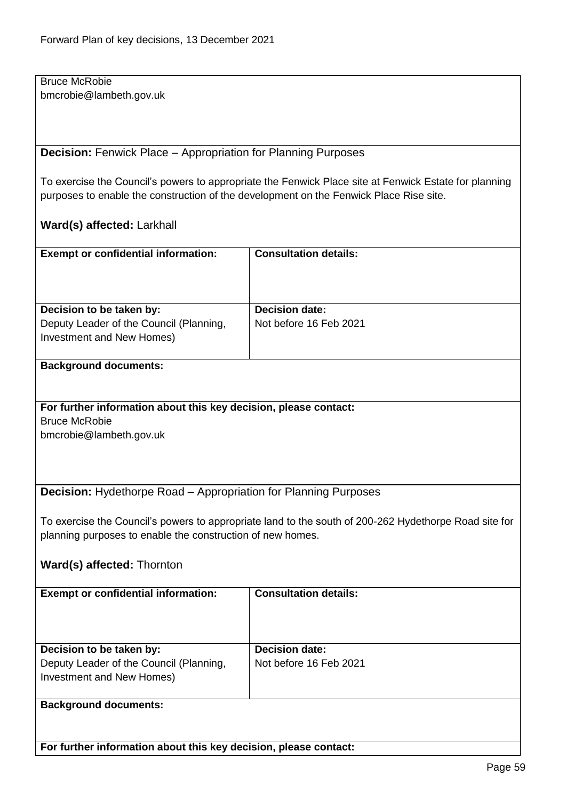Bruce McRobie bmcrobie@lambeth.gov.uk

**Decision:** Fenwick Place – Appropriation for Planning Purposes

To exercise the Council's powers to appropriate the Fenwick Place site at Fenwick Estate for planning purposes to enable the construction of the development on the Fenwick Place Rise site.

## **Ward(s) affected:** Larkhall

| <b>Exempt or confidential information:</b>                                                       | <b>Consultation details:</b>                    |
|--------------------------------------------------------------------------------------------------|-------------------------------------------------|
| Decision to be taken by:<br>Deputy Leader of the Council (Planning,<br>Investment and New Homes) | <b>Decision date:</b><br>Not before 16 Feb 2021 |
|                                                                                                  |                                                 |

#### **Background documents:**

## **For further information about this key decision, please contact:** Bruce McRobie

bmcrobie@lambeth.gov.uk

**Decision:** Hydethorpe Road – Appropriation for Planning Purposes

To exercise the Council's powers to appropriate land to the south of 200-262 Hydethorpe Road site for planning purposes to enable the construction of new homes.

## **Ward(s) affected:** Thornton

| <b>Exempt or confidential information:</b>                                                       | <b>Consultation details:</b>                    |
|--------------------------------------------------------------------------------------------------|-------------------------------------------------|
| Decision to be taken by:<br>Deputy Leader of the Council (Planning,<br>Investment and New Homes) | <b>Decision date:</b><br>Not before 16 Feb 2021 |
| <b>Background documents:</b>                                                                     |                                                 |

**For further information about this key decision, please contact:**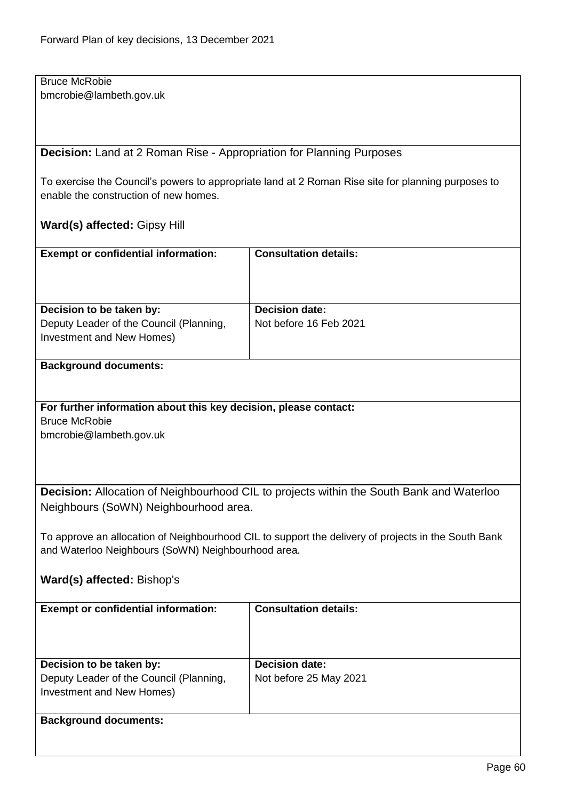Bruce McRobie bmcrobie@lambeth.gov.uk

**Decision:** Land at 2 Roman Rise - Appropriation for Planning Purposes

To exercise the Council's powers to appropriate land at 2 Roman Rise site for planning purposes to enable the construction of new homes.

## **Ward(s) affected:** Gipsy Hill

| <b>Exempt or confidential information:</b>                                                       | <b>Consultation details:</b>                    |
|--------------------------------------------------------------------------------------------------|-------------------------------------------------|
| Decision to be taken by:<br>Deputy Leader of the Council (Planning,<br>Investment and New Homes) | <b>Decision date:</b><br>Not before 16 Feb 2021 |

#### **Background documents:**

#### **For further information about this key decision, please contact:** Bruce McRobie

bmcrobie@lambeth.gov.uk

**Decision:** Allocation of Neighbourhood CIL to projects within the South Bank and Waterloo Neighbours (SoWN) Neighbourhood area.

To approve an allocation of Neighbourhood CIL to support the delivery of projects in the South Bank and Waterloo Neighbours (SoWN) Neighbourhood area.

## **Ward(s) affected:** Bishop's

| <b>Exempt or confidential information:</b>                                                       | <b>Consultation details:</b>                    |
|--------------------------------------------------------------------------------------------------|-------------------------------------------------|
| Decision to be taken by:<br>Deputy Leader of the Council (Planning,<br>Investment and New Homes) | <b>Decision date:</b><br>Not before 25 May 2021 |
| <b>Background documents:</b>                                                                     |                                                 |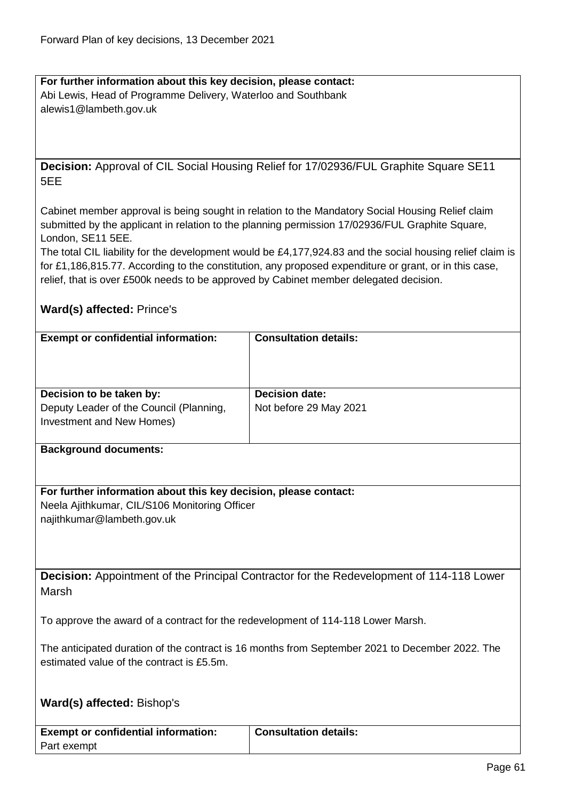#### **For further information about this key decision, please contact:** Abi Lewis, Head of Programme Delivery, Waterloo and Southbank alewis1@lambeth.gov.uk

**Decision:** Approval of CIL Social Housing Relief for 17/02936/FUL Graphite Square SE11 5EE

Cabinet member approval is being sought in relation to the Mandatory Social Housing Relief claim submitted by the applicant in relation to the planning permission 17/02936/FUL Graphite Square, London, SE11 5EE.

The total CIL liability for the development would be £4,177,924.83 and the social housing relief claim is for £1,186,815.77. According to the constitution, any proposed expenditure or grant, or in this case, relief, that is over £500k needs to be approved by Cabinet member delegated decision.

## **Ward(s) affected:** Prince's

| <b>Exempt or confidential information:</b>                                                       | <b>Consultation details:</b>                    |
|--------------------------------------------------------------------------------------------------|-------------------------------------------------|
| Decision to be taken by:<br>Deputy Leader of the Council (Planning,<br>Investment and New Homes) | <b>Decision date:</b><br>Not before 29 May 2021 |
|                                                                                                  |                                                 |

#### **Background documents:**

**For further information about this key decision, please contact:** Neela Ajithkumar, CIL/S106 Monitoring Officer najithkumar@lambeth.gov.uk

**Decision:** Appointment of the Principal Contractor for the Redevelopment of 114-118 Lower Marsh

To approve the award of a contract for the redevelopment of 114-118 Lower Marsh.

The anticipated duration of the contract is 16 months from September 2021 to December 2022. The estimated value of the contract is £5.5m.

**Consultation details:**

## **Ward(s) affected:** Bishop's

| <b>Exempt or confidential information:</b> |  |
|--------------------------------------------|--|
| Part exempt                                |  |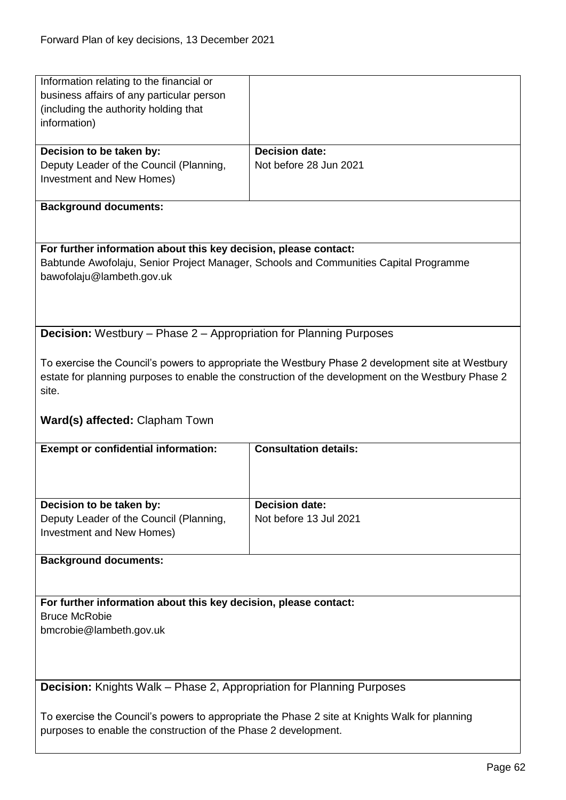| Information relating to the financial or                                     |                                                                                                    |
|------------------------------------------------------------------------------|----------------------------------------------------------------------------------------------------|
| business affairs of any particular person                                    |                                                                                                    |
| (including the authority holding that                                        |                                                                                                    |
| information)                                                                 |                                                                                                    |
|                                                                              |                                                                                                    |
| Decision to be taken by:                                                     | <b>Decision date:</b>                                                                              |
| Deputy Leader of the Council (Planning,                                      | Not before 28 Jun 2021                                                                             |
| Investment and New Homes)                                                    |                                                                                                    |
|                                                                              |                                                                                                    |
|                                                                              |                                                                                                    |
| <b>Background documents:</b>                                                 |                                                                                                    |
|                                                                              |                                                                                                    |
|                                                                              |                                                                                                    |
| For further information about this key decision, please contact:             |                                                                                                    |
|                                                                              | Babtunde Awofolaju, Senior Project Manager, Schools and Communities Capital Programme              |
| bawofolaju@lambeth.gov.uk                                                    |                                                                                                    |
|                                                                              |                                                                                                    |
|                                                                              |                                                                                                    |
|                                                                              |                                                                                                    |
| <b>Decision:</b> Westbury - Phase 2 - Appropriation for Planning Purposes    |                                                                                                    |
|                                                                              |                                                                                                    |
|                                                                              |                                                                                                    |
|                                                                              | To exercise the Council's powers to appropriate the Westbury Phase 2 development site at Westbury  |
|                                                                              | estate for planning purposes to enable the construction of the development on the Westbury Phase 2 |
| site.                                                                        |                                                                                                    |
|                                                                              |                                                                                                    |
| <b>Ward(s) affected: Clapham Town</b>                                        |                                                                                                    |
|                                                                              |                                                                                                    |
| <b>Exempt or confidential information:</b>                                   | <b>Consultation details:</b>                                                                       |
|                                                                              |                                                                                                    |
|                                                                              |                                                                                                    |
|                                                                              |                                                                                                    |
| Decision to be taken by:                                                     |                                                                                                    |
|                                                                              |                                                                                                    |
|                                                                              | <b>Decision date:</b>                                                                              |
| Deputy Leader of the Council (Planning,                                      | Not before 13 Jul 2021                                                                             |
| Investment and New Homes)                                                    |                                                                                                    |
|                                                                              |                                                                                                    |
| <b>Background documents:</b>                                                 |                                                                                                    |
|                                                                              |                                                                                                    |
|                                                                              |                                                                                                    |
| For further information about this key decision, please contact:             |                                                                                                    |
| <b>Bruce McRobie</b>                                                         |                                                                                                    |
|                                                                              |                                                                                                    |
| bmcrobie@lambeth.gov.uk                                                      |                                                                                                    |
|                                                                              |                                                                                                    |
|                                                                              |                                                                                                    |
|                                                                              |                                                                                                    |
| <b>Decision:</b> Knights Walk – Phase 2, Appropriation for Planning Purposes |                                                                                                    |
|                                                                              |                                                                                                    |
|                                                                              | To exercise the Council's powers to appropriate the Phase 2 site at Knights Walk for planning      |
| purposes to enable the construction of the Phase 2 development.              |                                                                                                    |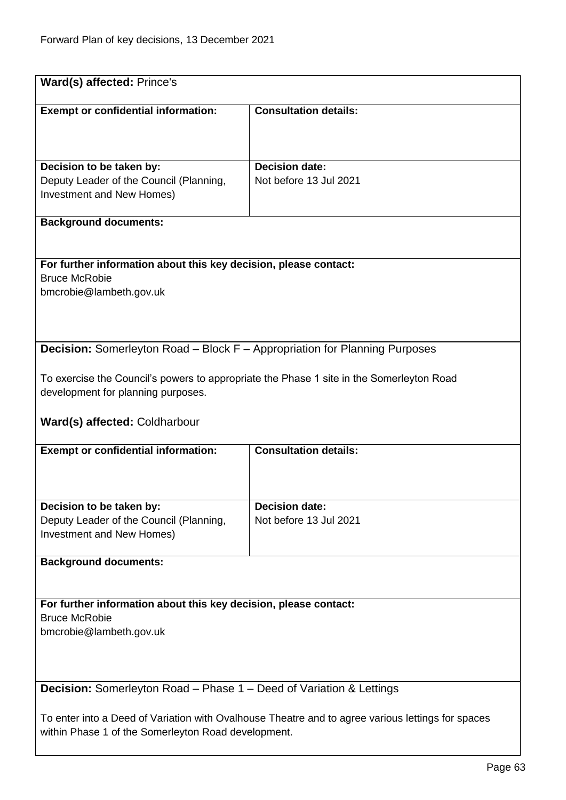| Ward(s) affected: Prince's                                                                                                                                                                                                                           |                                                 |  |
|------------------------------------------------------------------------------------------------------------------------------------------------------------------------------------------------------------------------------------------------------|-------------------------------------------------|--|
| <b>Exempt or confidential information:</b>                                                                                                                                                                                                           | <b>Consultation details:</b>                    |  |
| Decision to be taken by:<br>Deputy Leader of the Council (Planning,<br>Investment and New Homes)                                                                                                                                                     | <b>Decision date:</b><br>Not before 13 Jul 2021 |  |
| <b>Background documents:</b>                                                                                                                                                                                                                         |                                                 |  |
| For further information about this key decision, please contact:<br><b>Bruce McRobie</b><br>bmcrobie@lambeth.gov.uk                                                                                                                                  |                                                 |  |
| <b>Decision:</b> Somerleyton Road - Block F - Appropriation for Planning Purposes<br>To exercise the Council's powers to appropriate the Phase 1 site in the Somerleyton Road<br>development for planning purposes.<br>Ward(s) affected: Coldharbour |                                                 |  |
| <b>Exempt or confidential information:</b>                                                                                                                                                                                                           | <b>Consultation details:</b>                    |  |
| Decision to be taken by:<br>Deputy Leader of the Council (Planning,<br>Investment and New Homes)                                                                                                                                                     | <b>Decision date:</b><br>Not before 13 Jul 2021 |  |
| <b>Background documents:</b>                                                                                                                                                                                                                         |                                                 |  |
| For further information about this key decision, please contact:<br><b>Bruce McRobie</b><br>bmcrobie@lambeth.gov.uk                                                                                                                                  |                                                 |  |
| <b>Decision:</b> Somerleyton Road – Phase 1 – Deed of Variation & Lettings<br>To enter into a Deed of Variation with Ovalhouse Theatre and to agree various lettings for spaces<br>within Phase 1 of the Somerleyton Road development.               |                                                 |  |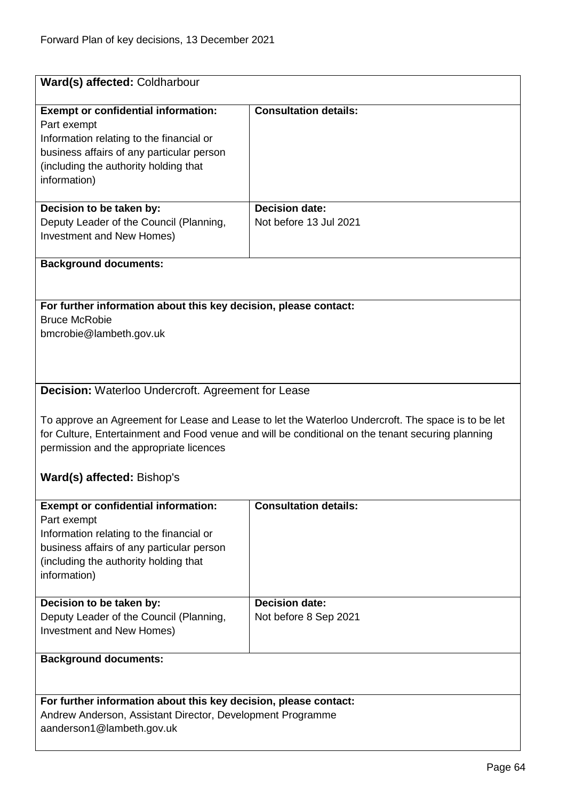| Ward(s) affected: Coldharbour                                                                                                                                                                                                                                                                                                                 |                                                 |  |
|-----------------------------------------------------------------------------------------------------------------------------------------------------------------------------------------------------------------------------------------------------------------------------------------------------------------------------------------------|-------------------------------------------------|--|
| <b>Exempt or confidential information:</b><br>Part exempt<br>Information relating to the financial or<br>business affairs of any particular person<br>(including the authority holding that<br>information)                                                                                                                                   | <b>Consultation details:</b>                    |  |
| Decision to be taken by:<br>Deputy Leader of the Council (Planning,<br>Investment and New Homes)                                                                                                                                                                                                                                              | <b>Decision date:</b><br>Not before 13 Jul 2021 |  |
| <b>Background documents:</b>                                                                                                                                                                                                                                                                                                                  |                                                 |  |
| For further information about this key decision, please contact:<br><b>Bruce McRobie</b><br>bmcrobie@lambeth.gov.uk                                                                                                                                                                                                                           |                                                 |  |
| Decision: Waterloo Undercroft. Agreement for Lease<br>To approve an Agreement for Lease and Lease to let the Waterloo Undercroft. The space is to be let<br>for Culture, Entertainment and Food venue and will be conditional on the tenant securing planning<br>permission and the appropriate licences<br><b>Ward(s) affected: Bishop's</b> |                                                 |  |
| <b>Exempt or confidential information:</b><br>Part exempt<br>Information relating to the financial or<br>business affairs of any particular person<br>(including the authority holding that<br>information)                                                                                                                                   | <b>Consultation details:</b>                    |  |
| Decision to be taken by:<br>Deputy Leader of the Council (Planning,<br><b>Investment and New Homes)</b>                                                                                                                                                                                                                                       | <b>Decision date:</b><br>Not before 8 Sep 2021  |  |
| <b>Background documents:</b>                                                                                                                                                                                                                                                                                                                  |                                                 |  |
| For further information about this key decision, please contact:<br>Andrew Anderson, Assistant Director, Development Programme<br>aanderson1@lambeth.gov.uk                                                                                                                                                                                   |                                                 |  |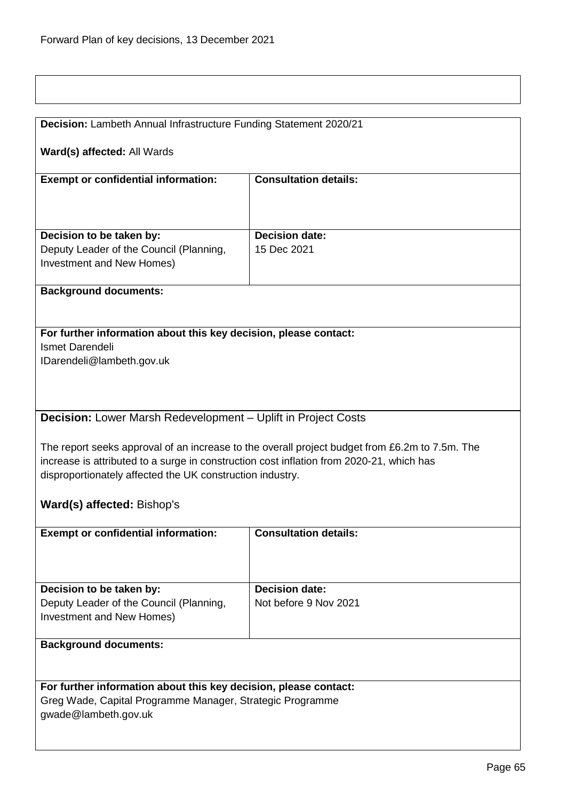| Decision: Lambeth Annual Infrastructure Funding Statement 2020/21                        |                                                                                                |  |
|------------------------------------------------------------------------------------------|------------------------------------------------------------------------------------------------|--|
|                                                                                          |                                                                                                |  |
| Ward(s) affected: All Wards                                                              |                                                                                                |  |
|                                                                                          |                                                                                                |  |
| <b>Exempt or confidential information:</b>                                               | <b>Consultation details:</b>                                                                   |  |
|                                                                                          |                                                                                                |  |
|                                                                                          |                                                                                                |  |
| Decision to be taken by:                                                                 | <b>Decision date:</b>                                                                          |  |
| Deputy Leader of the Council (Planning,                                                  | 15 Dec 2021                                                                                    |  |
| Investment and New Homes)                                                                |                                                                                                |  |
|                                                                                          |                                                                                                |  |
| <b>Background documents:</b>                                                             |                                                                                                |  |
|                                                                                          |                                                                                                |  |
|                                                                                          |                                                                                                |  |
| For further information about this key decision, please contact:                         |                                                                                                |  |
| Ismet Darendeli                                                                          |                                                                                                |  |
| IDarendeli@lambeth.gov.uk                                                                |                                                                                                |  |
|                                                                                          |                                                                                                |  |
|                                                                                          |                                                                                                |  |
|                                                                                          |                                                                                                |  |
| Decision: Lower Marsh Redevelopment - Uplift in Project Costs                            |                                                                                                |  |
|                                                                                          |                                                                                                |  |
|                                                                                          | The report seeks approval of an increase to the overall project budget from £6.2m to 7.5m. The |  |
| increase is attributed to a surge in construction cost inflation from 2020-21, which has |                                                                                                |  |
| disproportionately affected the UK construction industry.                                |                                                                                                |  |
|                                                                                          |                                                                                                |  |
| Ward(s) affected: Bishop's                                                               |                                                                                                |  |
|                                                                                          |                                                                                                |  |
| <b>Exempt or confidential information:</b>                                               | <b>Consultation details:</b>                                                                   |  |
|                                                                                          |                                                                                                |  |
|                                                                                          |                                                                                                |  |
|                                                                                          |                                                                                                |  |
| Decision to be taken by:                                                                 | <b>Decision date:</b>                                                                          |  |
| Deputy Leader of the Council (Planning,                                                  | Not before 9 Nov 2021                                                                          |  |
| Investment and New Homes)                                                                |                                                                                                |  |
|                                                                                          |                                                                                                |  |
| <b>Background documents:</b>                                                             |                                                                                                |  |
|                                                                                          |                                                                                                |  |
|                                                                                          |                                                                                                |  |
| For further information about this key decision, please contact:                         |                                                                                                |  |
| Greg Wade, Capital Programme Manager, Strategic Programme<br>gwade@lambeth.gov.uk        |                                                                                                |  |
|                                                                                          |                                                                                                |  |
|                                                                                          |                                                                                                |  |
|                                                                                          |                                                                                                |  |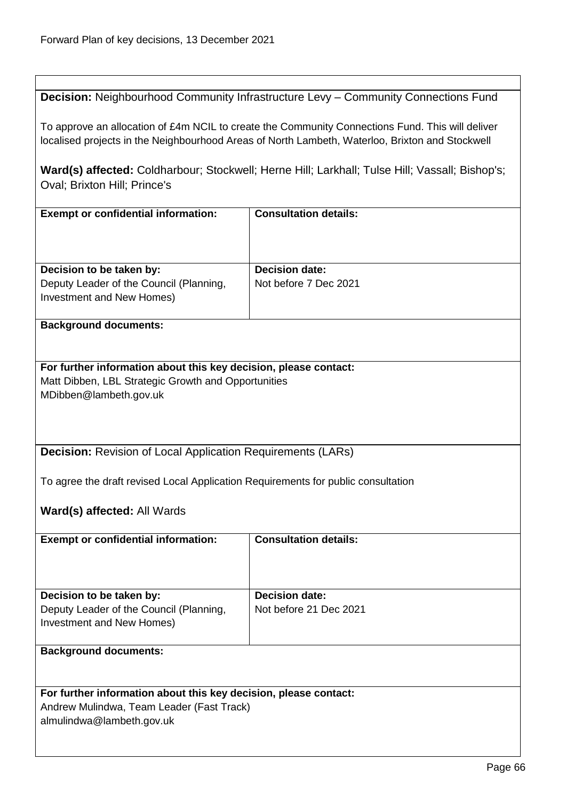$\overline{1}$ 

|                                                                                                                                                                                                     | Decision: Neighbourhood Community Infrastructure Levy - Community Connections Fund |  |
|-----------------------------------------------------------------------------------------------------------------------------------------------------------------------------------------------------|------------------------------------------------------------------------------------|--|
| To approve an allocation of £4m NCIL to create the Community Connections Fund. This will deliver<br>localised projects in the Neighbourhood Areas of North Lambeth, Waterloo, Brixton and Stockwell |                                                                                    |  |
| Ward(s) affected: Coldharbour; Stockwell; Herne Hill; Larkhall; Tulse Hill; Vassall; Bishop's;<br>Oval; Brixton Hill; Prince's                                                                      |                                                                                    |  |
| <b>Exempt or confidential information:</b>                                                                                                                                                          | <b>Consultation details:</b>                                                       |  |
| Decision to be taken by:<br>Deputy Leader of the Council (Planning,<br>Investment and New Homes)                                                                                                    | <b>Decision date:</b><br>Not before 7 Dec 2021                                     |  |
| <b>Background documents:</b>                                                                                                                                                                        |                                                                                    |  |
| For further information about this key decision, please contact:<br>Matt Dibben, LBL Strategic Growth and Opportunities<br>MDibben@lambeth.gov.uk                                                   |                                                                                    |  |
| <b>Decision:</b> Revision of Local Application Requirements (LARs)                                                                                                                                  |                                                                                    |  |
| To agree the draft revised Local Application Requirements for public consultation                                                                                                                   |                                                                                    |  |
| Ward(s) affected: All Wards                                                                                                                                                                         |                                                                                    |  |
| <b>Exempt or confidential information:</b>                                                                                                                                                          | <b>Consultation details:</b>                                                       |  |
| Decision to be taken by:<br>Deputy Leader of the Council (Planning,<br><b>Investment and New Homes)</b>                                                                                             | <b>Decision date:</b><br>Not before 21 Dec 2021                                    |  |
| <b>Background documents:</b>                                                                                                                                                                        |                                                                                    |  |
| For further information about this key decision, please contact:<br>Andrew Mulindwa, Team Leader (Fast Track)<br>almulindwa@lambeth.gov.uk                                                          |                                                                                    |  |

Ī.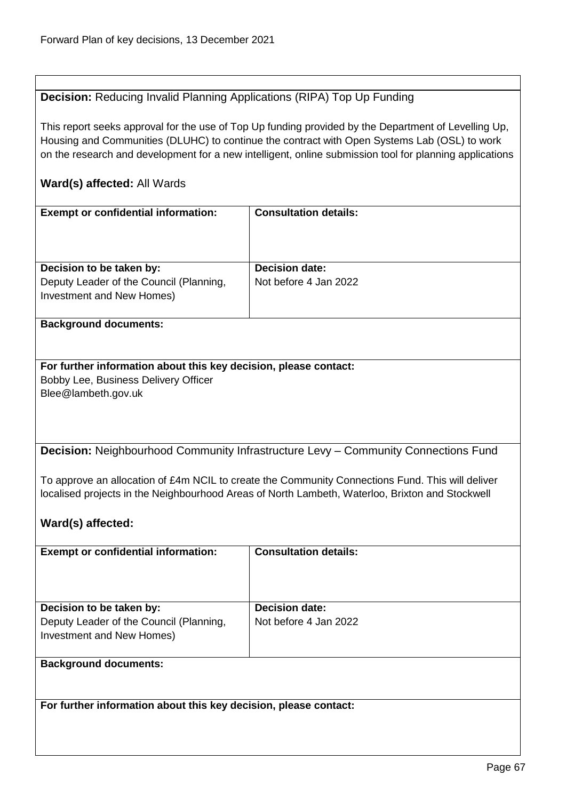# **Decision:** Reducing Invalid Planning Applications (RIPA) Top Up Funding

This report seeks approval for the use of Top Up funding provided by the Department of Levelling Up, Housing and Communities (DLUHC) to continue the contract with Open Systems Lab (OSL) to work on the research and development for a new intelligent, online submission tool for planning applications

# **Ward(s) affected:** All Wards

| <b>Exempt or confidential information:</b>                       | <b>Consultation details:</b>                                                                     |
|------------------------------------------------------------------|--------------------------------------------------------------------------------------------------|
|                                                                  |                                                                                                  |
|                                                                  |                                                                                                  |
| Decision to be taken by:                                         | <b>Decision date:</b>                                                                            |
| Deputy Leader of the Council (Planning,                          | Not before 4 Jan 2022                                                                            |
| Investment and New Homes)                                        |                                                                                                  |
| <b>Background documents:</b>                                     |                                                                                                  |
|                                                                  |                                                                                                  |
| For further information about this key decision, please contact: |                                                                                                  |
| Bobby Lee, Business Delivery Officer                             |                                                                                                  |
| Blee@lambeth.gov.uk                                              |                                                                                                  |
|                                                                  |                                                                                                  |
|                                                                  |                                                                                                  |
|                                                                  | Decision: Neighbourhood Community Infrastructure Levy - Community Connections Fund               |
|                                                                  |                                                                                                  |
|                                                                  | To approve an allocation of £4m NCIL to create the Community Connections Fund. This will deliver |
|                                                                  | localised projects in the Neighbourhood Areas of North Lambeth, Waterloo, Brixton and Stockwell  |
|                                                                  |                                                                                                  |
| Ward(s) affected:                                                |                                                                                                  |
| <b>Exempt or confidential information:</b>                       | <b>Consultation details:</b>                                                                     |
|                                                                  |                                                                                                  |
|                                                                  |                                                                                                  |
| Decision to be taken by:                                         | <b>Decision date:</b>                                                                            |
| Deputy Leader of the Council (Planning,                          | Not before 4 Jan 2022                                                                            |
| Investment and New Homes)                                        |                                                                                                  |
| <b>Background documents:</b>                                     |                                                                                                  |
|                                                                  |                                                                                                  |
|                                                                  |                                                                                                  |
| For further information about this key decision, please contact: |                                                                                                  |
|                                                                  |                                                                                                  |
|                                                                  |                                                                                                  |
|                                                                  |                                                                                                  |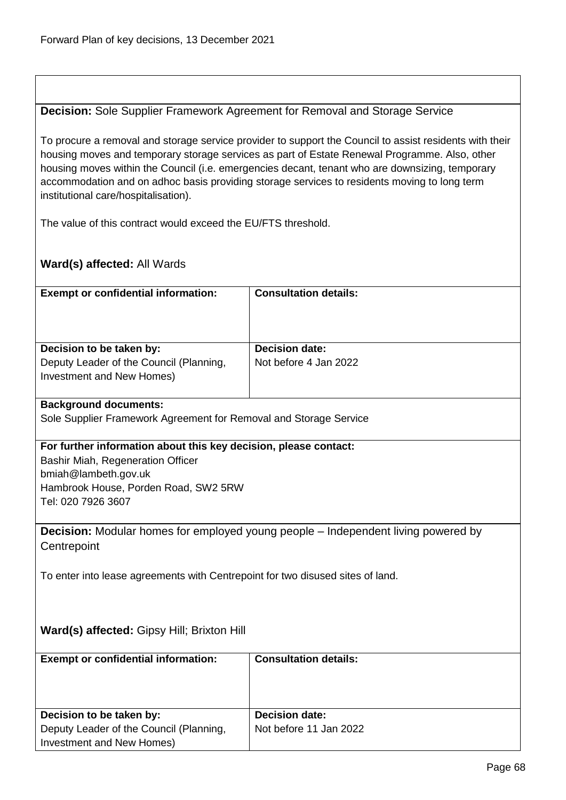## **Decision:** Sole Supplier Framework Agreement for Removal and Storage Service

To procure a removal and storage service provider to support the Council to assist residents with their housing moves and temporary storage services as part of Estate Renewal Programme. Also, other housing moves within the Council (i.e. emergencies decant, tenant who are downsizing, temporary accommodation and on adhoc basis providing storage services to residents moving to long term institutional care/hospitalisation).

The value of this contract would exceed the EU/FTS threshold.

## **Ward(s) affected:** All Wards

| <b>Exempt or confidential information:</b>                           | <b>Consultation details:</b> |
|----------------------------------------------------------------------|------------------------------|
| Decision to be taken by:                                             | <b>Decision date:</b>        |
| Deputy Leader of the Council (Planning,<br>Investment and New Homes) | Not before 4 Jan 2022        |

#### **Background documents:**

Sole Supplier Framework Agreement for Removal and Storage Service

#### **For further information about this key decision, please contact:**

Bashir Miah, Regeneration Officer bmiah@lambeth.gov.uk Hambrook House, Porden Road, SW2 5RW Tel: 020 7926 3607

**Decision:** Modular homes for employed young people – Independent living powered by **Centrepoint** 

To enter into lease agreements with Centrepoint for two disused sites of land.

#### **Ward(s) affected:** Gipsy Hill; Brixton Hill

| <b>Exempt or confidential information:</b> | <b>Consultation details:</b> |
|--------------------------------------------|------------------------------|
| Decision to be taken by:                   | Decision date:               |
| Deputy Leader of the Council (Planning,    | Not before 11 Jan 2022       |
| Investment and New Homes)                  |                              |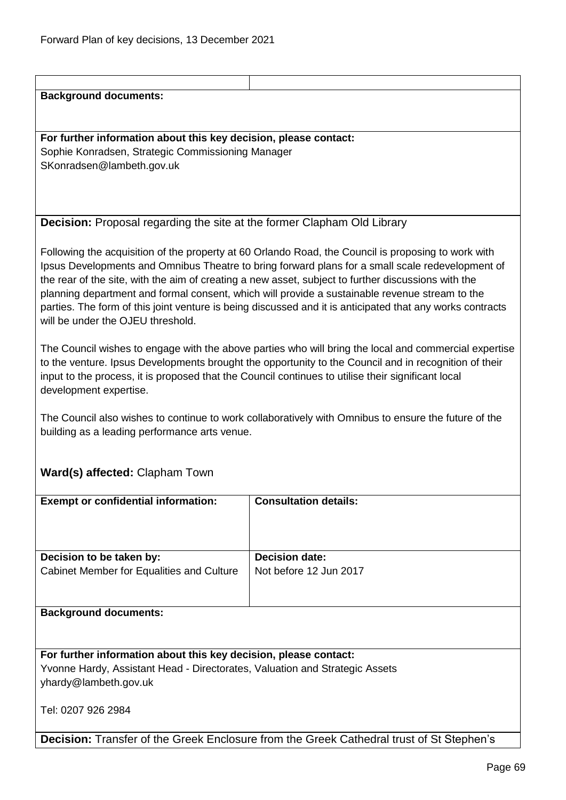#### **Background documents:**

## **For further information about this key decision, please contact:** Sophie Konradsen, Strategic Commissioning Manager SKonradsen@lambeth.gov.uk

## **Decision:** Proposal regarding the site at the former Clapham Old Library

Following the acquisition of the property at 60 Orlando Road, the Council is proposing to work with Ipsus Developments and Omnibus Theatre to bring forward plans for a small scale redevelopment of the rear of the site, with the aim of creating a new asset, subject to further discussions with the planning department and formal consent, which will provide a sustainable revenue stream to the parties. The form of this joint venture is being discussed and it is anticipated that any works contracts will be under the OJFU threshold.

The Council wishes to engage with the above parties who will bring the local and commercial expertise to the venture. Ipsus Developments brought the opportunity to the Council and in recognition of their input to the process, it is proposed that the Council continues to utilise their significant local development expertise.

The Council also wishes to continue to work collaboratively with Omnibus to ensure the future of the building as a leading performance arts venue.

## **Ward(s) affected:** Clapham Town

| <b>Exempt or confidential information:</b>                                                      | <b>Consultation details:</b> |  |
|-------------------------------------------------------------------------------------------------|------------------------------|--|
|                                                                                                 |                              |  |
|                                                                                                 |                              |  |
|                                                                                                 |                              |  |
|                                                                                                 |                              |  |
|                                                                                                 |                              |  |
| Decision to be taken by:                                                                        | <b>Decision date:</b>        |  |
| Cabinet Member for Equalities and Culture                                                       | Not before 12 Jun 2017       |  |
|                                                                                                 |                              |  |
|                                                                                                 |                              |  |
|                                                                                                 |                              |  |
| <b>Background documents:</b>                                                                    |                              |  |
|                                                                                                 |                              |  |
|                                                                                                 |                              |  |
|                                                                                                 |                              |  |
| For further information about this key decision, please contact:                                |                              |  |
|                                                                                                 |                              |  |
| Yvonne Hardy, Assistant Head - Directorates, Valuation and Strategic Assets                     |                              |  |
| yhardy@lambeth.gov.uk                                                                           |                              |  |
|                                                                                                 |                              |  |
|                                                                                                 |                              |  |
| Tel: 0207 926 2984                                                                              |                              |  |
|                                                                                                 |                              |  |
|                                                                                                 |                              |  |
| <b>Decision:</b> Transfer of the Greek Enclosure from the Greek Cathedral trust of St Stephen's |                              |  |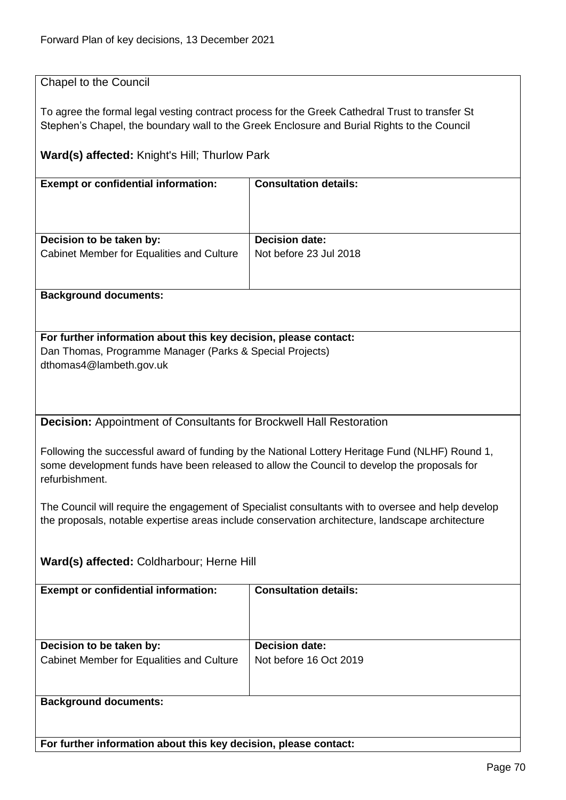## Chapel to the Council

To agree the formal legal vesting contract process for the Greek Cathedral Trust to transfer St Stephen's Chapel, the boundary wall to the Greek Enclosure and Burial Rights to the Council

## **Ward(s) affected:** Knight's Hill; Thurlow Park

| <b>Exempt or confidential information:</b> | <b>Consultation details:</b> |
|--------------------------------------------|------------------------------|
| Decision to be taken by:                   | Decision date:               |
| Cabinet Member for Equalities and Culture  | Not before 23 Jul 2018       |
|                                            |                              |
| <b>Background documents:</b>               |                              |

# **For further information about this key decision, please contact:** Dan Thomas, Programme Manager (Parks & Special Projects)

dthomas4@lambeth.gov.uk

**Decision:** Appointment of Consultants for Brockwell Hall Restoration

Following the successful award of funding by the National Lottery Heritage Fund (NLHF) Round 1, some development funds have been released to allow the Council to develop the proposals for refurbishment.

The Council will require the engagement of Specialist consultants with to oversee and help develop the proposals, notable expertise areas include conservation architecture, landscape architecture

## **Ward(s) affected:** Coldharbour; Herne Hill

| <b>Exempt or confidential information:</b>                            | <b>Consultation details:</b>                    |
|-----------------------------------------------------------------------|-------------------------------------------------|
| Decision to be taken by:<br>Cabinet Member for Equalities and Culture | <b>Decision date:</b><br>Not before 16 Oct 2019 |
| <b>Background documents:</b>                                          |                                                 |

**For further information about this key decision, please contact:**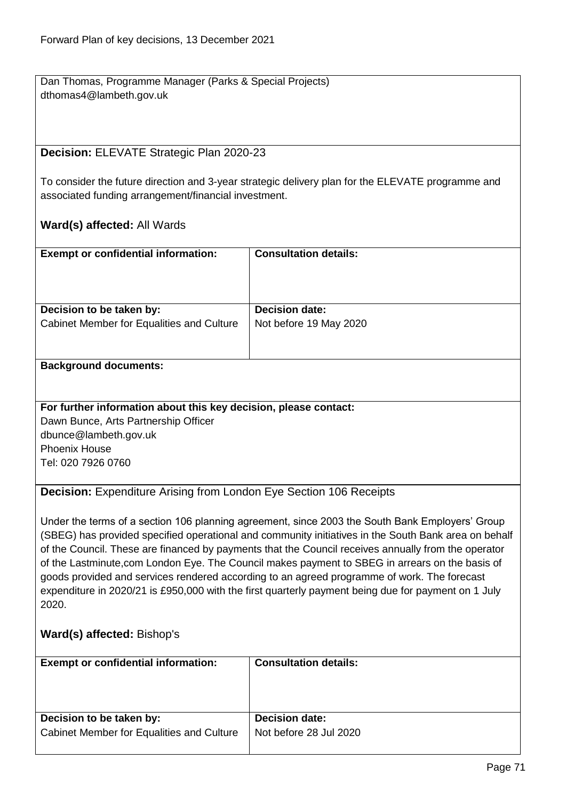Dan Thomas, Programme Manager (Parks & Special Projects) dthomas4@lambeth.gov.uk

# **Decision:** ELEVATE Strategic Plan 2020-23

To consider the future direction and 3-year strategic delivery plan for the ELEVATE programme and associated funding arrangement/financial investment.

## **Ward(s) affected:** All Wards

| <b>Exempt or confidential information:</b> | <b>Consultation details:</b> |
|--------------------------------------------|------------------------------|
| Decision to be taken by:                   | <b>Decision date:</b>        |
| Cabinet Member for Equalities and Culture  | Not before 19 May 2020       |
|                                            |                              |

#### **Background documents:**

#### **For further information about this key decision, please contact:**

Dawn Bunce, Arts Partnership Officer dbunce@lambeth.gov.uk Phoenix House Tel: 020 7926 0760

#### **Decision:** Expenditure Arising from London Eye Section 106 Receipts

Under the terms of a section 106 planning agreement, since 2003 the South Bank Employers' Group (SBEG) has provided specified operational and community initiatives in the South Bank area on behalf of the Council. These are financed by payments that the Council receives annually from the operator of the Lastminute,com London Eye. The Council makes payment to SBEG in arrears on the basis of goods provided and services rendered according to an agreed programme of work. The forecast expenditure in 2020/21 is £950,000 with the first quarterly payment being due for payment on 1 July 2020.

#### **Ward(s) affected:** Bishop's

| <b>Exempt or confidential information:</b> | <b>Consultation details:</b> |
|--------------------------------------------|------------------------------|
| Decision to be taken by:                   | <b>Decision date:</b>        |
| Cabinet Member for Equalities and Culture  | Not before 28 Jul 2020       |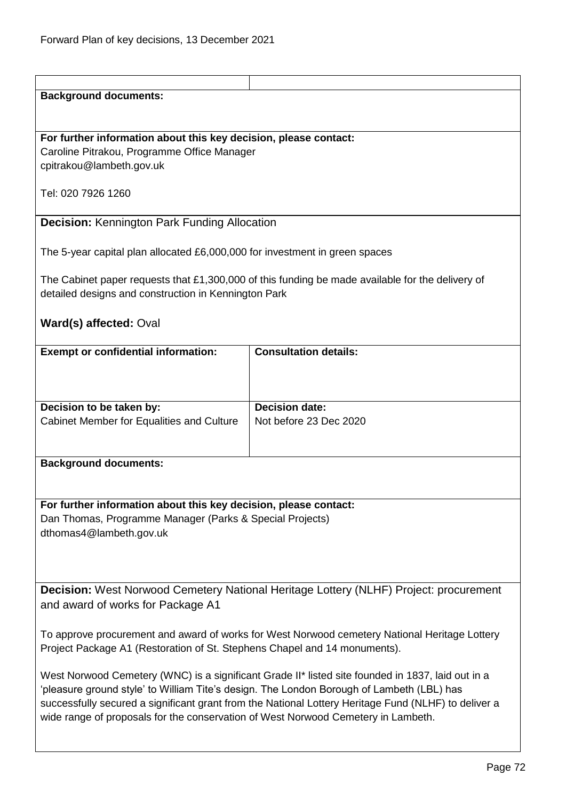| <b>Background documents:</b>                                                                                                 |                                                                                                  |  |
|------------------------------------------------------------------------------------------------------------------------------|--------------------------------------------------------------------------------------------------|--|
|                                                                                                                              |                                                                                                  |  |
|                                                                                                                              |                                                                                                  |  |
| For further information about this key decision, please contact:                                                             |                                                                                                  |  |
| Caroline Pitrakou, Programme Office Manager                                                                                  |                                                                                                  |  |
| cpitrakou@lambeth.gov.uk                                                                                                     |                                                                                                  |  |
|                                                                                                                              |                                                                                                  |  |
| Tel: 020 7926 1260                                                                                                           |                                                                                                  |  |
|                                                                                                                              |                                                                                                  |  |
| <b>Decision: Kennington Park Funding Allocation</b>                                                                          |                                                                                                  |  |
|                                                                                                                              |                                                                                                  |  |
| The 5-year capital plan allocated £6,000,000 for investment in green spaces                                                  |                                                                                                  |  |
|                                                                                                                              |                                                                                                  |  |
|                                                                                                                              | The Cabinet paper requests that £1,300,000 of this funding be made available for the delivery of |  |
| detailed designs and construction in Kennington Park                                                                         |                                                                                                  |  |
|                                                                                                                              |                                                                                                  |  |
| Ward(s) affected: Oval                                                                                                       |                                                                                                  |  |
|                                                                                                                              |                                                                                                  |  |
| <b>Exempt or confidential information:</b>                                                                                   | <b>Consultation details:</b>                                                                     |  |
|                                                                                                                              |                                                                                                  |  |
|                                                                                                                              |                                                                                                  |  |
|                                                                                                                              |                                                                                                  |  |
| Decision to be taken by:                                                                                                     | <b>Decision date:</b>                                                                            |  |
| Cabinet Member for Equalities and Culture                                                                                    | Not before 23 Dec 2020                                                                           |  |
|                                                                                                                              |                                                                                                  |  |
|                                                                                                                              |                                                                                                  |  |
| <b>Background documents:</b>                                                                                                 |                                                                                                  |  |
|                                                                                                                              |                                                                                                  |  |
|                                                                                                                              |                                                                                                  |  |
| For further information about this key decision, please contact:<br>Dan Thomas, Programme Manager (Parks & Special Projects) |                                                                                                  |  |
| dthomas4@lambeth.gov.uk                                                                                                      |                                                                                                  |  |
|                                                                                                                              |                                                                                                  |  |
|                                                                                                                              |                                                                                                  |  |
|                                                                                                                              |                                                                                                  |  |
| <b>Decision:</b> West Norwood Cemetery National Heritage Lottery (NLHF) Project: procurement                                 |                                                                                                  |  |
|                                                                                                                              |                                                                                                  |  |
| and award of works for Package A1                                                                                            |                                                                                                  |  |
|                                                                                                                              |                                                                                                  |  |
| To approve procurement and award of works for West Norwood cemetery National Heritage Lottery                                |                                                                                                  |  |
| Project Package A1 (Restoration of St. Stephens Chapel and 14 monuments).                                                    |                                                                                                  |  |
| West Norwood Cemetery (WNC) is a significant Grade II* listed site founded in 1837, laid out in a                            |                                                                                                  |  |
| 'pleasure ground style' to William Tite's design. The London Borough of Lambeth (LBL) has                                    |                                                                                                  |  |
| successfully secured a significant grant from the National Lottery Heritage Fund (NLHF) to deliver a                         |                                                                                                  |  |
|                                                                                                                              |                                                                                                  |  |
| wide range of proposals for the conservation of West Norwood Cemetery in Lambeth.                                            |                                                                                                  |  |
|                                                                                                                              |                                                                                                  |  |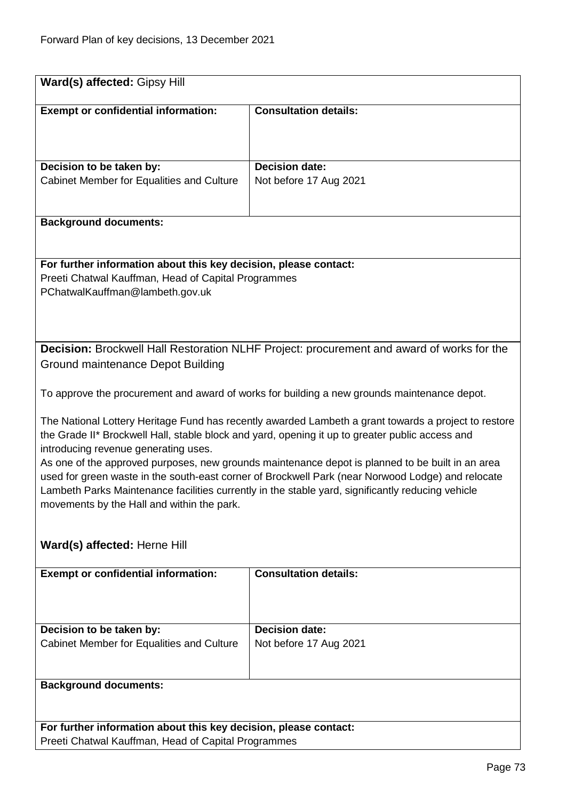| Ward(s) affected: Gipsy Hill                                                                                                                                                                                                                                                                                                                                                                                                                                                                                                                                                                                |                                                                                             |  |
|-------------------------------------------------------------------------------------------------------------------------------------------------------------------------------------------------------------------------------------------------------------------------------------------------------------------------------------------------------------------------------------------------------------------------------------------------------------------------------------------------------------------------------------------------------------------------------------------------------------|---------------------------------------------------------------------------------------------|--|
| <b>Exempt or confidential information:</b>                                                                                                                                                                                                                                                                                                                                                                                                                                                                                                                                                                  | <b>Consultation details:</b>                                                                |  |
| Decision to be taken by:                                                                                                                                                                                                                                                                                                                                                                                                                                                                                                                                                                                    | Decision date:                                                                              |  |
| Cabinet Member for Equalities and Culture                                                                                                                                                                                                                                                                                                                                                                                                                                                                                                                                                                   | Not before 17 Aug 2021                                                                      |  |
| <b>Background documents:</b>                                                                                                                                                                                                                                                                                                                                                                                                                                                                                                                                                                                |                                                                                             |  |
| For further information about this key decision, please contact:<br>Preeti Chatwal Kauffman, Head of Capital Programmes<br>PChatwalKauffman@lambeth.gov.uk                                                                                                                                                                                                                                                                                                                                                                                                                                                  |                                                                                             |  |
| Decision: Brockwell Hall Restoration NLHF Project: procurement and award of works for the<br>Ground maintenance Depot Building                                                                                                                                                                                                                                                                                                                                                                                                                                                                              |                                                                                             |  |
|                                                                                                                                                                                                                                                                                                                                                                                                                                                                                                                                                                                                             | To approve the procurement and award of works for building a new grounds maintenance depot. |  |
| The National Lottery Heritage Fund has recently awarded Lambeth a grant towards a project to restore<br>the Grade II* Brockwell Hall, stable block and yard, opening it up to greater public access and<br>introducing revenue generating uses.<br>As one of the approved purposes, new grounds maintenance depot is planned to be built in an area<br>used for green waste in the south-east corner of Brockwell Park (near Norwood Lodge) and relocate<br>Lambeth Parks Maintenance facilities currently in the stable yard, significantly reducing vehicle<br>movements by the Hall and within the park. |                                                                                             |  |
| Ward(s) affected: Herne Hill                                                                                                                                                                                                                                                                                                                                                                                                                                                                                                                                                                                |                                                                                             |  |
| <b>Exempt or confidential information:</b>                                                                                                                                                                                                                                                                                                                                                                                                                                                                                                                                                                  | <b>Consultation details:</b>                                                                |  |
| Decision to be taken by:                                                                                                                                                                                                                                                                                                                                                                                                                                                                                                                                                                                    | <b>Decision date:</b>                                                                       |  |
| Cabinet Member for Equalities and Culture                                                                                                                                                                                                                                                                                                                                                                                                                                                                                                                                                                   | Not before 17 Aug 2021                                                                      |  |
| <b>Background documents:</b>                                                                                                                                                                                                                                                                                                                                                                                                                                                                                                                                                                                |                                                                                             |  |
| For further information about this key decision, please contact:<br>Preeti Chatwal Kauffman, Head of Capital Programmes                                                                                                                                                                                                                                                                                                                                                                                                                                                                                     |                                                                                             |  |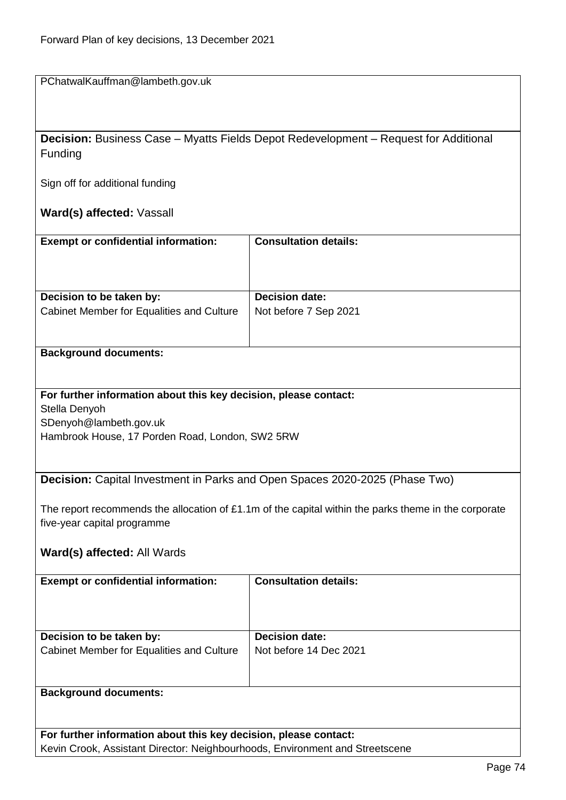PChatwalKauffman@lambeth.gov.uk

**Decision:** Business Case – Myatts Fields Depot Redevelopment – Request for Additional Funding

Sign off for additional funding

**Ward(s) affected:** Vassall

| <b>Exempt or confidential information:</b> | <b>Consultation details:</b> |
|--------------------------------------------|------------------------------|
| Decision to be taken by:                   | <b>Decision date:</b>        |
| Cabinet Member for Equalities and Culture  | Not before 7 Sep 2021        |

## **Background documents:**

**For further information about this key decision, please contact:** Stella Denyoh SDenyoh@lambeth.gov.uk Hambrook House, 17 Porden Road, London, SW2 5RW

**Decision:** Capital Investment in Parks and Open Spaces 2020-2025 (Phase Two)

The report recommends the allocation of £1.1m of the capital within the parks theme in the corporate five-year capital programme

## **Ward(s) affected:** All Wards

| <b>Exempt or confidential information:</b> | <b>Consultation details:</b> |
|--------------------------------------------|------------------------------|
| Decision to be taken by:                   | <b>Decision date:</b>        |
|                                            |                              |
| Cabinet Member for Equalities and Culture  | Not before 14 Dec 2021       |
| <b>Background documents:</b>               |                              |
|                                            |                              |

**For further information about this key decision, please contact:** Kevin Crook, Assistant Director: Neighbourhoods, Environment and Streetscene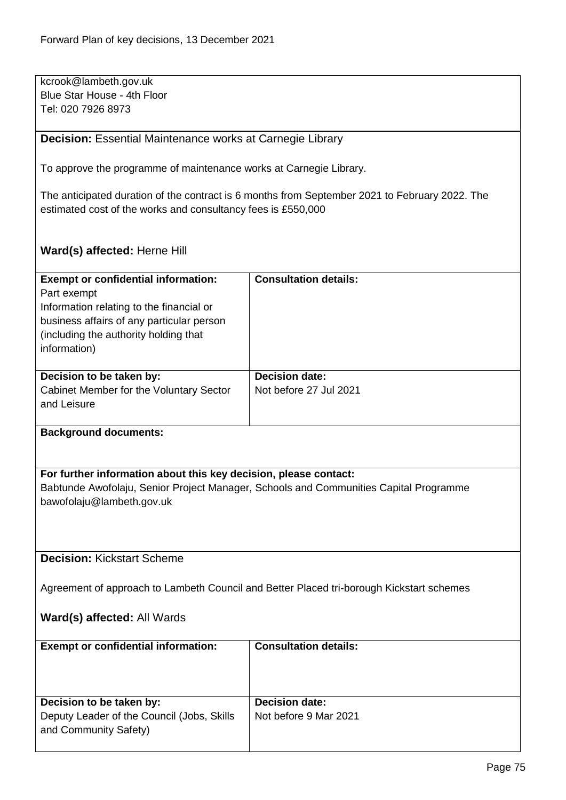kcrook@lambeth.gov.uk Blue Star House - 4th Floor Tel: 020 7926 8973

**Decision:** Essential Maintenance works at Carnegie Library

To approve the programme of maintenance works at Carnegie Library.

The anticipated duration of the contract is 6 months from September 2021 to February 2022. The estimated cost of the works and consultancy fees is £550,000

**Ward(s) affected:** Herne Hill

| <b>Exempt or confidential information:</b>                                               | <b>Consultation details:</b>                                                          |  |
|------------------------------------------------------------------------------------------|---------------------------------------------------------------------------------------|--|
| Part exempt                                                                              |                                                                                       |  |
| Information relating to the financial or                                                 |                                                                                       |  |
| business affairs of any particular person                                                |                                                                                       |  |
| (including the authority holding that                                                    |                                                                                       |  |
| information)                                                                             |                                                                                       |  |
|                                                                                          |                                                                                       |  |
| Decision to be taken by:                                                                 | <b>Decision date:</b>                                                                 |  |
| Cabinet Member for the Voluntary Sector                                                  | Not before 27 Jul 2021                                                                |  |
| and Leisure                                                                              |                                                                                       |  |
|                                                                                          |                                                                                       |  |
| <b>Background documents:</b>                                                             |                                                                                       |  |
|                                                                                          |                                                                                       |  |
|                                                                                          |                                                                                       |  |
| For further information about this key decision, please contact:                         |                                                                                       |  |
|                                                                                          | Babtunde Awofolaju, Senior Project Manager, Schools and Communities Capital Programme |  |
| bawofolaju@lambeth.gov.uk                                                                |                                                                                       |  |
|                                                                                          |                                                                                       |  |
|                                                                                          |                                                                                       |  |
|                                                                                          |                                                                                       |  |
| <b>Decision: Kickstart Scheme</b>                                                        |                                                                                       |  |
|                                                                                          |                                                                                       |  |
| Agreement of approach to Lambeth Council and Better Placed tri-borough Kickstart schemes |                                                                                       |  |

## **Ward(s) affected:** All Wards

| <b>Exempt or confidential information:</b>                                                      | <b>Consultation details:</b>                   |
|-------------------------------------------------------------------------------------------------|------------------------------------------------|
| Decision to be taken by:<br>Deputy Leader of the Council (Jobs, Skills<br>and Community Safety) | <b>Decision date:</b><br>Not before 9 Mar 2021 |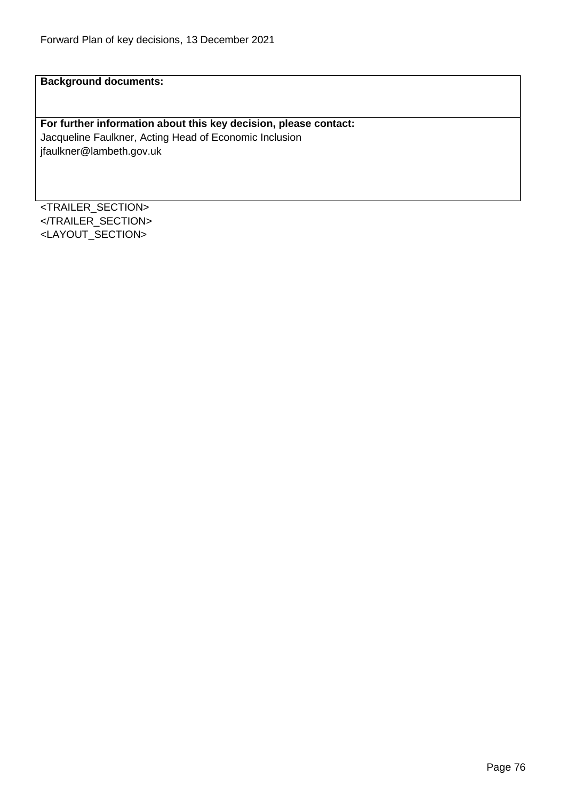**Background documents:**

## **For further information about this key decision, please contact:**

Jacqueline Faulkner, Acting Head of Economic Inclusion jfaulkner@lambeth.gov.uk

<TRAILER\_SECTION> </TRAILER\_SECTION> <LAYOUT\_SECTION>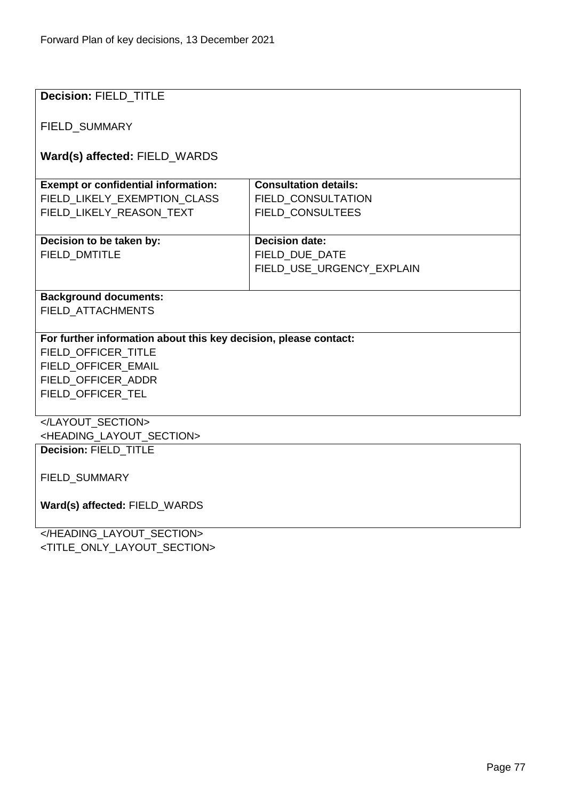| <b>Decision: FIELD_TITLE</b>                                     |                              |  |
|------------------------------------------------------------------|------------------------------|--|
| <b>FIELD SUMMARY</b>                                             |                              |  |
| Ward(s) affected: FIELD_WARDS                                    |                              |  |
|                                                                  |                              |  |
| <b>Exempt or confidential information:</b>                       | <b>Consultation details:</b> |  |
| FIELD_LIKELY_EXEMPTION_CLASS                                     | FIELD_CONSULTATION           |  |
| FIELD_LIKELY_REASON_TEXT                                         | FIELD_CONSULTEES             |  |
| Decision to be taken by:                                         | <b>Decision date:</b>        |  |
| <b>FIELD DMTITLE</b>                                             | FIELD DUE DATE               |  |
|                                                                  | FIELD USE URGENCY EXPLAIN    |  |
|                                                                  |                              |  |
| <b>Background documents:</b>                                     |                              |  |
| FIELD_ATTACHMENTS                                                |                              |  |
|                                                                  |                              |  |
| For further information about this key decision, please contact: |                              |  |
| FIELD OFFICER TITLE                                              |                              |  |
| FIELD OFFICER EMAIL<br>FIELD_OFFICER_ADDR                        |                              |  |
| FIELD_OFFICER_TEL                                                |                              |  |
|                                                                  |                              |  |
|                                                                  |                              |  |
| <heading layout="" section=""></heading>                         |                              |  |
| Decision: FIELD TITLE                                            |                              |  |
| FIELD_SUMMARY                                                    |                              |  |
|                                                                  |                              |  |
| Ward(s) affected: FIELD WARDS                                    |                              |  |
|                                                                  |                              |  |
|                                                                  |                              |  |

<TITLE\_ONLY\_LAYOUT\_SECTION>